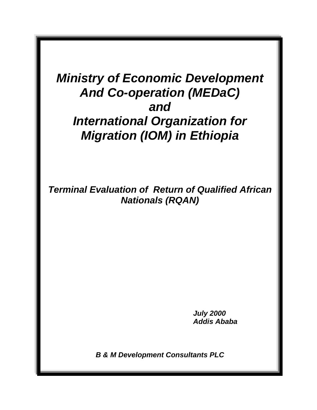# *Ministry of Economic Development And Co-operation (MEDaC) and International Organization for Migration (IOM) in Ethiopia*

*Terminal Evaluation of Return of Qualified African Nationals (RQAN)* 

> *July 2000 Addis Ababa*

*B & M Development Consultants PLC*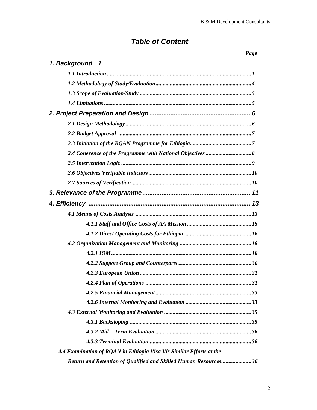## *Table of Content*

| 1. Background 1                                                     |
|---------------------------------------------------------------------|
|                                                                     |
|                                                                     |
|                                                                     |
|                                                                     |
|                                                                     |
|                                                                     |
|                                                                     |
|                                                                     |
|                                                                     |
|                                                                     |
|                                                                     |
|                                                                     |
|                                                                     |
|                                                                     |
|                                                                     |
|                                                                     |
|                                                                     |
|                                                                     |
|                                                                     |
|                                                                     |
|                                                                     |
|                                                                     |
|                                                                     |
|                                                                     |
|                                                                     |
|                                                                     |
|                                                                     |
|                                                                     |
| 4.4 Examination of RQAN in Ethiopia Visa Vis Similar Efforts at the |
| Return and Retention of Qualified and Skilled Human Resources36     |

## *Page*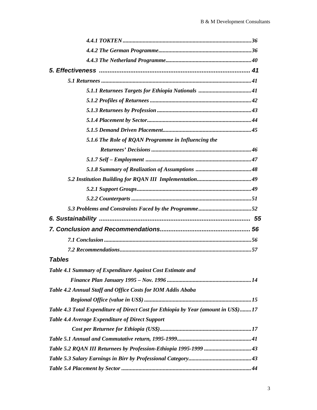| 5.1.6 The Role of RQAN Programme in Influencing the                                |  |
|------------------------------------------------------------------------------------|--|
|                                                                                    |  |
|                                                                                    |  |
|                                                                                    |  |
|                                                                                    |  |
|                                                                                    |  |
|                                                                                    |  |
|                                                                                    |  |
|                                                                                    |  |
|                                                                                    |  |
|                                                                                    |  |
|                                                                                    |  |
| <b>Tables</b>                                                                      |  |
| Table 4.1 Summary of Expenditure Against Cost Estimate and                         |  |
|                                                                                    |  |
| Table 4.2 Annual Staff and Office Costs for IOM Addis Ababa                        |  |
|                                                                                    |  |
| Table 4.3 Total Expenditure of Direct Cost for Ethiopia by Year (amount in US\$)17 |  |
| Table 4.4 Average Expenditure of Direct Support                                    |  |
|                                                                                    |  |
|                                                                                    |  |
|                                                                                    |  |
|                                                                                    |  |
|                                                                                    |  |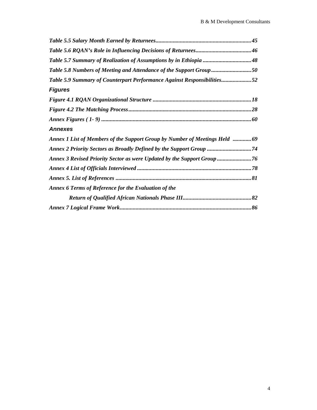| Table 5.7 Summary of Realization of Assumptions by in Ethiopia 48           |
|-----------------------------------------------------------------------------|
| Table 5.8 Numbers of Meeting and Attendance of the Support Group 50         |
| Table 5.9 Summary of Counterpart Performance Against Responsibilities52     |
| <b>Figures</b>                                                              |
|                                                                             |
|                                                                             |
|                                                                             |
| <b>Annexes</b>                                                              |
| Annex 1 List of Members of the Support Group by Number of Meetings Held  69 |
|                                                                             |
| Annex 3 Revised Priority Sector as were Updated by the Support Group  76    |
|                                                                             |
|                                                                             |
| Annex 6 Terms of Reference for the Evaluation of the                        |
|                                                                             |
|                                                                             |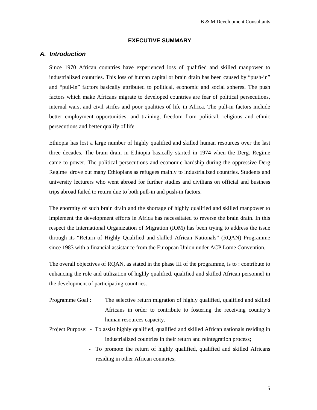#### **EXECUTIVE SUMMARY**

#### *A. Introduction*

Since 1970 African countries have experienced loss of qualified and skilled manpower to industrialized countries. This loss of human capital or brain drain has been caused by "push-in" and "pull-in" factors basically attributed to political, economic and social spheres. The push factors which make Africans migrate to developed countries are fear of political persecutions, internal wars, and civil strifes and poor qualities of life in Africa. The pull-in factors include better employment opportunities, and training, freedom from political, religious and ethnic persecutions and better qualify of life.

Ethiopia has lost a large number of highly qualified and skilled human resources over the last three decades. The brain drain in Ethiopia basically started in 1974 when the Derg. Regime came to power. The political persecutions and economic hardship during the oppressive Derg Regime drove out many Ethiopians as refugees mainly to industrialized countries. Students and university lecturers who went abroad for further studies and civilians on official and business trips abroad failed to return due to both pull-in and push-in factors.

The enormity of such brain drain and the shortage of highly qualified and skilled manpower to implement the development efforts in Africa has necessitated to reverse the brain drain. In this respect the International Organization of Migration (IOM) has been trying to address the issue through its "Return of Highly Qualified and skilled African Nationals" (RQAN) Programme since 1983 with a financial assistance from the European Union under ACP Lome Convention.

The overall objectives of RQAN, as stated in the phase III of the programme, is to : contribute to enhancing the role and utilization of highly qualified, qualified and skilled African personnel in the development of participating countries.

- Programme Goal : The selective return migration of highly qualified, qualified and skilled Africans in order to contribute to fostering the receiving country's human resources capacity.
- Project Purpose: To assist highly qualified, qualified and skilled African nationals residing in industrialized countries in their return and reintegration process;
	- To promote the return of highly qualified, qualified and skilled Africans residing in other African countries;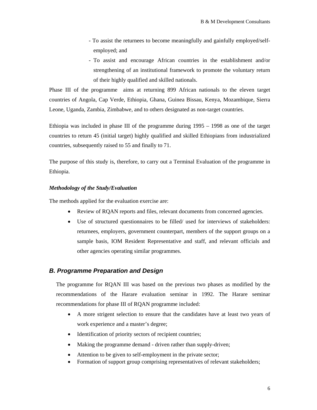- To assist the returnees to become meaningfully and gainfully employed/selfemployed; and
- To assist and encourage African countries in the establishment and/or strengthening of an institutional framework to promote the voluntary return of their highly qualified and skilled nationals.

Phase III of the programme aims at returning 899 African nationals to the eleven target countries of Angola, Cap Verde, Ethiopia, Ghana, Guinea Bissau, Kenya, Mozambique, Sierra Leone, Uganda, Zambia, Zimbabwe, and to others designated as non-target countries.

Ethiopia was included in phase III of the programme during 1995 – 1998 as one of the target countries to return 45 (initial target) highly qualified and skilled Ethiopians from industrialized countries, subsequently raised to 55 and finally to 71.

The purpose of this study is, therefore, to carry out a Terminal Evaluation of the programme in Ethiopia.

#### *Methodology of the Study/Evaluation*

The methods applied for the evaluation exercise are:

- Review of RQAN reports and files, relevant documents from concerned agencies.
- Use of structured questionnaires to be filled/ used for interviews of stakeholders: returnees, employers, government counterpart, members of the support groups on a sample basis, IOM Resident Representative and staff, and relevant officials and other agencies operating similar programmes.

#### *B. Programme Preparation and Design*

The programme for RQAN III was based on the previous two phases as modified by the recommendations of the Harare evaluation seminar in 1992. The Harare seminar recommendations for phase III of RQAN programme included:

- A more strigent selection to ensure that the candidates have at least two years of work experience and a master's degree;
- Identification of priority sectors of recipient countries;
- Making the programme demand driven rather than supply-driven;
- Attention to be given to self-employment in the private sector;
- Formation of support group comprising representatives of relevant stakeholders;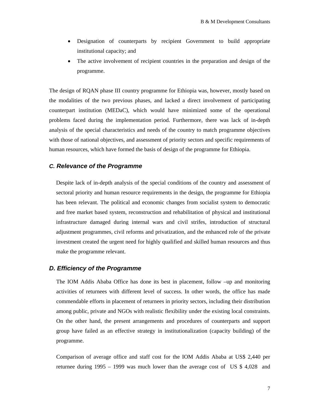- Designation of counterparts by recipient Government to build appropriate institutional capacity; and
- The active involvement of recipient countries in the preparation and design of the programme.

The design of RQAN phase III country programme for Ethiopia was, however, mostly based on the modalities of the two previous phases, and lacked a direct involvement of participating counterpart institution (MEDaC), which would have minimized some of the operational problems faced during the implementation period. Furthermore, there was lack of in-depth analysis of the special characteristics and needs of the country to match programme objectives with those of national objectives, and assessment of priority sectors and specific requirements of human resources, which have formed the basis of design of the programme for Ethiopia.

#### *C. Relevance of the Programme*

Despite lack of in-depth analysis of the special conditions of the country and assessment of sectoral priority and human resource requirements in the design, the programme for Ethiopia has been relevant. The political and economic changes from socialist system to democratic and free market based system, reconstruction and rehabilitation of physical and institutional infrastructure damaged during internal wars and civil strifes, introduction of structural adjustment programmes, civil reforms and privatization, and the enhanced role of the private investment created the urgent need for highly qualified and skilled human resources and thus make the programme relevant.

#### *D. Efficiency of the Programme*

The IOM Addis Ababa Office has done its best in placement, follow –up and monitoring activities of returnees with different level of success. In other words, the office has made commendable efforts in placement of returnees in priority sectors, including their distribution among public, private and NGOs with realistic flexibility under the existing local constraints. On the other hand, the present arrangements and procedures of counterparts and support group have failed as an effective strategy in institutionalization (capacity building) of the programme.

Comparison of average office and staff cost for the IOM Addis Ababa at US\$ 2,440 per returnee during 1995 – 1999 was much lower than the average cost of US \$ 4,028 and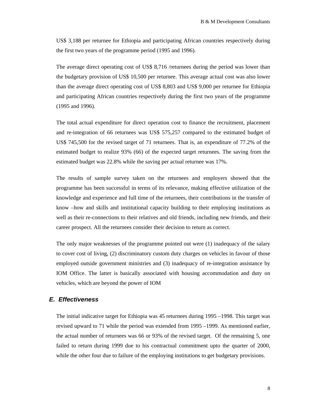US\$ 3,188 per returnee for Ethiopia and participating African countries respectively during the first two years of the programme period (1995 and 1996).

The average direct operating cost of US\$ 8,716 /returnees during the period was lower than the budgetary provision of US\$ 10,500 per returnee. This average actual cost was also lower than the average direct operating cost of US\$ 8,803 and US\$ 9,000 per returnee for Ethiopia and participating African countries respectively during the first two years of the programme (1995 and 1996).

The total actual expenditure for direct operation cost to finance the recruitment, placement and re-integration of 66 returnees was US\$ 575,257 compared to the estimated budget of US\$ 745,500 for the revised target of 71 returnees. That is, an expenditure of 77.2% of the estimated budget to realize 93% (66) of the expected target returnees. The saving from the estimated budget was 22.8% while the saving per actual returnee was 17%.

The results of sample survey taken on the returnees and employers showed that the programme has been successful in terms of its relevance, making effective utilization of the knowledge and experience and full time of the returnees, their contributions in the transfer of know –how and skills and institutional capacity building to their employing institutions as well as their re-connections to their relatives and old friends, including new friends, and their career prospect. All the returnees consider their decision to return as correct.

The only major weaknesses of the programme pointed out were (1) inadequacy of the salary to cover cost of living, (2) discriminatory custom duty charges on vehicles in favour of those employed outside government ministries and (3) inadequacy of re-integration assistance by IOM Office. The latter is basically associated with housing accommodation and duty on vehicles, which are beyond the power of IOM

## *E. Effectiveness*

The initial indicative target for Ethiopia was 45 returnees during 1995 –1998. This target was revised upward to 71 while the period was extended from 1995 –1999. As mentioned earlier, the actual number of returnees was 66 or 93% of the revised target. Of the remaining 5, one failed to return during 1999 due to his contractual commitment upto the quarter of 2000, while the other four due to failure of the employing institutions to get budgetary provisions.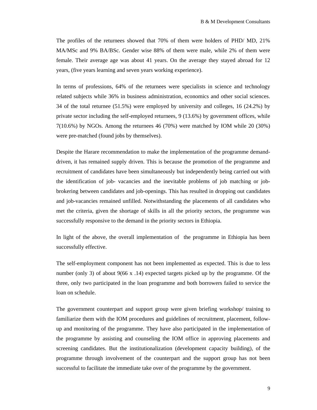The profiles of the returnees showed that 70% of them were holders of PHD/ MD, 21% MA/MSc and 9% BA/BSc. Gender wise 88% of them were male, while 2% of them were female. Their average age was about 41 years. On the average they stayed abroad for 12 years, (five years learning and seven years working experience).

In terms of professions, 64% of the returnees were specialists in science and technology related subjects while 36% in business administration, economics and other social sciences. 34 of the total returnee (51.5%) were employed by university and colleges, 16 (24.2%) by private sector including the self-employed returnees, 9 (13.6%) by government offices, while 7(10.6%) by NGOs. Among the returnees 46 (70%) were matched by IOM while 20 (30%) were pre-matched (found jobs by themselves).

Despite the Harare recommendation to make the implementation of the programme demanddriven, it has remained supply driven. This is because the promotion of the programme and recruitment of candidates have been simultaneously but independently being carried out with the identification of job- vacancies and the inevitable problems of job matching or jobbrokering between candidates and job-openings. This has resulted in dropping out candidates and job-vacancies remained unfilled. Notwithstanding the placements of all candidates who met the criteria, given the shortage of skills in all the priority sectors, the programme was successfully responsive to the demand in the priority sectors in Ethiopia.

In light of the above, the overall implementation of the programme in Ethiopia has been successfully effective.

The self-employment component has not been implemented as expected. This is due to less number (only 3) of about 9(66 x .14) expected targets picked up by the programme. Of the three, only two participated in the loan programme and both borrowers failed to service the loan on schedule.

The government counterpart and support group were given briefing workshop/ training to familiarize them with the IOM procedures and guidelines of recruitment, placement, followup and monitoring of the programme. They have also participated in the implementation of the programme by assisting and counseling the IOM office in approving placements and screening candidates. But the institutionalization (development capacity building), of the programme through involvement of the counterpart and the support group has not been successful to facilitate the immediate take over of the programme by the government.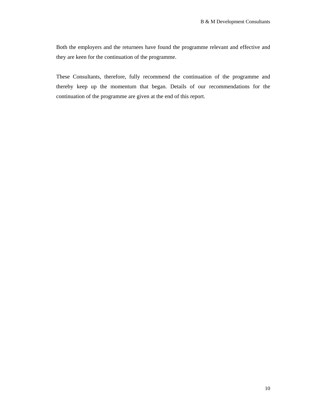Both the employers and the returnees have found the programme relevant and effective and they are keen for the continuation of the programme.

These Consultants, therefore, fully recommend the continuation of the programme and thereby keep up the momentum that began. Details of our recommendations for the continuation of the programme are given at the end of this report.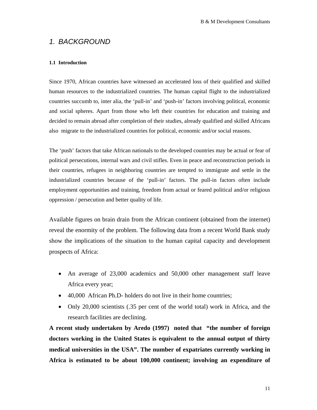## *1. BACKGROUND*

#### **1.1 Introduction**

Since 1970, African countries have witnessed an accelerated loss of their qualified and skilled human resources to the industrialized countries. The human capital flight to the industrialized countries succumb to, inter alia, the 'pull-in' and 'push-in' factors involving political, economic and social spheres. Apart from those who left their countries for education and training and decided to remain abroad after completion of their studies, already qualified and skilled Africans also migrate to the industrialized countries for political, economic and/or social reasons.

The 'push' factors that take African nationals to the developed countries may be actual or fear of political persecutions, internal wars and civil stifles. Even in peace and reconstruction periods in their countries, refugees in neighboring countries are tempted to immigrate and settle in the industrialized countries because of the 'pull-in' factors. The pull-in factors often include employment opportunities and training, freedom from actual or feared political and/or religious oppression / persecution and better quality of life.

Available figures on brain drain from the African continent (obtained from the internet) reveal the enormity of the problem. The following data from a recent World Bank study show the implications of the situation to the human capital capacity and development prospects of Africa:

- An average of 23,000 academics and 50,000 other management staff leave Africa every year;
- 40,000 African Ph.D- holders do not live in their home countries;
- Only 20,000 scientists (.35 per cent of the world total) work in Africa, and the research facilities are declining.

**A recent study undertaken by Aredo (1997) noted that "the number of foreign doctors working in the United States is equivalent to the annual output of thirty medical universities in the USA". The number of expatriates currently working in Africa is estimated to be about 100,000 continent; involving an expenditure of**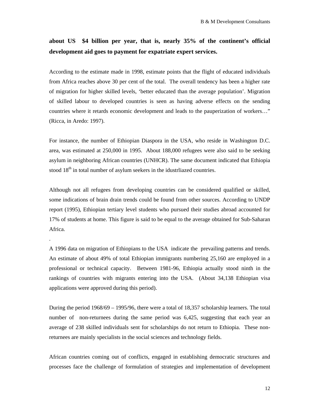## **about US \$4 billion per year, that is, nearly 35% of the continent's official development aid goes to payment for expatriate expert services.**

According to the estimate made in 1998, estimate points that the flight of educated individuals from Africa reaches above 30 per cent of the total. The overall tendency has been a higher rate of migration for higher skilled levels, 'better educated than the average population'. Migration of skilled labour to developed countries is seen as having adverse effects on the sending countries where it retards economic development and leads to the pauperization of workers…" (Ricca, in Aredo: 1997).

For instance, the number of Ethiopian Diaspora in the USA, who reside in Washington D.C. area, was estimated at 250,000 in 1995. About 188,000 refugees were also said to be seeking asylum in neighboring African countries (UNHCR). The same document indicated that Ethiopia stood 18<sup>th</sup> in total number of asylum seekers in the idustrilazed countries.

Although not all refugees from developing countries can be considered qualified or skilled, some indications of brain drain trends could be found from other sources. According to UNDP report (1995), Ethiopian tertiary level students who pursued their studies abroad accounted for 17% of students at home. This figure is said to be equal to the average obtained for Sub-Saharan Africa.

.

A 1996 data on migration of Ethiopians to the USA indicate the prevailing patterns and trends. An estimate of about 49% of total Ethiopian immigrants numbering 25,160 are employed in a professional or technical capacity. Between 1981-96, Ethiopia actually stood ninth in the rankings of countries with migrants entering into the USA. (About 34,138 Ethiopian visa applications were approved during this period).

During the period 1968/69 – 1995/96, there were a total of 18,357 scholarship learners. The total number of non-returnees during the same period was 6,425, suggesting that each year an average of 238 skilled individuals sent for scholarships do not return to Ethiopia. These nonreturnees are mainly specialists in the social sciences and technology fields.

African countries coming out of conflicts, engaged in establishing democratic structures and processes face the challenge of formulation of strategies and implementation of development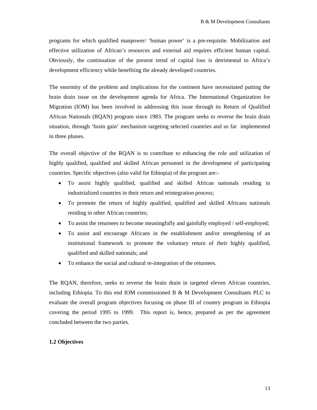programs for which qualified manpower/ 'human power' is a pre-requisite. Mobilization and effective utilization of African's resources and external aid requires efficient human capital. Obviously, the continuation of the present trend of capital loss is detrimental to Africa's development efficiency while benefiting the already developed countries.

The enormity of the problem and implications for the continent have necessitated putting the brain drain issue on the development agenda for Africa. The International Organization for Migration (IOM) has been involved in addressing this issue through its Return of Qualified African Nationals (RQAN) program since 1983. The program seeks to reverse the brain drain situation, through 'brain gain' mechanism targeting selected countries and so far implemented in three phases.

The overall objective of the RQAN is to contribute to enhancing the role and utilization of highly qualified, qualified and skilled African personnel in the development of participating countries. Specific objectives (also valid for Ethiopia) of the program are:-

- To assist highly qualified, qualified and skilled African nationals residing in industrialized countries in their return and reintegration process;
- To promote the return of highly qualified, qualified and skilled Africans nationals residing in other African countries;
- To assist the returnees to become meaningfully and gainfully employed / self-employed;
- To assist and encourage Africans in the establishment and/or strengthening of an institutional framework to promote the voluntary return of their highly qualified, qualified and skilled nationals; and
- To enhance the social and cultural re-integration of the returnees.

The RQAN, therefore, seeks to reverse the brain drain in targeted eleven African countries, including Ethiopia. To this end IOM commissioned B & M Development Consultants PLC to evaluate the overall program objectives focusing on phase III of country program in Ethiopia covering the period 1995 to 1999. This report is, hence, prepared as per the agreement concluded between the two parties.

#### **1.2 Objectives**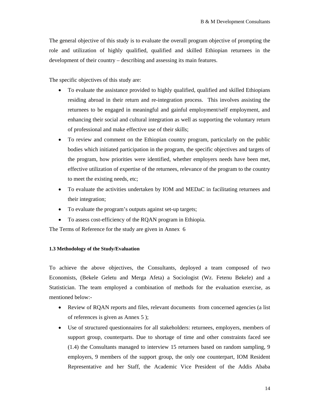The general objective of this study is to evaluate the overall program objective of prompting the role and utilization of highly qualified, qualified and skilled Ethiopian returnees in the development of their country – describing and assessing its main features.

The specific objectives of this study are:

- To evaluate the assistance provided to highly qualified, qualified and skilled Ethiopians residing abroad in their return and re-integration process. This involves assisting the returnees to be engaged in meaningful and gainful employment/self employment, and enhancing their social and cultural integration as well as supporting the voluntary return of professional and make effective use of their skills;
- To review and comment on the Ethiopian country program, particularly on the public bodies which initiated participation in the program, the specific objectives and targets of the program, how priorities were identified, whether employers needs have been met, effective utilization of expertise of the returnees, relevance of the program to the country to meet the existing needs, etc;
- To evaluate the activities undertaken by IOM and MEDaC in facilitating returnees and their integration;
- To evaluate the program's outputs against set-up targets;
- To assess cost-efficiency of the RQAN program in Ethiopia.

The Terms of Reference for the study are given in Annex 6

#### **1.3 Methodology of the Study/Evaluation**

To achieve the above objectives, the Consultants, deployed a team composed of two Economists, (Bekele Geletu and Merga Afeta) a Sociologist (Wz. Fetenu Bekele) and a Statistician. The team employed a combination of methods for the evaluation exercise, as mentioned below:-

- Review of RQAN reports and files, relevant documents from concerned agencies (a list of references is given as Annex 5 );
- Use of structured questionnaires for all stakeholders: returnees, employers, members of support group, counterparts. Due to shortage of time and other constraints faced see (1.4) the Consultants managed to interview 15 returnees based on random sampling, 9 employers, 9 members of the support group, the only one counterpart, IOM Resident Representative and her Staff, the Academic Vice President of the Addis Ababa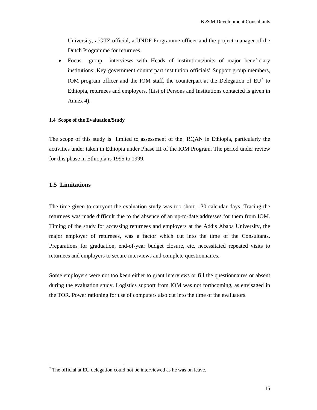<span id="page-14-0"></span>University, a GTZ official, a UNDP Programme officer and the project manager of the Dutch Programme for returnees.

• Focus group interviews with Heads of institutions/units of major beneficiary institutions; Key government counterpart institution officials' Support group members, IOM program officer and the IOM staff, the counterpart at the Delegation of EU<sup>\*</sup> to Ethiopia, returnees and employers. (List of Persons and Institutions contacted is given in Annex 4).

#### **1.4 Scope of the Evaluation/Study**

The scope of this study is limited to assessment of the RQAN in Ethiopia, particularly the activities under taken in Ethiopia under Phase III of the IOM Program. The period under review for this phase in Ethiopia is 1995 to 1999.

#### **1.5 Limitations**

 $\overline{\phantom{a}}$ 

The time given to carryout the evaluation study was too short - 30 calendar days. Tracing the returnees was made difficult due to the absence of an up-to-date addresses for them from IOM. Timing of the study for accessing returnees and employers at the Addis Ababa University, the major employer of returnees, was a factor which cut into the time of the Consultants. Preparations for graduation, end-of-year budget closure, etc. necessitated repeated visits to returnees and employers to secure interviews and complete questionnaires.

Some employers were not too keen either to grant interviews or fill the questionnaires or absent during the evaluation study. Logistics support from IOM was not forthcoming, as envisaged in the TOR. Power rationing for use of computers also cut into the time of the evaluators.

<sup>∗</sup> The official at EU delegation could not be interviewed as he was on leave.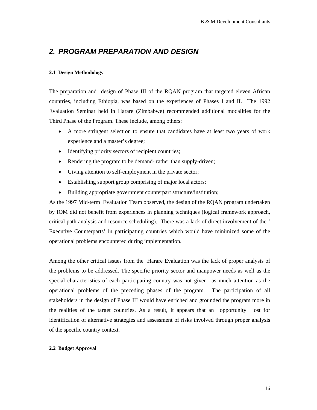## *2. PROGRAM PREPARATION AND DESIGN*

#### **2.1 Design Methodology**

The preparation and design of Phase III of the RQAN program that targeted eleven African countries, including Ethiopia, was based on the experiences of Phases I and II. The 1992 Evaluation Seminar held in Harare (Zimbabwe) recommended additional modalities for the Third Phase of the Program. These include, among others:

- A more stringent selection to ensure that candidates have at least two years of work experience and a master's degree;
- Identifying priority sectors of recipient countries;
- Rendering the program to be demand- rather than supply-driven;
- Giving attention to self-employment in the private sector;
- Establishing support group comprising of major local actors;
- Building appropriate government counterpart structure/institution;

As the 1997 Mid-term Evaluation Team observed, the design of the RQAN program undertaken by IOM did not benefit from experiences in planning techniques (logical framework approach, critical path analysis and resource scheduling). There was a lack of direct involvement of the ' Executive Counterparts' in participating countries which would have minimized some of the operational problems encountered during implementation.

Among the other critical issues from the Harare Evaluation was the lack of proper analysis of the problems to be addressed. The specific priority sector and manpower needs as well as the special characteristics of each participating country was not given as much attention as the operational problems of the preceding phases of the program. The participation of all stakeholders in the design of Phase III would have enriched and grounded the program more in the realities of the target countries. As a result, it appears that an opportunity lost for identification of alternative strategies and assessment of risks involved through proper analysis of the specific country context.

#### **2.2 Budget Approval**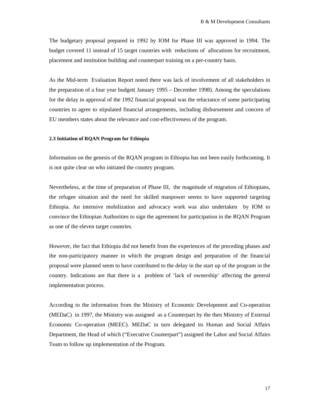The budgetary proposal prepared in 1992 by IOM for Phase III was approved in 1994. The budget covered 11 instead of 15 target countries with reductions of allocations for recruitment, placement and institution building and counterpart training on a per-country basis.

As the Mid-term Evaluation Report noted there was lack of involvement of all stakeholders in the preparation of a four year budget( January 1995 – December 1998). Among the speculations for the delay in approval of the 1992 financial proposal was the reluctance of some participating countries to agree to stipulated financial arrangements, including disbursement and concern of EU members states about the relevance and cost-effectiveness of the program.

#### **2.3 Initiation of RQAN Program for Ethiopia**

Information on the genesis of the RQAN program in Ethiopia has not been easily forthcoming. It is not quite clear on who initiated the country program.

Nevertheless, at the time of preparation of Phase III, the magnitude of migration of Ethiopians, the refugee situation and the need for skilled manpower seems to have supported targeting Ethiopia. An intensive mobilization and advocacy work was also undertaken by IOM to convince the Ethiopian Authorities to sign the agreement for participation in the RQAN Program as one of the eleven target countries.

However, the fact that Ethiopia did not benefit from the experiences of the preceding phases and the non-participatory manner in which the program design and preparation of the financial proposal were planned seem to have contributed to the delay in the start up of the program in the country. Indications are that there is a problem of 'lack of ownership' affecting the general implementation process.

According to the information from the Ministry of Economic Development and Co-operation (MEDaC) in 1997, the Ministry was assigned as a Counterpart by the then Ministry of External Economic Co-operation (MEEC). MEDaC in turn delegated its Human and Social Affairs Department, the Head of which ("Executive Counterpart") assigned the Labor and Social Affairs Team to follow up implementation of the Program.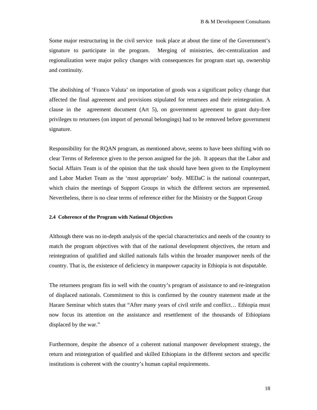Some major restructuring in the civil service took place at about the time of the Government's signature to participate in the program. Merging of ministries, dec-centralization and regionalization were major policy changes with consequences for program start up, ownership and continuity.

The abolishing of 'Franco Valuta' on importation of goods was a significant policy change that affected the final agreement and provisions stipulated for returnees and their reintegration. A clause in the agreement document (Art 5), on government agreement to grant duty-free privileges to returnees (on import of personal belongings) had to be removed before government signature.

Responsibility for the RQAN program, as mentioned above, seems to have been shifting with no clear Terms of Reference given to the person assigned for the job. It appears that the Labor and Social Affairs Team is of the opinion that the task should have been given to the Employment and Labor Market Team as the 'most appropriate' body. MEDaC is the national counterpart, which chairs the meetings of Support Groups in which the different sectors are represented. Nevertheless, there is no clear terms of reference either for the Ministry or the Support Group

#### **2.4 Coherence of the Program with National Objectives**

Although there was no in-depth analysis of the special characteristics and needs of the country to match the program objectives with that of the national development objectives, the return and reintegration of qualified and skilled nationals falls within the broader manpower needs of the country. That is, the existence of deficiency in manpower capacity in Ethiopia is not disputable.

The returnees program fits in well with the country's program of assistance to and re-integration of displaced nationals. Commitment to this is confirmed by the country statement made at the Harare Seminar which states that "After many years of civil strife and conflict… Ethiopia must now focus its attention on the assistance and resettlement of the thousands of Ethiopians displaced by the war."

Furthermore, despite the absence of a coherent national manpower development strategy, the return and reintegration of qualified and skilled Ethiopians in the different sectors and specific institutions is coherent with the country's human capital requirements.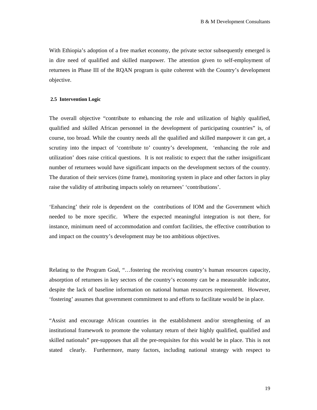With Ethiopia's adoption of a free market economy, the private sector subsequently emerged is in dire need of qualified and skilled manpower. The attention given to self-employment of returnees in Phase III of the RQAN program is quite coherent with the Country's development objective.

#### **2.5 Intervention Logic**

The overall objective "contribute to enhancing the role and utilization of highly qualified, qualified and skilled African personnel in the development of participating countries" is, of course, too broad. While the country needs all the qualified and skilled manpower it can get, a scrutiny into the impact of 'contribute to' country's development, 'enhancing the role and utilization' does raise critical questions. It is not realistic to expect that the rather insignificant number of returnees would have significant impacts on the development sectors of the country. The duration of their services (time frame), monitoring system in place and other factors in play raise the validity of attributing impacts solely on returnees' 'contributions'.

'Enhancing' their role is dependent on the contributions of IOM and the Government which needed to be more specific. Where the expected meaningful integration is not there, for instance, minimum need of accommodation and comfort facilities, the effective contribution to and impact on the country's development may be too ambitious objectives.

Relating to the Program Goal, "…fostering the receiving country's human resources capacity, absorption of returnees in key sectors of the country's economy can be a measurable indicator, despite the lack of baseline information on national human resources requirement. However, 'fostering' assumes that government commitment to and efforts to facilitate would be in place.

"Assist and encourage African countries in the establishment and/or strengthening of an institutional framework to promote the voluntary return of their highly qualified, qualified and skilled nationals" pre-supposes that all the pre-requisites for this would be in place. This is not stated clearly. Furthermore, many factors, including national strategy with respect to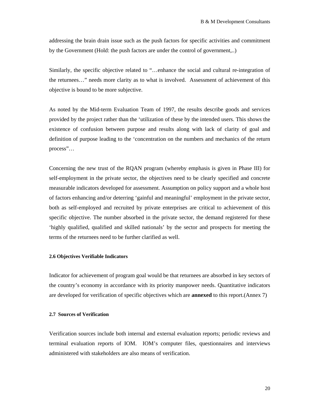addressing the brain drain issue such as the push factors for specific activities and commitment by the Government (Hold: the push factors are under the control of government,..)

Similarly, the specific objective related to "…enhance the social and cultural re-integration of the returnees…" needs more clarity as to what is involved. Assessment of achievement of this objective is bound to be more subjective.

As noted by the Mid-term Evaluation Team of 1997, the results describe goods and services provided by the project rather than the 'utilization of these by the intended users. This shows the existence of confusion between purpose and results along with lack of clarity of goal and definition of purpose leading to the 'concentration on the numbers and mechanics of the return process"…

Concerning the new trust of the RQAN program (whereby emphasis is given in Phase III) for self-employment in the private sector, the objectives need to be clearly specified and concrete measurable indicators developed for assessment. Assumption on policy support and a whole host of factors enhancing and/or deterring 'gainful and meaningful' employment in the private sector, both as self-employed and recruited by private enterprises are critical to achievement of this specific objective. The number absorbed in the private sector, the demand registered for these 'highly qualified, qualified and skilled nationals' by the sector and prospects for meeting the terms of the returnees need to be further clarified as well.

#### **2.6 Objectives Verifiable Indicators**

Indicator for achievement of program goal would be that returnees are absorbed in key sectors of the country's economy in accordance with its priority manpower needs. Quantitative indicators are developed for verification of specific objectives which are **annexed** to this report.(Annex 7)

#### **2.7 Sources of Verification**

Verification sources include both internal and external evaluation reports; periodic reviews and terminal evaluation reports of IOM. IOM's computer files, questionnaires and interviews administered with stakeholders are also means of verification.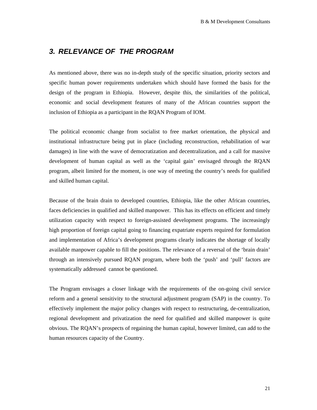## *3. RELEVANCE OF THE PROGRAM*

As mentioned above, there was no in-depth study of the specific situation, priority sectors and specific human power requirements undertaken which should have formed the basis for the design of the program in Ethiopia. However, despite this, the similarities of the political, economic and social development features of many of the African countries support the inclusion of Ethiopia as a participant in the RQAN Program of IOM.

The political economic change from socialist to free market orientation, the physical and institutional infrastructure being put in place (including reconstruction, rehabilitation of war damages) in line with the wave of democratization and decentralization, and a call for massive development of human capital as well as the 'capital gain' envisaged through the RQAN program, albeit limited for the moment, is one way of meeting the country's needs for qualified and skilled human capital.

Because of the brain drain to developed countries, Ethiopia, like the other African countries, faces deficiencies in qualified and skilled manpower. This has its effects on efficient and timely utilization capacity with respect to foreign-assisted development programs. The increasingly high proportion of foreign capital going to financing expatriate experts required for formulation and implementation of Africa's development programs clearly indicates the shortage of locally available manpower capable to fill the positions. The relevance of a reversal of the 'brain drain' through an intensively pursued RQAN program, where both the 'push' and 'pull' factors are systematically addressed cannot be questioned.

The Program envisages a closer linkage with the requirements of the on-going civil service reform and a general sensitivity to the structural adjustment program (SAP) in the country. To effectively implement the major policy changes with respect to restructuring, de-centralization, regional development and privatization the need for qualified and skilled manpower is quite obvious. The RQAN's prospects of regaining the human capital, however limited, can add to the human resources capacity of the Country.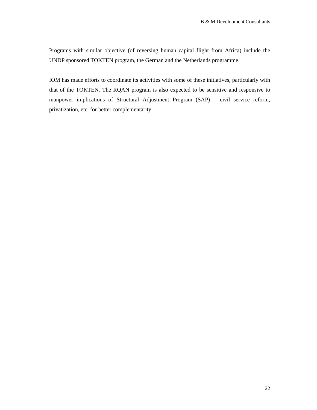Programs with similar objective (of reversing human capital flight from Africa) include the UNDP sponsored TOKTEN program, the German and the Netherlands programme.

IOM has made efforts to coordinate its activities with some of these initiatives, particularly with that of the TOKTEN. The RQAN program is also expected to be sensitive and responsive to manpower implications of Structural Adjustment Program (SAP) – civil service reform, privatization, etc. for better complementarity.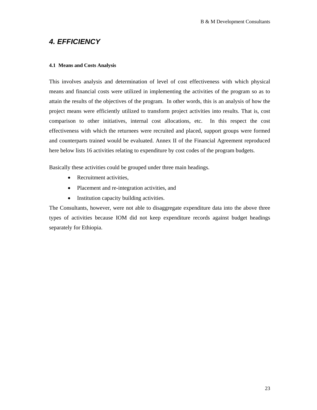## *4. EFFICIENCY*

#### **4.1 Means and Costs Analysis**

This involves analysis and determination of level of cost effectiveness with which physical means and financial costs were utilized in implementing the activities of the program so as to attain the results of the objectives of the program. In other words, this is an analysis of how the project means were efficiently utilized to transform project activities into results. That is, cost comparison to other initiatives, internal cost allocations, etc. In this respect the cost effectiveness with which the returnees were recruited and placed, support groups were formed and counterparts trained would be evaluated. Annex II of the Financial Agreement reproduced here below lists 16 activities relating to expenditure by cost codes of the program budgets.

Basically these activities could be grouped under three main headings.

- Recruitment activities.
- Placement and re-integration activities, and
- Institution capacity building activities.

The Consultants, however, were not able to disaggregate expenditure data into the above three types of activities because IOM did not keep expenditure records against budget headings separately for Ethiopia.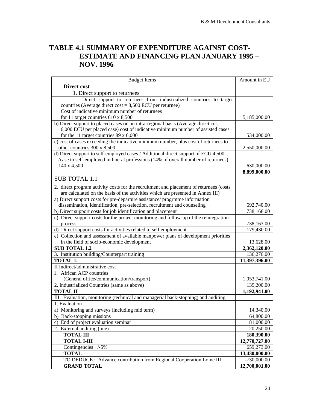## **TABLE 4.1 SUMMARY OF EXPENDITURE AGAINST COST-ESTIMATE AND FINANCING PLAN JANUARY 1995 – NOV. 1996**

| <b>Budget Items</b>                                                                    | Amount in EU  |
|----------------------------------------------------------------------------------------|---------------|
| Direct cost                                                                            |               |
| 1. Direct support to returnees                                                         |               |
| Direct support to returnees from industrialized countries to target                    |               |
| countries (Average direct cost = $8,500$ ECU per returnee)                             |               |
| Cost of indicative minimum number of returnees                                         |               |
| for 11 target countries $610 \times 8,500$                                             | 5,185,000.00  |
| b) Direct support to placed cases on an intra-regional basis (Average direct cost =    |               |
| 6,000 ECU per placed case) cost of indicative minimum number of assisted cases         |               |
| for the 11 target countries 89 x 6,000                                                 | 534,000.00    |
| c) cost of cases exceeding the indicative minimum number, plus cost of returnees to    |               |
| other countries 300 x 8,500                                                            | 2,550,000.00  |
| d) Direct support to self-employed cases / Additional direct support of ECU 4,500      |               |
| /case to self-employed in liberal professions (14% of overall number of returnees)     |               |
| 140 x 4,500                                                                            | 630,000.00    |
|                                                                                        | 8,899,000.00  |
| <b>SUB TOTAL 1.1</b>                                                                   |               |
| 2. direct program activity costs for the recruitment and placement of returnees (costs |               |
| are calculated on the basis of the activities which are presented in Annex III)        |               |
| a) Direct support costs for pre-departure assistance/ progrmme information             |               |
| dissemination, identification, pre-selection, recruitment and counseling               | 692,740.00    |
| b) Direct support costs for job identification and placement                           | 738,168.00    |
| c) Direct support costs for the project monitoring and follow-up of the reintegration  |               |
| process.                                                                               | 738,163.00    |
| d) Direct support costs for activities related to self employment                      | 179,430.00    |
| e) Collection and assessment of available manpower plans of development priorities     |               |
| in the field of socio-economic development                                             | 13,628.00     |
| <b>SUB TOTAL 1.2</b>                                                                   | 2,362,120.00  |
| 3. Institution building/Counterpart training                                           | 136,276.00    |
| TOTAL 1.                                                                               | 11,397,396.00 |
| II Indirect/administrative cost                                                        |               |
| 1. African ACP countries                                                               |               |
| (General office/communication/transport)                                               | 1,053,741.00  |
| 2. Industrialized Countries (same as above)                                            | 139,200.00    |
| <b>TOTAL II</b>                                                                        | 1,192,941.00  |
| III. Evaluation, monitoring (technical and managerial back-stopping) and auditing      |               |
| 1. Evaluation                                                                          |               |
| a) Monitoring and surveys (including mid term)                                         | 14,340.00     |
| b) Back-stopping missions                                                              | 64,800.00     |
| c) End of project evaluation seminar                                                   | 81,000.00     |
| 2. External auditing (one)                                                             | 20,250.00     |
| <b>TOTAL III</b>                                                                       | 180,390.00    |
| <b>TOTAL I-III</b>                                                                     | 12,770,727.00 |
| Contingencies $+/-5\%$                                                                 | 659,273.00    |
| <b>TOTAL</b>                                                                           | 13,430,000.00 |
| TO DEDUCE : Advance contribution from Regional Cooperation Lome III:                   | $-730,000.00$ |
| <b>GRAND TOTAL</b>                                                                     | 12,700,001.00 |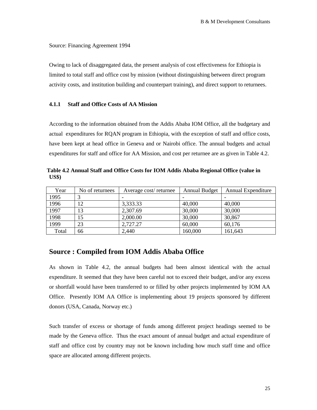Source: Financing Agreement 1994

Owing to lack of disaggregated data, the present analysis of cost effectiveness for Ethiopia is limited to total staff and office cost by mission (without distinguishing between direct program activity costs, and institution building and counterpart training), and direct support to returnees.

#### **4.1.1 Staff and Office Costs of AA Mission**

According to the information obtained from the Addis Ababa IOM Office, all the budgetary and actual expenditures for RQAN program in Ethiopia, with the exception of staff and office costs, have been kept at head office in Geneva and or Nairobi office. The annual budgets and actual expenditures for staff and office for AA Mission, and cost per returnee are as given in Table 4.2.

**Table 4.2 Annual Staff and Office Costs for IOM Addis Ababa Regional Office (value in US\$)** 

| Year  | No of returnees | Average cost/returnee | <b>Annual Budget</b> | Annual Expenditure |
|-------|-----------------|-----------------------|----------------------|--------------------|
| 1995  |                 |                       |                      |                    |
| 1996  | 12              | 3,333.33              | 40,000               | 40,000             |
| 1997  | 13              | 2,307.69              | 30,000               | 30,000             |
| 1998  | 15              | 2,000.00              | 30,000               | 30,867             |
| 1999  | 23              | 2,727.27              | 60,000               | 60,176             |
| Total | 66              | 2,440                 | 160,000              | 161,643            |

## **Source : Compiled from IOM Addis Ababa Office**

As shown in Table 4.2, the annual budgets had been almost identical with the actual expenditure. It seemed that they have been careful not to exceed their budget, and/or any excess or shortfall would have been transferred to or filled by other projects implemented by IOM AA Office. Presently IOM AA Office is implementing about 19 projects sponsored by different donors (USA, Canada, Norway etc.)

Such transfer of excess or shortage of funds among different project headings seemed to be made by the Geneva office. Thus the exact amount of annual budget and actual expenditure of staff and office cost by country may not be known including how much staff time and office space are allocated among different projects.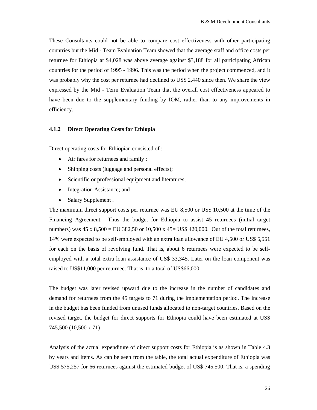These Consultants could not be able to compare cost effectiveness with other participating countries but the Mid - Team Evaluation Team showed that the average staff and office costs per returnee for Ethiopia at \$4,028 was above average against \$3,188 for all participating African countries for the period of 1995 - 1996. This was the period when the project commenced, and it was probably why the cost per returnee had declined to US\$ 2,440 since then. We share the view expressed by the Mid - Term Evaluation Team that the overall cost effectiveness appeared to have been due to the supplementary funding by IOM, rather than to any improvements in efficiency.

#### **4.1.2 Direct Operating Costs for Ethiopia**

Direct operating costs for Ethiopian consisted of :-

- Air fares for returnees and family ;
- Shipping costs (luggage and personal effects);
- Scientific or professional equipment and literatures;
- Integration Assistance; and
- Salary Supplement .

The maximum direct support costs per returnee was EU 8,500 or US\$ 10,500 at the time of the Financing Agreement. Thus the budget for Ethiopia to assist 45 returnees (initial target numbers) was  $45 \times 8,500 = EU$  382,50 or 10,500 x  $45 = US$$  420,000. Out of the total returnees, 14% were expected to be self-employed with an extra loan allowance of EU 4,500 or US\$ 5,551 for each on the basis of revolving fund. That is, about 6 returnees were expected to be selfemployed with a total extra loan assistance of US\$ 33,345. Later on the loan component was raised to US\$11,000 per returnee. That is, to a total of US\$66,000.

The budget was later revised upward due to the increase in the number of candidates and demand for returnees from the 45 targets to 71 during the implementation period. The increase in the budget has been funded from unused funds allocated to non-target countries. Based on the revised target, the budget for direct supports for Ethiopia could have been estimated at US\$ 745,500 (10,500 x 71)

Analysis of the actual expenditure of direct support costs for Ethiopia is as shown in Table 4.3 by years and items. As can be seen from the table, the total actual expenditure of Ethiopia was US\$ 575,257 for 66 returnees against the estimated budget of US\$ 745,500. That is, a spending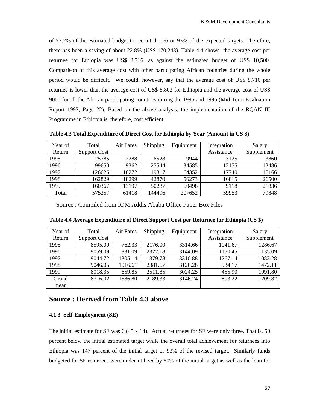of 77.2% of the estimated budget to recruit the 66 or 93% of the expected targets. Therefore, there has been a saving of about 22.8% (US\$ 170,243). Table 4.4 shows the average cost per returnee for Ethiopia was US\$ 8,716, as against the estimated budget of US\$ 10,500. Comparison of this average cost with other participating African countries during the whole period would be difficult. We could, however, say that the average cost of US\$ 8,716 per returnee is lower than the average cost of US\$ 8,803 for Ethiopia and the average cost of US\$ 9000 for all the African participating countries during the 1995 and 1996 (Mid Term Evaluation Report 1997, Page 22). Based on the above analysis, the implementation of the RQAN III Programme in Ethiopia is, therefore, cost efficient.

Year of Return Total Support Cost Air Fares | Shipping | Equipment | Integration Assistance Salary Supplement 1995 | 25785 | 2288 | 6528 | 9944 | 3125 | 3860 1996 | 99650 | 9362 | 25544 | 34585 | 12155 | 12486 1997 | 126626 | 18272 | 19317 | 64352 | 17740 | 15166 1998 | 162829 | 18299 | 42870 | 56273 | 16815 | 26500 1999 | 160367 | 13197 | 50237 | 60498 | 9118 | 21836 Total | 575257 | 61418 | 144496 | 207652 | 59953 | 79848

**Table 4.3 Total Expenditure of Direct Cost for Ethiopia by Year (Amount in US \$)** 

Source : Compiled from IOM Addis Ababa Office Paper Box Files

| Year of | Total               | Air Fares | Shipping | Equipment | Integration | Salary     |
|---------|---------------------|-----------|----------|-----------|-------------|------------|
| Return  | <b>Support Cost</b> |           |          |           | Assistance  | Supplement |
| 1995    | 8595.00             | 762.33    | 2176.00  | 3314.66   | 1041.67     | 1286.67    |
| 1996    | 9059.09             | 831.09    | 2322.18  | 3144.09   | 1150.45     | 1135.09    |
| 1997    | 9044.72             | 1305.14   | 1379.78  | 3310.88   | 1267.14     | 1083.28    |
| 1998    | 9046.05             | 1016.61   | 2381.67  | 3126.28   | 934.17      | 1472.11    |
| 1999    | 8018.35             | 659.85    | 2511.85  | 3024.25   | 455.90      | 1091.80    |
| Grand   | 8716.02             | 1586.80   | 2189.33  | 3146.24   | 893.22      | 1209.82    |
| mean    |                     |           |          |           |             |            |

**Table 4.4 Average Expenditure of Direct Support Cost per Returnee for Ethiopia (US \$)** 

## **Source : Derived from Table 4.3 above**

#### **4.1.3 Self-Employment (SE)**

The initial estimate for SE was  $6(45 \times 14)$ . Actual returnees for SE were only three. That is, 50 percent below the initial estimated target while the overall total achievement for returnees into Ethiopia was 147 percent of the initial target or 93% of the revised target. Similarly funds budgeted for SE returnees were under-utilized by 50% of the initial target as well as the loan for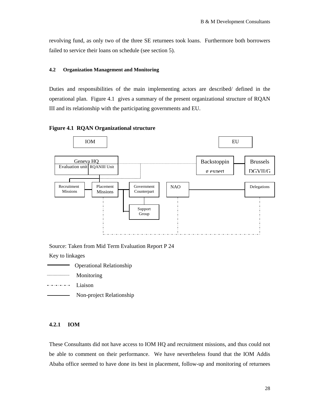revolving fund, as only two of the three SE returnees took loans. Furthermore both borrowers failed to service their loans on schedule (see section 5).

#### **4.2 Organization Management and Monitoring**

Duties and responsibilities of the main implementing actors are described/ defined in the operational plan. Figure 4.1 gives a summary of the present organizational structure of RQAN III and its relationship with the participating governments and EU.





Source: Taken from Mid Term Evaluation Report P 24

Key to linkages

- Operational Relationship
- Monitoring
- --------- Liaison
- Non-project Relationship

#### **4.2.1 IOM**

These Consultants did not have access to IOM HQ and recruitment missions, and thus could not be able to comment on their performance. We have nevertheless found that the IOM Addis Ababa office seemed to have done its best in placement, follow-up and monitoring of returnees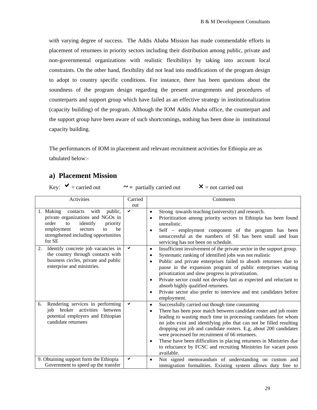with varying degree of success. The Addis Ababa Mission has made commendable efforts in placement of returnees in priority sectors including their distribution among public, private and non-governmental organizations with realistic flexibilitys by taking into account local constraints. On the other hand, flexibility did not lead into modifications of the program design to adopt to country specific conditions. For instance, there has been questions about the soundness of the program design regarding the present arrangements and procedures of counterparts and support group which have failed as an effective strategy in institutionalization (capacity building) of the program. Although the IOM Addis Ababa office, the counterpart and the support group have been aware of such shortcomings, nothing has been done in institutional capacity building.

The performances of IOM in placement and relevant recruitment activities for Ethiopia are as tabulated below:-

## **a) Placement Mission**

Key:  $\mathsf{v} =$  carried out  $\mathsf{v} =$  partially carried out  $\mathsf{v} =$  not carried out

Activities Carried out **Comments** 1. Making contacts with public, private organizations and NGOs in order to identify priority employment sectors to be strengthened including opportunities for SE  $\checkmark$  is strong towards teaching (university) and research. • Prioritization among priority sectors in Ethiopia has been found unrealistic. • Self – employment component of the program has been unsuccessful as the numbers of SE has been small and loan servicing has not been on schedule. 2. Identify concrete job vacancies in the country through contacts with business circles, private and public enterprise and ministries.  $\bullet$  Insufficient involvement of the private sector in the support group. Systematic ranking of identified jobs was not realistic • Public and private enterprises failed to absorb returnees due to pause in the expansion program of public enterprises waiting privatization and slow progress in privatization. • Private sector could not develop fast as expected and reluctant to absorb highly qualified returnees. • Private sector also prefer to interview and test candidates before employment. 6. Rendering services in performing job broker activities between potential employers and Ethiopian candidate returnees  $\triangleright$  Successfully carried out though time consuming There has been poor match between candidate roster and job roster leading to wasting much time in processing candidates for whom no jobs exist and identifying jobs that can not be filled resulting dropping out job and candidate rosters. E.g. about 200 candidates were processed for recruitment of 66 returnees. • These have been difficulties in placing returnees in Ministries due to reluctance by FCSC and recruiting Ministries for vacant posts available. 9. Obtaining support form the Ethiopia Government to speed up the transfer • Not signed memorandum of understanding on custom and immigration formalities. Existing system allows duty free to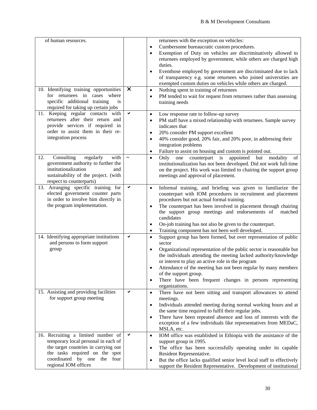| of human resources.<br>10. Identifying training opportunities<br>for returnees in cases where<br>specific additional training<br>is<br>required for taking up certain jobs<br>11. Keeping regular contacts with | $\times$<br>✔ | returnees with the exception on vehicles:<br>Cumbersome bureaucratic custom procedures.<br>$\bullet$<br>Exemption of Duty on vehicles are discriminatively allowed to<br>returnees employed by government, while others are charged high<br>duties.<br>Eventhose employed by government are discriminated due to lack<br>$\bullet$<br>of transparency e.g. some returnees who joined universities are<br>exempted custom duties on vehicles while others are charged.<br>Nothing spent in training of returnees<br>$\bullet$<br>PM tended to wait for request from returnees rather than assessing<br>$\bullet$<br>training needs<br>Low response rate to follow-up survey<br>$\bullet$ |
|-----------------------------------------------------------------------------------------------------------------------------------------------------------------------------------------------------------------|---------------|-----------------------------------------------------------------------------------------------------------------------------------------------------------------------------------------------------------------------------------------------------------------------------------------------------------------------------------------------------------------------------------------------------------------------------------------------------------------------------------------------------------------------------------------------------------------------------------------------------------------------------------------------------------------------------------------|
| returnees after their return and<br>provide services if required in<br>order to assist them in their re-<br>integration process                                                                                 |               | PM staff have a mixed relationship with returnees. Sample survey<br>$\bullet$<br>indicates that<br>20% consider PM support excellent<br>$\bullet$<br>40% consider good, 20% fair, and 20% poor, in addressing their<br>$\bullet$<br>integration problems<br>Failure to assist on housing and custom is pointed out.                                                                                                                                                                                                                                                                                                                                                                     |
| Consulting<br>12.<br>regularly<br>with<br>government authority to further the<br>institutionalization<br>and<br>sustainability of the project. (with<br>respect to counterparts)                                |               | Only one counterpart is appointed but<br>modality<br>of<br>$\bullet$<br>institutionalization has not been developed. Did not work full-time<br>on the project. His work was limited to chairing the support group<br>meetings and approval of placement.                                                                                                                                                                                                                                                                                                                                                                                                                                |
| 13. Arranging specific training for<br>elected government counter parts<br>in order to involve him directly in<br>the program implementation.                                                                   | ✔             | Informal training, and briefing was given to familiarize the<br>$\bullet$<br>counterpart with IOM procedures in recruitment and placement<br>procedures but not actual formal training.<br>The counterpart has been involved in placement through chairing<br>$\bullet$<br>the support group meetings and endorsements of<br>matched<br>candidates<br>On-job training has not also be given to the counterpart.<br>$\bullet$<br>Training component has not been well developed.<br>$\bullet$                                                                                                                                                                                            |
| 14. Identifying appropriate institutions<br>and persons to form support<br>group                                                                                                                                | ✔             | Support group has been formed, but over representation of public<br>$\bullet$<br>sector<br>Organizational representation of the public sector is reasonable but<br>$\bullet$<br>the individuals attending the meeting lacked authority/knowledge<br>or interest to play an active role in the program<br>Attendance of the meeting has not been regular by many members<br>of the support group.<br>There have been frequent changes in persons representing<br>$\bullet$<br>organizations.                                                                                                                                                                                             |
| 15. Assisting and providing facilities<br>for support group meeting                                                                                                                                             | ✔             | There have not been sitting and transport allowances to attend<br>$\bullet$<br>meetings.<br>Individuals attended meeting during normal working hours and at<br>$\bullet$<br>the same time required to fulfil their regular jobs.<br>There have been repeated absence and loss of interests with the<br>$\bullet$<br>exception of a few individuals like representatives from MEDaC,<br>MSLA, etc.                                                                                                                                                                                                                                                                                       |
| 16. Recruiting a limited number of<br>temporary local personal in each of<br>the target countries in carrying out<br>the tasks required on the spot<br>coordinated by one the four<br>regional IOM offices      | ✔             | IOM office was established in Ethiopia with the assistance of the<br>$\bullet$<br>support group in 1995.<br>The office has been successfully operating under its capable<br>$\bullet$<br>Resident Representative.<br>But the office lacks qualified senior level local staff to effectively<br>support the Resident Representative. Development of institutional                                                                                                                                                                                                                                                                                                                        |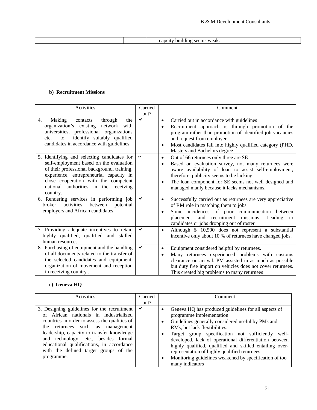|  | $M^{\alpha}$<br>וור<br>∙≂ar. |
|--|------------------------------|

## **b) Recruitment Missions**

| Activities                                                                                                                                                                                                                                                                    | Carried<br>out?       | Comment                                                                                                                                                                                                                                                                                                                         |
|-------------------------------------------------------------------------------------------------------------------------------------------------------------------------------------------------------------------------------------------------------------------------------|-----------------------|---------------------------------------------------------------------------------------------------------------------------------------------------------------------------------------------------------------------------------------------------------------------------------------------------------------------------------|
| 4.<br>Making<br>through<br>the<br>contacts<br>organization's existing network with<br>universities, professional organizations<br>identify suitably qualified<br>to<br>etc.<br>candidates in accordance with guidelines.                                                      | ✓                     | Carried out in accordance with guidelines<br>$\bullet$<br>Recruitment approach is through promotion of the<br>$\bullet$<br>program rather than promotion of identified job vacancies<br>and request from employer.<br>Most candidates fall into highly qualified category (PHD,<br>٠<br>Masters and Bachelors degree            |
| 5. Identifying and selecting candidates for<br>self-employment based on the evaluation<br>of their professional background, training,<br>experience, entrepreneurial capacity in<br>close cooperation with the competent<br>national authorities in the receiving<br>country. | $\tilde{\phantom{a}}$ | Out of 66 returnees only three are SE<br>$\bullet$<br>Based on evaluation survey, not many returnees were<br>٠<br>aware availability of loan to assist self-employment,<br>therefore, publicity seems to be lacking<br>The loan component for SE seems not well designed and<br>٠<br>managed manly because it lacks mechanisms. |
| 6. Rendering services in performing job<br>activities<br>between<br><b>broker</b><br>potential<br>employers and African candidates.                                                                                                                                           | $\checkmark$          | Successfully carried out as returnees are very appreciative<br>$\bullet$<br>of RM role in matching them to jobs<br>Some incidences of poor communication between<br>٠<br>and recruitment missions. Leading to<br>placement<br>candidates or jobs dropping out of roster                                                         |
| 7. Providing adequate incentives to retain<br>highly qualified, qualified and skilled<br>human resources.                                                                                                                                                                     | ✔                     | Although \$ 10,500 does not represent a substantial<br>$\bullet$<br>incentive only about 10 % of returnees have changed jobs.                                                                                                                                                                                                   |
| 8. Purchasing of equipment and the handling<br>of all documents related to the transfer of<br>the selected candidates and equipment,<br>organization of movement and reception<br>in receiving country.                                                                       | ✔                     | Equipment considered helpful by returnees.<br>٠<br>Many returnees experienced problems with customs<br>$\bullet$<br>clearance on arrival. PM assisted in as much as possible<br>but duty free import on vehicles does not cover returnees.<br>This created big problems to many returnees                                       |

## **c) Geneva HQ**

| Activities                                                                                                                                                                                                                                                                                                                                             | Carried | Comment                                                                                                                                                                                                                                                                                                                                                                                                                 |
|--------------------------------------------------------------------------------------------------------------------------------------------------------------------------------------------------------------------------------------------------------------------------------------------------------------------------------------------------------|---------|-------------------------------------------------------------------------------------------------------------------------------------------------------------------------------------------------------------------------------------------------------------------------------------------------------------------------------------------------------------------------------------------------------------------------|
|                                                                                                                                                                                                                                                                                                                                                        | out?    |                                                                                                                                                                                                                                                                                                                                                                                                                         |
| 3. Designing guidelines for the recruitment<br>of African nationals in industrialized<br>countries in order to assess the qualities of<br>the returnees such as management<br>leadership, capacity to transfer knowledge<br>and technology, etc., besides formal<br>educational qualifications, in accordance<br>with the defined target groups of the | ✔       | Geneva HQ has produced guidelines for all aspects of<br>٠<br>programme implementation<br>Guidelines generally considered useful by PMs and<br>$\bullet$<br>RMs, but lack flextibilities.<br>Target group specification not sufficiently well-<br>٠<br>developed, lack of operational differentiation between<br>highly qualified, qualified and skilled entailing over-<br>representation of highly qualified returnees |
| programme.                                                                                                                                                                                                                                                                                                                                             |         | Monitoring guidelines weakened by specification of too<br>$\bullet$<br>many indicators                                                                                                                                                                                                                                                                                                                                  |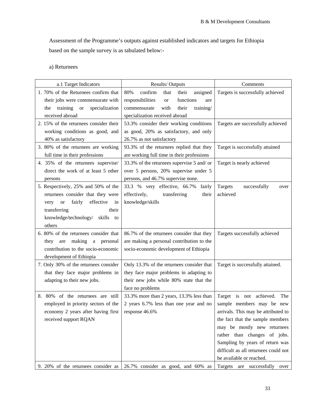Assessment of the Programme's outputs against established indicators and targets for Ethiopia based on the sample survey is as tabulated below:-

## a) Returnees

| a.1 Target Indicators                                      | Results/Outputs                                   | Comments                             |
|------------------------------------------------------------|---------------------------------------------------|--------------------------------------|
| 1. 70% of the Returnees confirm that                       | 80%<br>confirm<br>assigned<br>that<br>their       | Targets is successfully achieved     |
| their jobs were commensurate with                          | functions<br>responsibilities<br><b>or</b><br>are |                                      |
| training<br>specialization<br><sub>or</sub><br>the         | commensurate<br>with<br>their<br>training/        |                                      |
| received abroad                                            | specialization received abroad                    |                                      |
| 2. 15% of the returnees consider their                     | 53.3% consider their working conditions           | Targets are successfully achieved    |
| working conditions as good, and                            | as good, 20% as satisfactory, and only            |                                      |
| 40% as satisfactory                                        | 26.7% as not satisfactory                         |                                      |
| 3. 80% of the returnees are working                        | 93.3% of the returnees replied that they          | Target is successfully attained      |
| full time in their professions                             | are working full time in their professions        |                                      |
| 4. 35% of the returnees supervise/                         | 33.3% of the returnees supervise 5 and/ or        | Target is nearly achieved            |
| direct the work of at least 5 other                        | over 5 persons, 20% supervise under 5             |                                      |
| persons                                                    | persons, and 46.7% supervise none.                |                                      |
| 5. Respectively, 25% and 50% of the                        | 33.3 % very effective, 66.7%<br>fairly            | Targets<br>successfully<br>over      |
| returnees consider that they were                          | effectively,<br>transferring<br>their             | achieved                             |
| effective<br>fairly<br>$\hbox{or}\hskip 2mm$<br>in<br>very | knowledge/skills                                  |                                      |
| transferring<br>their                                      |                                                   |                                      |
| knowledge/technology/<br>skills to                         |                                                   |                                      |
| others                                                     |                                                   |                                      |
| 6. 80% of the returnees consider that                      | 86.7% of the returnees consider that they         | Targets successfully achieved        |
| making a personal<br>they are                              | are making a personal contribution to the         |                                      |
| contribution to the socio-economic                         | socio-economic development of Ethiopia            |                                      |
| development of Ethiopia                                    |                                                   |                                      |
| 7. Only 30% of the returnees consider                      | Only 13.3% of the returnees consider that         | Target is successfully attained.     |
| that they face major problems in                           | they face major problems in adapting to           |                                      |
| adapting to their new jobs.                                | their new jobs while 80% state that the           |                                      |
|                                                            | face no problems                                  |                                      |
| 8. 80% of the returnees are still                          | 33.3% more than 2 years, 13.3% less than          | Target is not achieved.<br>The       |
| employed in priority sectors of the                        | 2 years 6.7% less than one year and no            | sample members may be new            |
| economy 2 years after having first                         | response 46.6%                                    | arrivals. This may be attributed to  |
| received support RQAN                                      |                                                   | the fact that the sample members     |
|                                                            |                                                   | may be mostly new returnees          |
|                                                            |                                                   | rather than changes of jobs.         |
|                                                            |                                                   | Sampling by years of return was      |
|                                                            |                                                   | difficult as all returnees could not |
|                                                            |                                                   | be available or reached.             |
| 9. 20% of the returnees consider as                        | 26.7% consider as good, and 60% as                | Targets are successfully over        |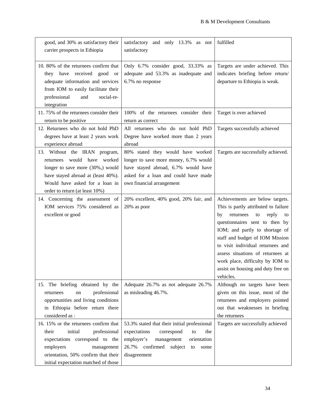| good, and 30% as satisfactory their<br>carrier prospects in Ethiopia                                                                                                                                                  | satisfactory and only 13.3% as not<br>satisfactory                                                                                                                                             | fulfilled                                                                                                                                                                                                                                                                                                                                                                               |
|-----------------------------------------------------------------------------------------------------------------------------------------------------------------------------------------------------------------------|------------------------------------------------------------------------------------------------------------------------------------------------------------------------------------------------|-----------------------------------------------------------------------------------------------------------------------------------------------------------------------------------------------------------------------------------------------------------------------------------------------------------------------------------------------------------------------------------------|
| 10.80% of the returnees confirm that<br>they have received good or<br>adequate information and services<br>from IOM to easily facilitate their<br>professional<br>social-re-<br>and<br>integration                    | Only 6.7% consider good, 33.33% as<br>adequate and 53.3% as inadequate and<br>6.7% no response                                                                                                 | Targets are under achieved. This<br>indicates briefing before return/<br>departure to Ethiopia is weak.                                                                                                                                                                                                                                                                                 |
| 11.75% of the returnees consider their<br>return to be positive                                                                                                                                                       | 100% of the returnees consider their<br>return as correct                                                                                                                                      | Target is over achieved                                                                                                                                                                                                                                                                                                                                                                 |
| 12. Returnees who do not hold PhD<br>degrees have at least 2 years work<br>experience abroad                                                                                                                          | All returnees who do not hold PhD<br>Degree have worked more than 2 years<br>abroad                                                                                                            | Targets successfully achieved                                                                                                                                                                                                                                                                                                                                                           |
| 13. Without the IRAN program,<br>returnees would have worked<br>longer to save more (30%,) would<br>have stayed abroad at (least 40%).<br>Would have asked for a loan in<br>order to return (at least 10%)            | 80% stated they would have worked<br>longer to save more money, 6.7% would<br>have stayed abroad, 6.7% would have<br>asked for a loan and could have made<br>own financial arrangement         | Targets are successfully achieved.                                                                                                                                                                                                                                                                                                                                                      |
| 14. Concerning the assessment of<br>IOM services 75% considered as<br>excellent or good                                                                                                                               | 20% excellent, 40% good, 20% fair, and<br>20% as poor                                                                                                                                          | Achievements are below targets.<br>This is partly attributed to failure<br>returnees<br>reply<br>by<br>to<br>to<br>questionnaires sent to then by<br>IOM; and partly to shortage of<br>staff and budget of IOM Mission<br>to visit individual returnees and<br>assess situations of returnees at<br>work place, difficulty by IOM to<br>assist on housing and duty free on<br>vehicles. |
| 15. The briefing obtained by the<br>professional<br>returnees<br>on<br>opportunities and living conditions<br>in Ethiopia before return there<br>considered as :                                                      | Adequate 26.7% as not adequate 26.7%<br>as misleading 46.7%.                                                                                                                                   | Although no targets have been<br>given on this issue, most of the<br>returnees and employers pointed<br>out that weaknesses in briefing<br>the returnees                                                                                                                                                                                                                                |
| 16. 15% or the returnees confirm that<br>initial<br>professional<br>their<br>expectations correspond to the<br>employers<br>management<br>orientation, 50% confirm that their<br>initial expectation matched of those | 53.3% stated that their initial professional<br>expectations<br>correspond<br>the<br>to<br>employer's<br>management<br>orientation<br>confirmed subject<br>26.7%<br>to<br>some<br>disagreement | Targets are successfully achieved                                                                                                                                                                                                                                                                                                                                                       |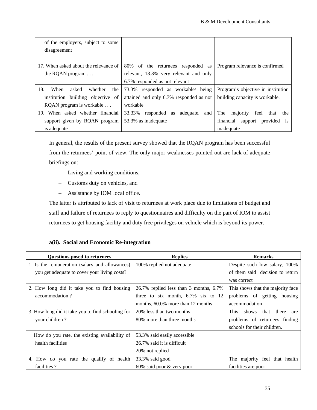| of the employers, subject to some<br>disagreement |                                               |                                                    |
|---------------------------------------------------|-----------------------------------------------|----------------------------------------------------|
| 17. When asked about the relevance of             | 80% of the returnees responded as             | Program relevance is confirmed                     |
| the RQAN program $\dots$                          | relevant, 13.3% very relevant and only        |                                                    |
|                                                   | 6.7% responded as not relevant                |                                                    |
| 18.<br>When<br>asked<br>whether<br>the            | 73.3% responded as workable/ being            | Program's objective in institution                 |
| institution building objective of                 | attained and only 6.7% responded as not       | building capacity is workable.                     |
| RQAN program is workable                          | workable                                      |                                                    |
| 19. When asked whether financial                  | 33.33%<br>responded<br>adequate,<br>and<br>as | The<br>majority<br>feel<br>that<br>the             |
| support given by RQAN program                     | 53.3% as inadequate                           | provided<br>financial<br>support<br><sup>1</sup> S |
| is adequate                                       |                                               | inadequate                                         |

In general, the results of the present survey showed that the RQAN program has been successful from the returnees' point of view. The only major weaknesses pointed out are lack of adequate briefings on:

- − Living and working conditions,
- − Customs duty on vehicles, and
- − Assistance by IOM local office.

The latter is attributed to lack of visit to returnees at work place due to limitations of budget and staff and failure of returnees to reply to questionnaires and difficulty on the part of IOM to assist returnees to get housing facility and duty free privileges on vehicle which is beyond its power.

## **a(ii). Social and Economic Re-integration**

| <b>Questions posed to returnees</b>               | <b>Replies</b>                         | <b>Remarks</b>                               |
|---------------------------------------------------|----------------------------------------|----------------------------------------------|
| 1. Is the remuneration (salary and allowances)    | 100% replied not adequate              | Despite such low salary, 100%                |
| you get adequate to cover your living costs?      |                                        | of them said decision to return              |
|                                                   |                                        | was correct                                  |
| 2. How long did it take you to find housing       | 26.7% replied less than 3 months, 6.7% | This shows that the majority face            |
| accommodation?                                    | three to six month, $6.7\%$ six to 12  | problems of getting housing                  |
|                                                   | months, 60.0% more than 12 months      | accommodation                                |
| 3. How long did it take you to find schooling for | 20% less than two months               | shows<br>that<br>there<br><b>This</b><br>are |
| your children?                                    | 80% more than three months             | problems of returnees finding                |
|                                                   |                                        | schools for their children.                  |
| How do you rate, the existing availability of     | 53.3% said easily accessible           |                                              |
| health facilities                                 | 26.7% said it is difficult             |                                              |
|                                                   | 20% not replied                        |                                              |
| 4. How do you rate the qualify of health          | 33.3% said good                        | The majority feel that health                |
| facilities?                                       | 60% said poor & very poor              | facilities are poor.                         |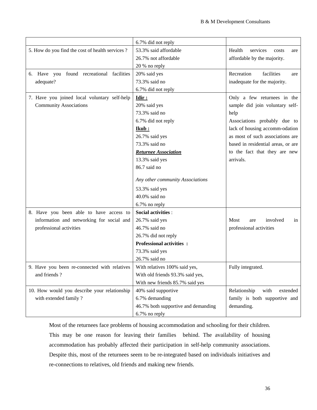|                                                 | 6.7% did not reply                  |                                    |
|-------------------------------------------------|-------------------------------------|------------------------------------|
| 5. How do you find the cost of health services? | 53.3% said affordable               | Health<br>services<br>costs<br>are |
|                                                 | 26.7% not affordable                | affordable by the majority.        |
|                                                 | 20 % no reply                       |                                    |
| 6. Have you found recreational facilities       | 20% said yes                        | Recreation<br>facilities<br>are    |
| adequate?                                       | 73.3% said no                       | inadequate for the majority.       |
|                                                 | 6.7% did not reply                  |                                    |
| 7. Have you joined local voluntary self-help    | Idir:                               | Only a few returnees in the        |
| <b>Community Associations</b>                   | 20% said yes                        | sample did join voluntary self-    |
|                                                 | 73.3% said no                       | help                               |
|                                                 | 6.7% did not reply                  | Associations probably due to       |
|                                                 | <u>Ikub:</u>                        | lack of housing accomm-odation     |
|                                                 | 26.7% said yes                      | as most of such associations are   |
|                                                 | 73.3% said no                       | based in residential areas, or are |
|                                                 | <b>Returnee Association</b>         | to the fact that they are new      |
|                                                 | 13.3% said yes                      | arrivals.                          |
|                                                 | 86.7 said no                        |                                    |
|                                                 |                                     |                                    |
|                                                 | Any other community Associations    |                                    |
|                                                 | 53.3% said yes                      |                                    |
|                                                 | 40.0% said no                       |                                    |
|                                                 | 6.7% no reply                       |                                    |
| 8. Have you been able to have access to         | <b>Social activities:</b>           |                                    |
| information and networking for social and       | 26.7% said yes                      | Most<br>involved<br>in<br>are      |
| professional activities                         | 46.7% said no                       | professional activities            |
|                                                 | 26.7% did not reply                 |                                    |
|                                                 | <b>Professional activities :</b>    |                                    |
|                                                 | 73.3% said yes                      |                                    |
|                                                 | 26.7% said no                       |                                    |
| 9. Have you been re-connected with relatives    | With relatives 100% said yes,       | Fully integrated.                  |
| and friends?                                    | With old friends 93.3% said yes,    |                                    |
|                                                 | With new friends 85.7% said yes     |                                    |
| 10. How would you describe your relationship    | 40% said supportive                 | Relationship<br>with<br>extended   |
| with extended family?                           | 6.7% demanding                      | family is both supportive and      |
|                                                 | 46.7% both supportive and demanding | demanding.                         |
|                                                 | 6.7% no reply                       |                                    |

Most of the returnees face problems of housing accommodation and schooling for their children. This may be one reason for leaving their families behind. The availability of housing accommodation has probably affected their participation in self-help community associations. Despite this, most of the returnees seem to be re-integrated based on individuals initiatives and re-connections to relatives, old friends and making new friends.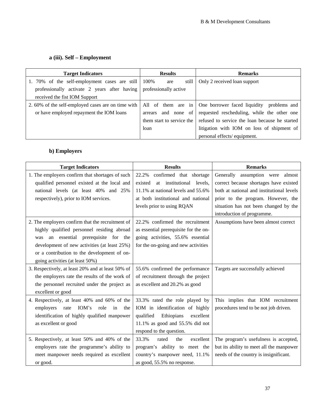## **a (iii). Self – Employment**

| <b>Target Indicators</b>                                           | <b>Results</b>       | <b>Remarks</b>                                                           |  |
|--------------------------------------------------------------------|----------------------|--------------------------------------------------------------------------|--|
| 1. 70% of the self-employment cases are still                      | 100%<br>still<br>are | Only 2 received loan support                                             |  |
| professionally activate 2 years after having professionally active |                      |                                                                          |  |
| received the fist IOM Support                                      |                      |                                                                          |  |
| 2.60% of the self-employed cases are on time with                  |                      | All of them are in One borrower faced liquidity problems and             |  |
| or have employed repayment the IOM loans                           | arrears              | and none of requested rescheduling, while the other one                  |  |
|                                                                    |                      | them start to service the refused to service the loan because he started |  |
|                                                                    | loan                 | litigation with IOM on loss of shipment of                               |  |
|                                                                    |                      | personal effects/equipment.                                              |  |

## **b) Employers**

| <b>Target Indicators</b>                                            | <b>Results</b>                        | <b>Remarks</b>                            |
|---------------------------------------------------------------------|---------------------------------------|-------------------------------------------|
| 1. The employers confirm that shortages of such                     | 22.2% confirmed that shortage         | Generally assumption were almost          |
| qualified personnel existed at the local and                        | at institutional levels,<br>existed   | correct because shortages have existed    |
| national levels (at least 40% and 25%                               | 11.1% at national levels and 55.6%    | both at national and institutional levels |
| respectively), prior to IOM services.                               | at both institutional and national    | prior to the program. However, the        |
|                                                                     | levels prior to using RQAN            | situation has not been changed by the     |
|                                                                     |                                       | introduction of programme.                |
| 2. The employers confirm that the recruitment of                    | 22.2% confirmed the recruitment       | Assumptions have been almost correct      |
| highly qualified personnel residing abroad                          | as essential prerequisite for the on- |                                           |
| was an essential prerequisite for the                               | going activities, 55.6% essential     |                                           |
| development of new activities (at least 25%)                        | for the on-going and new activities   |                                           |
| or a contribution to the development of on-                         |                                       |                                           |
| going activities (at least 50%)                                     |                                       |                                           |
| 3. Respectively, at least 20% and at least 50% of                   | 55.6% confirmed the performance       | Targets are successfully achieved         |
| the employers rate the results of the work of                       | of recruitment through the project    |                                           |
| the personnel recruited under the project as                        | as excellent and 20.2% as good        |                                           |
| excellent or good                                                   |                                       |                                           |
| 4. Respectively, at least 40% and 60% of the                        | 33.3% rated the role played by        | This implies that IOM recruitment         |
| IOM's<br>rate<br>employers<br>role<br>$\overline{\text{in}}$<br>the | IOM in identification of highly       | procedures tend to be not job driven.     |
| identification of highly qualified manpower                         | qualified<br>Ethiopians<br>excellent  |                                           |
| as excellent or good                                                | 11.1% as good and $55.5%$ did not     |                                           |
|                                                                     | respond to the question.              |                                           |
| 5. Respectively, at least 50% and 40% of the                        | 33.3%<br>excellent<br>rated<br>the    | The program's usefulness is accepted,     |
| employers rate the programme's ability to                           | program's ability to meet the         | but its ability to meet all the manpower  |
| meet manpower needs required as excellent                           | country's manpower need, 11.1%        | needs of the country is insignificant.    |
| or good.                                                            | as good, 55.5% no response.           |                                           |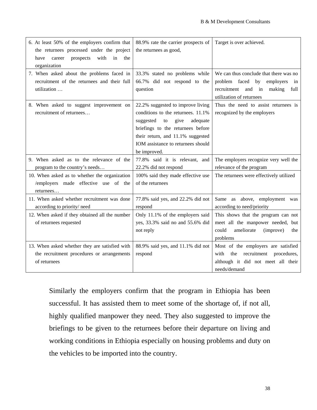| 6. At least 50% of the employers confirm that<br>the returnees processed under the project<br>with<br>prospects<br>in<br>have<br>career<br>the<br>organization | 88.9% rate the carrier prospects of<br>the returnees as good,                                                                                                                                                                                  | Target is over achieved.                                                                                                                             |
|----------------------------------------------------------------------------------------------------------------------------------------------------------------|------------------------------------------------------------------------------------------------------------------------------------------------------------------------------------------------------------------------------------------------|------------------------------------------------------------------------------------------------------------------------------------------------------|
| 7. When asked about the problems faced in<br>recruitment of the returnees and their full<br>utilization                                                        | 33.3% stated no problems while<br>66.7% did not respond to the<br>question                                                                                                                                                                     | We can thus conclude that there was no<br>problem faced<br>by<br>employers<br>in<br>recruitment and in<br>making<br>full<br>utilization of returnees |
| 8. When asked to suggest improvement on<br>recruitment of returnees                                                                                            | 22.2% suggested to improve living<br>conditions to the returnees. 11.1%<br>suggested<br>to<br>give<br>adequate<br>briefings to the returnees before<br>their return, and 11.1% suggested<br>IOM assistance to returnees should<br>be improved. | Thus the need to assist returnees is<br>recognized by the employers                                                                                  |
|                                                                                                                                                                |                                                                                                                                                                                                                                                |                                                                                                                                                      |
| 9. When asked as to the relevance of the<br>program to the country's needs                                                                                     | 77.8% said it is relevant, and<br>22.2% did not respond                                                                                                                                                                                        | The employers recognize very well the<br>relevance of the program                                                                                    |
| 10. When asked as to whether the organization<br>/employers made effective use of the<br>returnees                                                             | 100% said they made effective use<br>of the returnees                                                                                                                                                                                          | The returnees were effectively utilized                                                                                                              |
| 11. When asked whether recruitment was done<br>according to priority/need                                                                                      | 77.8% said yes, and 22.2% did not<br>respond                                                                                                                                                                                                   | Same as above, employment was<br>according to need/priority                                                                                          |
| 12. When asked if they obtained all the number<br>of returnees requested                                                                                       | Only 11.1% of the employers said<br>yes, 33.3% said no and 55.6% did<br>not reply                                                                                                                                                              | This shows that the program can not<br>meet all the manpower needed, but<br>ameliorate<br>(improve)<br>could<br>the<br>problems                      |

Similarly the employers confirm that the program in Ethiopia has been successful. It has assisted them to meet some of the shortage of, if not all, highly qualified manpower they need. They also suggested to improve the briefings to be given to the returnees before their departure on living and working conditions in Ethiopia especially on housing problems and duty on the vehicles to be imported into the country.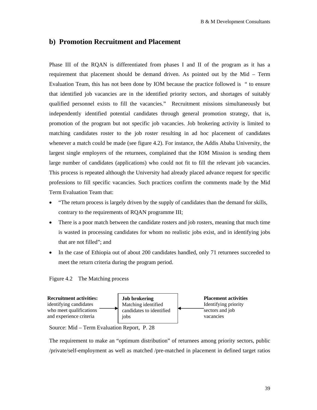## **b) Promotion Recruitment and Placement**

Phase III of the RQAN is differentiated from phases I and II of the program as it has a requirement that placement should be demand driven. As pointed out by the Mid – Term Evaluation Team, this has not been done by IOM because the practice followed is " to ensure that identified job vacancies are in the identified priority sectors, and shortages of suitably qualified personnel exists to fill the vacancies." Recruitment missions simultaneously but independently identified potential candidates through general promotion strategy, that is, promotion of the program but not specific job vacancies. Job brokering activity is limited to matching candidates roster to the job roster resulting in ad hoc placement of candidates whenever a match could be made (see figure 4.2). For instance, the Addis Ababa University, the largest single employers of the returnees, complained that the IOM Mission is sending them large number of candidates (applications) who could not fit to fill the relevant job vacancies. This process is repeated although the University had already placed advance request for specific professions to fill specific vacancies. Such practices confirm the comments made by the Mid Term Evaluation Team that:

- "The return process is largely driven by the supply of candidates than the demand for skills, contrary to the requirements of RQAN programme III;
- There is a poor match between the candidate rosters and job rosters, meaning that much time is wasted in processing candidates for whom no realistic jobs exist, and in identifying jobs that are not filled"; and
- In the case of Ethiopia out of about 200 candidates handled, only 71 returnees succeeded to meet the return criteria during the program period.





Source: Mid – Term Evaluation Report, P. 28

The requirement to make an "optimum distribution" of returnees among priority sectors, public /private/self-employment as well as matched /pre-matched in placement in defined target ratios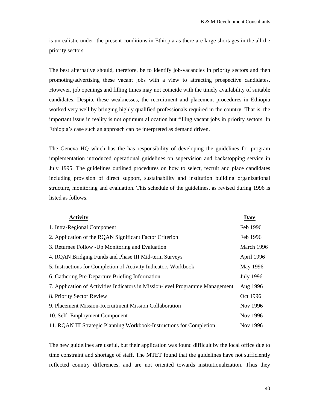is unrealistic under the present conditions in Ethiopia as there are large shortages in the all the priority sectors.

The best alternative should, therefore, be to identify job-vacancies in priority sectors and then promoting/advertising these vacant jobs with a view to attracting prospective candidates. However, job openings and filling times may not coincide with the timely availability of suitable candidates. Despite these weaknesses, the recruitment and placement procedures in Ethiopia worked very well by bringing highly qualified professionals required in the country. That is, the important issue in reality is not optimum allocation but filling vacant jobs in priority sectors. In Ethiopia's case such an approach can be interpreted as demand driven.

The Geneva HQ which has the has responsibility of developing the guidelines for program implementation introduced operational guidelines on supervision and backstopping service in July 1995. The guidelines outlined procedures on how to select, recruit and place candidates including provision of direct support, sustainability and institution building organizational structure, monitoring and evaluation. This schedule of the guidelines, as revised during 1996 is listed as follows.

| <b>Activity</b>                                                               | Date             |
|-------------------------------------------------------------------------------|------------------|
| 1. Intra-Regional Component                                                   | Feb 1996         |
| 2. Application of the RQAN Significant Factor Criterion                       | Feb 1996         |
| 3. Returnee Follow - Up Monitoring and Evaluation                             | March 1996       |
| 4. RQAN Bridging Funds and Phase III Mid-term Surveys                         | April 1996       |
| 5. Instructions for Completion of Activity Indicators Workbook                | May 1996         |
| 6. Gathering Pre-Departure Briefing Information                               | <b>July 1996</b> |
| 7. Application of Activities Indicators in Mission-level Programme Management | Aug 1996         |
| 8. Priority Sector Review                                                     | Oct 1996         |
| 9. Placement Mission-Recruitment Mission Collaboration                        | Nov 1996         |
| 10. Self-Employment Component                                                 | Nov 1996         |
| 11. RQAN III Strategic Planning Workbook-Instructions for Completion          | Nov 1996         |

The new guidelines are useful, but their application was found difficult by the local office due to time constraint and shortage of staff. The MTET found that the guidelines have not sufficiently reflected country differences, and are not oriented towards institutionalization. Thus they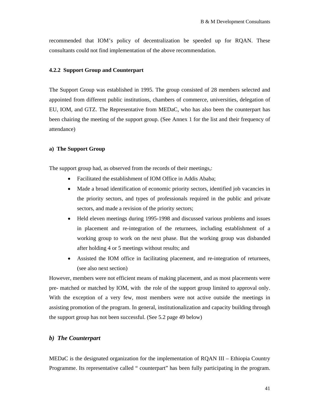recommended that IOM's policy of decentralization be speeded up for RQAN. These consultants could not find implementation of the above recommendation.

#### **4.2.2 Support Group and Counterpart**

The Support Group was established in 1995. The group consisted of 28 members selected and appointed from different public institutions, chambers of commerce, universities, delegation of EU, IOM, and GTZ. The Representative from MEDaC, who has also been the counterpart has been chairing the meeting of the support group. (See Annex 1 for the list and their frequency of attendance)

#### **a) The Support Group**

The support group had, as observed from the records of their meetings,:

- Facilitated the establishment of IOM Office in Addis Ababa;
- Made a broad identification of economic priority sectors, identified job vacancies in the priority sectors, and types of professionals required in the public and private sectors, and made a revision of the priority sectors;
- Held eleven meetings during 1995-1998 and discussed various problems and issues in placement and re-integration of the returnees, including establishment of a working group to work on the next phase. But the working group was disbanded after holding 4 or 5 meetings without results; and
- Assisted the IOM office in facilitating placement, and re-integration of returnees, (see also next section)

However, members were not efficient means of making placement, and as most placements were pre- matched or matched by IOM, with the role of the support group limited to approval only. With the exception of a very few, most members were not active outside the meetings in assisting promotion of the program. In general, institutionalization and capacity building through the support group has not been successful. (See 5.2 page 49 below)

#### *b) The Counterpart*

MEDaC is the designated organization for the implementation of RQAN III – Ethiopia Country Programme. Its representative called " counterpart" has been fully participating in the program.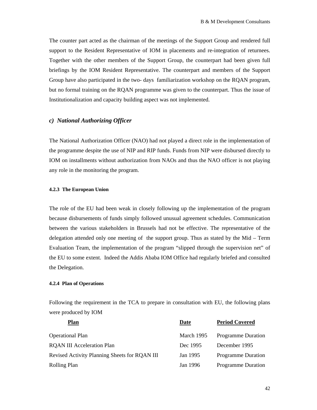The counter part acted as the chairman of the meetings of the Support Group and rendered full support to the Resident Representative of IOM in placements and re-integration of returnees. Together with the other members of the Support Group, the counterpart had been given full briefings by the IOM Resident Representative. The counterpart and members of the Support Group have also participated in the two- days familiarization workshop on the RQAN program, but no formal training on the RQAN programme was given to the counterpart. Thus the issue of Institutionalization and capacity building aspect was not implemented.

## *c) National Authorizing Officer*

The National Authorization Officer (NAO) had not played a direct role in the implementation of the programme despite the use of NIP and RIP funds. Funds from NIP were disbursed directly to IOM on installments without authorization from NAOs and thus the NAO officer is not playing any role in the monitoring the program.

#### **4.2.3 The European Union**

The role of the EU had been weak in closely following up the implementation of the program because disbursements of funds simply followed unusual agreement schedules. Communication between the various stakeholders in Brussels had not be effective. The representative of the delegation attended only one meeting of the support group. Thus as stated by the Mid – Term Evaluation Team, the implementation of the program "slipped through the supervision net" of the EU to some extent. Indeed the Addis Ababa IOM Office had regularly briefed and consulted the Delegation.

#### **4.2.4 Plan of Operations**

Following the requirement in the TCA to prepare in consultation with EU, the following plans were produced by IOM

| Plan                                          | Date       | <b>Period Covered</b>     |
|-----------------------------------------------|------------|---------------------------|
| <b>Operational Plan</b>                       | March 1995 | <b>Programme Duration</b> |
| <b>ROAN III Acceleration Plan</b>             | Dec 1995   | December 1995             |
| Revised Activity Planning Sheets for RQAN III | Jan 1995   | <b>Programme Duration</b> |
| Rolling Plan                                  | Jan 1996   | <b>Programme Duration</b> |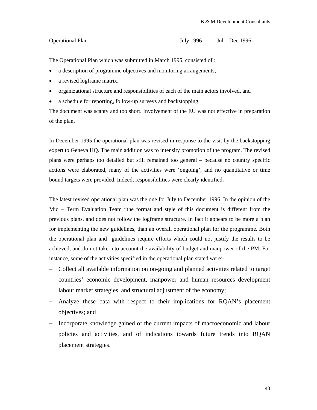The Operational Plan which was submitted in March 1995, consisted of :

- a description of programme objectives and monitoring arrangements,
- a revised logframe matrix,
- organizational structure and responsibilities of each of the main actors involved, and
- a schedule for reporting, follow-up surveys and backstopping.

The document was scanty and too short. Involvement of the EU was not effective in preparation of the plan.

In December 1995 the operational plan was revised in response to the visit by the backstopping expert to Geneva HQ. The main addition was to intensity promotion of the program. The revised plans were perhaps too detailed but still remained too general – because no country specific actions were elaborated, many of the activities were 'ongoing', and no quantitative or time bound targets were provided. Indeed, responsibilities were clearly identified.

The latest revised operational plan was the one for July to December 1996. In the opinion of the Mid – Term Evaluation Team "the format and style of this document is different from the previous plans, and does not follow the logframe structure. In fact it appears to be more a plan for implementing the new guidelines, than an overall operational plan for the programme. Both the operational plan and guidelines require efforts which could not justify the results to be achieved, and do not take into account the availability of budget and manpower of the PM. For instance, some of the activities specified in the operational plan stated were:-

- − Collect all available information on on-going and planned activities related to target countries' economic development, manpower and human resources development labour market strategies, and structural adjustment of the economy;
- − Analyze these data with respect to their implications for RQAN's placement objectives; and
- − Incorporate knowledge gained of the current impacts of macroeconomic and labour policies and activities, and of indications towards future trends into RQAN placement strategies.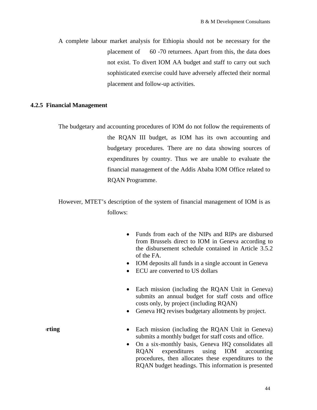A complete labour market analysis for Ethiopia should not be necessary for the placement of 60 -70 returnees. Apart from this, the data does not exist. To divert IOM AA budget and staff to carry out such sophisticated exercise could have adversely affected their normal placement and follow-up activities.

## **4.2.5 Financial Management**

The budgetary and accounting procedures of IOM do not follow the requirements of the RQAN III budget, as IOM has its own accounting and budgetary procedures. There are no data showing sources of expenditures by country. Thus we are unable to evaluate the financial management of the Addis Ababa IOM Office related to RQAN Programme.

However, MTET's description of the system of financial management of IOM is as follows:

- Funds from each of the NIPs and RIPs are disbursed from Brussels direct to IOM in Geneva according to the disbursement schedule contained in Article 3.5.2 of the FA.
- IOM deposits all funds in a single account in Geneva
- ECU are converted to US dollars
- Each mission (including the RQAN Unit in Geneva) submits an annual budget for staff costs and office costs only, by project (including RQAN)
- Geneva HO revises budgetary allotments by project.

- **orting** Each mission (including the RQAN Unit in Geneva) submits a monthly budget for staff costs and office.
	- On a six-monthly basis, Geneva HQ consolidates all RQAN expenditures using IOM accounting procedures, then allocates these expenditures to the RQAN budget headings. This information is presented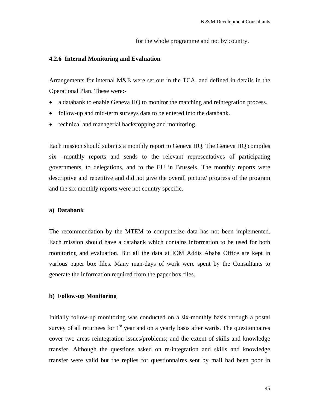for the whole programme and not by country.

#### **4.2.6 Internal Monitoring and Evaluation**

Arrangements for internal M&E were set out in the TCA, and defined in details in the Operational Plan. These were:-

- a databank to enable Geneva HQ to monitor the matching and reintegration process.
- follow-up and mid-term surveys data to be entered into the databank.
- technical and managerial backstopping and monitoring.

Each mission should submits a monthly report to Geneva HQ. The Geneva HQ compiles six –monthly reports and sends to the relevant representatives of participating governments, to delegations, and to the EU in Brussels. The monthly reports were descriptive and repetitive and did not give the overall picture/ progress of the program and the six monthly reports were not country specific.

## **a) Databank**

The recommendation by the MTEM to computerize data has not been implemented. Each mission should have a databank which contains information to be used for both monitoring and evaluation. But all the data at IOM Addis Ababa Office are kept in various paper box files. Many man-days of work were spent by the Consultants to generate the information required from the paper box files.

## **b) Follow-up Monitoring**

Initially follow-up monitoring was conducted on a six-monthly basis through a postal survey of all returnees for  $1<sup>st</sup>$  year and on a yearly basis after wards. The questionnaires cover two areas reintegration issues/problems; and the extent of skills and knowledge transfer. Although the questions asked on re-integration and skills and knowledge transfer were valid but the replies for questionnaires sent by mail had been poor in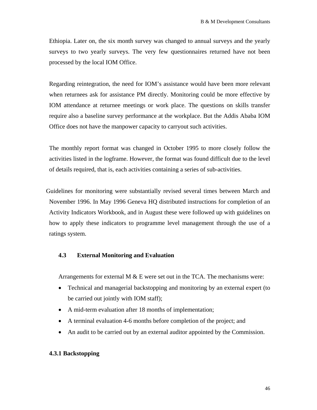Ethiopia. Later on, the six month survey was changed to annual surveys and the yearly surveys to two yearly surveys. The very few questionnaires returned have not been processed by the local IOM Office.

Regarding reintegration, the need for IOM's assistance would have been more relevant when returnees ask for assistance PM directly. Monitoring could be more effective by IOM attendance at returnee meetings or work place. The questions on skills transfer require also a baseline survey performance at the workplace. But the Addis Ababa IOM Office does not have the manpower capacity to carryout such activities.

The monthly report format was changed in October 1995 to more closely follow the activities listed in the logframe. However, the format was found difficult due to the level of details required, that is, each activities containing a series of sub-activities.

Guidelines for monitoring were substantially revised several times between March and November 1996. In May 1996 Geneva HQ distributed instructions for completion of an Activity Indicators Workbook, and in August these were followed up with guidelines on how to apply these indicators to programme level management through the use of a ratings system.

## **4.3 External Monitoring and Evaluation**

Arrangements for external M  $&$  E were set out in the TCA. The mechanisms were:

- Technical and managerial backstopping and monitoring by an external expert (to be carried out jointly with IOM staff);
- A mid-term evaluation after 18 months of implementation;
- A terminal evaluation 4-6 months before completion of the project; and
- An audit to be carried out by an external auditor appointed by the Commission.

## **4.3.1 Backstopping**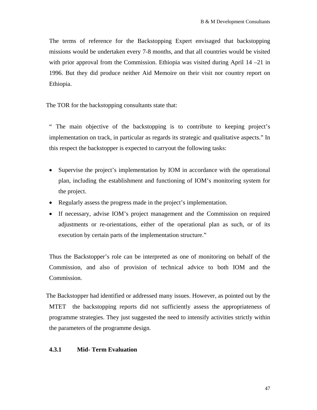The terms of reference for the Backstopping Expert envisaged that backstopping missions would be undertaken every 7-8 months, and that all countries would be visited with prior approval from the Commission. Ethiopia was visited during April 14 –21 in 1996. But they did produce neither Aid Memoire on their visit nor country report on Ethiopia.

The TOR for the backstopping consultants state that:

" The main objective of the backstopping is to contribute to keeping project's implementation on track, in particular as regards its strategic and qualitative aspects." In this respect the backstopper is expected to carryout the following tasks:

- Supervise the project's implementation by IOM in accordance with the operational plan, including the establishment and functioning of IOM's monitoring system for the project.
- Regularly assess the progress made in the project's implementation.
- If necessary, advise IOM's project management and the Commission on required adjustments or re-orientations, either of the operational plan as such, or of its execution by certain parts of the implementation structure."

Thus the Backstopper's role can be interpreted as one of monitoring on behalf of the Commission, and also of provision of technical advice to both IOM and the Commission.

The Backstopper had identified or addressed many issues. However, as pointed out by the MTET the backstopping reports did not sufficiently assess the appropriateness of programme strategies. They just suggested the need to intensify activities strictly within the parameters of the programme design.

## **4.3.1 Mid- Term Evaluation**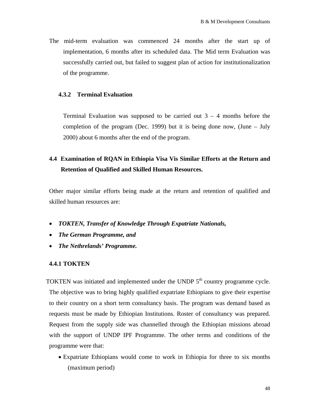The mid-term evaluation was commenced 24 months after the start up of implementation, 6 months after its scheduled data. The Mid term Evaluation was successfully carried out, but failed to suggest plan of action for institutionalization of the programme.

#### **4.3.2 Terminal Evaluation**

Terminal Evaluation was supposed to be carried out  $3 - 4$  months before the completion of the program (Dec. 1999) but it is being done now, (June – July 2000) about 6 months after the end of the program.

# **4.4 Examination of RQAN in Ethiopia Visa Vis Similar Efforts at the Return and Retention of Qualified and Skilled Human Resources.**

Other major similar efforts being made at the return and retention of qualified and skilled human resources are:

- *TOKTEN, Transfer of Knowledge Through Expatriate Nationals,*
- *The German Programme, and*
- *The Nethrelands' Programme.*

#### **4.4.1 TOKTEN**

TOKTEN was initiated and implemented under the UNDP  $5<sup>th</sup>$  country programme cycle. The objective was to bring highly qualified expatriate Ethiopians to give their expertise to their country on a short term consultancy basis. The program was demand based as requests must be made by Ethiopian Institutions. Roster of consultancy was prepared. Request from the supply side was channelled through the Ethiopian missions abroad with the support of UNDP IPF Programme. The other terms and conditions of the programme were that:

• Expatriate Ethiopians would come to work in Ethiopia for three to six months (maximum period)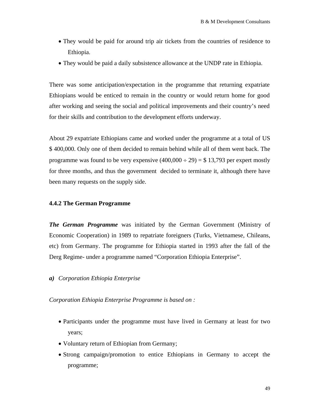- They would be paid for around trip air tickets from the countries of residence to Ethiopia.
- They would be paid a daily subsistence allowance at the UNDP rate in Ethiopia.

There was some anticipation/expectation in the programme that returning expatriate Ethiopians would be enticed to remain in the country or would return home for good after working and seeing the social and political improvements and their country's need for their skills and contribution to the development efforts underway.

About 29 expatriate Ethiopians came and worked under the programme at a total of US \$ 400,000. Only one of them decided to remain behind while all of them went back. The programme was found to be very expensive  $(400,000 \div 29) = $ 13,793$  per expert mostly for three months, and thus the government decided to terminate it, although there have been many requests on the supply side.

#### **4.4.2 The German Programme**

*The German Programme* was initiated by the German Government (Ministry of Economic Cooperation) in 1989 to repatriate foreigners (Turks, Vietnamese, Chileans, etc) from Germany. The programme for Ethiopia started in 1993 after the fall of the Derg Regime- under a programme named "Corporation Ethiopia Enterprise".

*a) Corporation Ethiopia Enterprise* 

*Corporation Ethiopia Enterprise Programme is based on :* 

- Participants under the programme must have lived in Germany at least for two years;
- Voluntary return of Ethiopian from Germany;
- Strong campaign/promotion to entice Ethiopians in Germany to accept the programme;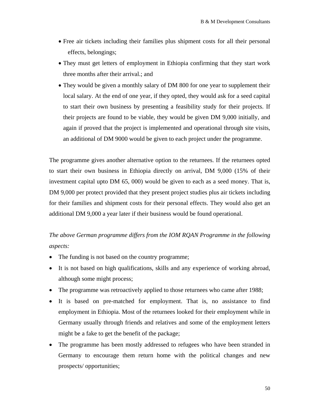- Free air tickets including their families plus shipment costs for all their personal effects, belongings;
- They must get letters of employment in Ethiopia confirming that they start work three months after their arrival.; and
- They would be given a monthly salary of DM 800 for one year to supplement their local salary. At the end of one year, if they opted, they would ask for a seed capital to start their own business by presenting a feasibility study for their projects. If their projects are found to be viable, they would be given DM 9,000 initially, and again if proved that the project is implemented and operational through site visits, an additional of DM 9000 would be given to each project under the programme.

The programme gives another alternative option to the returnees. If the returnees opted to start their own business in Ethiopia directly on arrival, DM 9,000 (15% of their investment capital upto DM 65, 000) would be given to each as a seed money. That is, DM 9,000 per protect provided that they present project studies plus air tickets including for their families and shipment costs for their personal effects. They would also get an additional DM 9,000 a year later if their business would be found operational.

# *The above German programme differs from the IOM RQAN Programme in the following aspects:*

- The funding is not based on the country programme;
- It is not based on high qualifications, skills and any experience of working abroad, although some might process;
- The programme was retroactively applied to those returnees who came after 1988;
- It is based on pre-matched for employment. That is, no assistance to find employment in Ethiopia. Most of the returnees looked for their employment while in Germany usually through friends and relatives and some of the employment letters might be a fake to get the benefit of the package;
- The programme has been mostly addressed to refugees who have been stranded in Germany to encourage them return home with the political changes and new prospects/ opportunities;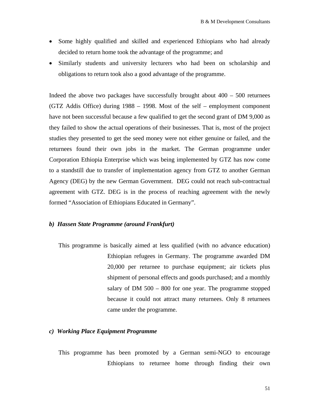- Some highly qualified and skilled and experienced Ethiopians who had already decided to return home took the advantage of the programme; and
- Similarly students and university lecturers who had been on scholarship and obligations to return took also a good advantage of the programme.

Indeed the above two packages have successfully brought about  $400 - 500$  returnees (GTZ Addis Office) during 1988 – 1998. Most of the self – employment component have not been successful because a few qualified to get the second grant of DM 9,000 as they failed to show the actual operations of their businesses. That is, most of the project studies they presented to get the seed money were not either genuine or failed, and the returnees found their own jobs in the market. The German programme under Corporation Ethiopia Enterprise which was being implemented by GTZ has now come to a standstill due to transfer of implementation agency from GTZ to another German Agency (DEG) by the new German Government. DEG could not reach sub-contractual agreement with GTZ. DEG is in the process of reaching agreement with the newly formed "Association of Ethiopians Educated in Germany".

#### *b) Hassen State Programme (around Frankfurt)*

This programme is basically aimed at less qualified (with no advance education) Ethiopian refugees in Germany. The programme awarded DM 20,000 per returnee to purchase equipment; air tickets plus shipment of personal effects and goods purchased; and a monthly salary of DM 500 – 800 for one year. The programme stopped because it could not attract many returnees. Only 8 returnees came under the programme.

## *c) Working Place Equipment Programme*

This programme has been promoted by a German semi-NGO to encourage Ethiopians to returnee home through finding their own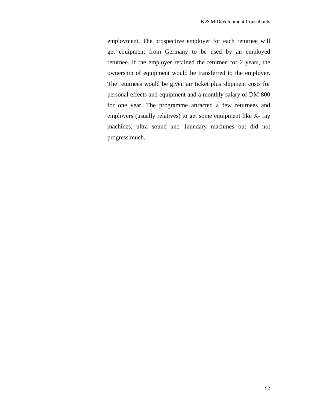employment. The prospective employer for each returnee will get equipment from Germany to be used by an employed returnee. If the employer retained the returnee for 2 years, the ownership of equipment would be transferred to the employer. The returnees would be given air ticket plus shipment costs for personal effects and equipment and a monthly salary of DM 800 for one year. The programme attracted a few returnees and employers (usually relatives) to get some equipment like X- ray machines, ultra sound and 1aundary machines but did not progress much.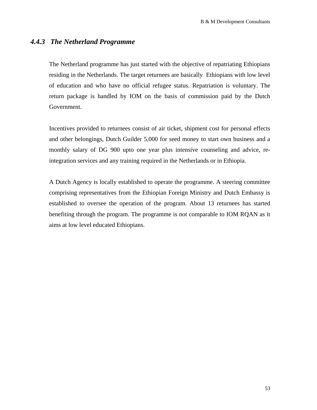## *4.4.3 The Netherland Programme*

The Netherland programme has just started with the objective of repatriating Ethiopians residing in the Netherlands. The target returnees are basically Ethiopians with low level of education and who have no official refugee status. Repatriation is voluntary. The return package is handled by IOM on the basis of commission paid by the Dutch Government.

Incentives provided to returnees consist of air ticket, shipment cost for personal effects and other belongings, Dutch Guilder 5,000 for seed money to start own business and a monthly salary of DG 900 upto one year plus intensive counseling and advice, reintegration services and any training required in the Netherlands or in Ethiopia.

A Dutch Agency is locally established to operate the programme. A steering committee comprising representatives from the Ethiopian Foreign Ministry and Dutch Embassy is established to oversee the operation of the program. About 13 returnees has started benefiting through the program. The programme is not comparable to IOM RQAN as it aims at low level educated Ethiopians.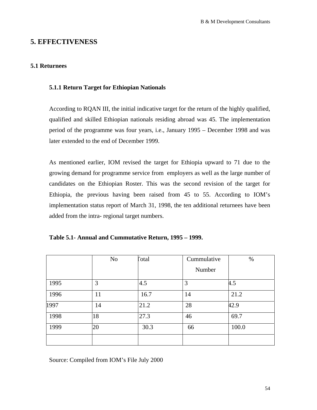# **5. EFFECTIVENESS**

## **5.1 Returnees**

## **5.1.1 Return Target for Ethiopian Nationals**

According to RQAN III, the initial indicative target for the return of the highly qualified, qualified and skilled Ethiopian nationals residing abroad was 45. The implementation period of the programme was four years, i.e., January 1995 – December 1998 and was later extended to the end of December 1999.

As mentioned earlier, IOM revised the target for Ethiopia upward to 71 due to the growing demand for programme service from employers as well as the large number of candidates on the Ethiopian Roster. This was the second revision of the target for Ethiopia, the previous having been raised from 45 to 55. According to IOM's implementation status report of March 31, 1998, the ten additional returnees have been added from the intra- regional target numbers.

|  | Table 5.1- Annual and Cummutative Return, 1995 – 1999. |  |  |
|--|--------------------------------------------------------|--|--|
|--|--------------------------------------------------------|--|--|

|      | No | <b>Total</b> | Cummulative | $\%$  |
|------|----|--------------|-------------|-------|
|      |    |              | Number      |       |
| 1995 | 3  | 4.5          | 3           | 4.5   |
| 1996 | 11 | 16.7         | 14          | 21.2  |
| 1997 | 14 | 21.2         | 28          | 42.9  |
| 1998 | 18 | 27.3         | 46          | 69.7  |
| 1999 | 20 | 30.3         | 66          | 100.0 |
|      |    |              |             |       |

Source: Compiled from IOM's File July 2000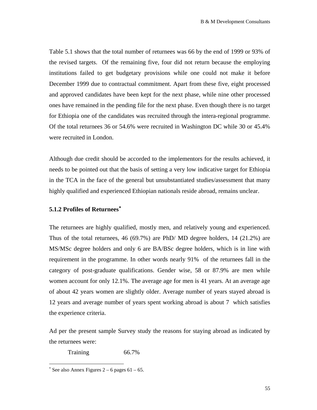<span id="page-54-0"></span>Table 5.1 shows that the total number of returnees was 66 by the end of 1999 or 93% of the revised targets. Of the remaining five, four did not return because the employing institutions failed to get budgetary provisions while one could not make it before December 1999 due to contractual commitment. Apart from these five, eight processed and approved candidates have been kept for the next phase, while nine other processed ones have remained in the pending file for the next phase. Even though there is no target for Ethiopia one of the candidates was recruited through the intera-regional programme. Of the total returnees 36 or 54.6% were recruited in Washington DC while 30 or 45.4% were recruited in London.

Although due credit should be accorded to the implementors for the results achieved, it needs to be pointed out that the basis of setting a very low indicative target for Ethiopia in the TCA in the face of the general but unsubstantiated studies/assessment that many highly qualified and experienced Ethiopian nationals reside abroad, remains unclear.

## **5.1.2 Profiles of Returnees**[∗](#page-54-0)

The returnees are highly qualified, mostly men, and relatively young and experienced. Thus of the total returnees, 46 (69.7%) are PhD/ MD degree holders, 14 (21.2%) are MS/MSc degree holders and only 6 are BA/BSc degree holders, which is in line with requirement in the programme. In other words nearly 91% of the returnees fall in the category of post-graduate qualifications. Gender wise, 58 or 87.9% are men while women account for only 12.1%. The average age for men is 41 years. At an average age of about 42 years women are slightly older. Average number of years stayed abroad is 12 years and average number of years spent working abroad is about 7 which satisfies the experience criteria.

Ad per the present sample Survey study the reasons for staying abroad as indicated by the returnees were:

Training 66.7%

 $\overline{\phantom{a}}$ 

 $*$  See also Annex Figures 2 – 6 pages 61 – 65.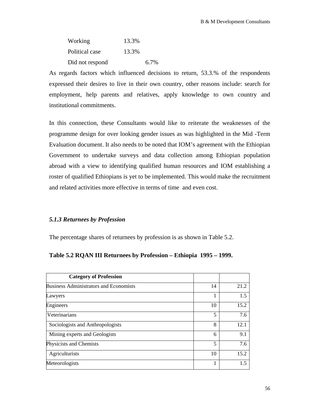| Working         | 13.3% |      |
|-----------------|-------|------|
| Political case  | 13.3% |      |
| Did not respond |       | 6.7% |

As regards factors which influenced decisions to return, 53.3.% of the respondents expressed their desires to live in their own country, other reasons include: search for employment, help parents and relatives, apply knowledge to own country and institutional commitments.

In this connection, these Consultants would like to reiterate the weaknesses of the programme design for over looking gender issues as was highlighted in the Mid -Term Evaluation document. It also needs to be noted that IOM's agreement with the Ethiopian Government to undertake surveys and data collection among Ethiopian population abroad with a view to identifying qualified human resources and IOM establishing a roster of qualified Ethiopians is yet to be implemented. This would make the recruitment and related activities more effective in terms of time and even cost.

## *5.1.3 Returnees by Profession*

The percentage shares of returnees by profession is as shown in Table 5.2.

## **Table 5.2 RQAN III Returnees by Profession – Ethiopia 1995 – 1999.**

| <b>Category of Profession</b>                 |    |      |
|-----------------------------------------------|----|------|
| <b>Business Administrators and Economists</b> | 14 | 21.2 |
| Lawyers                                       | 1  | 1.5  |
| Engineers                                     | 10 | 15.2 |
| Veterinarians                                 | 5  | 7.6  |
| Sociologists and Anthropologists              | 8  | 12.1 |
| Mining experts and Geologists                 | 6  | 9.1  |
| Physicists and Chemists                       | 5  | 7.6  |
| Agriculturists                                | 10 | 15.2 |
| Meteorologists                                | 1  | 15   |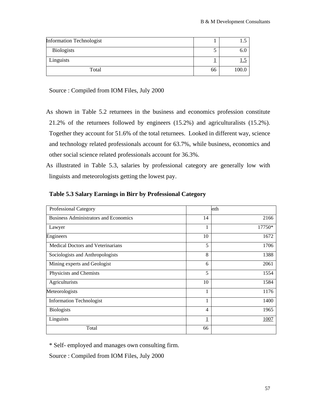| <b>Information Technologist</b> |    |       |
|---------------------------------|----|-------|
| <b>Biologists</b>               |    | 6.0   |
| Linguists                       |    | ⊥ ∙~  |
| Total                           | 66 | 100.0 |

Source : Compiled from IOM Files, July 2000

As shown in Table 5.2 returnees in the business and economics profession constitute 21.2% of the returnees followed by engineers (15.2%) and agriculturalists (15.2%). Together they account for 51.6% of the total returnees. Looked in different way, science and technology related professionals account for 63.7%, while business, economics and other social science related professionals account for 36.3%.

As illustrated in Table 5.3, salaries by professional category are generally low with linguists and meteorologists getting the lowest pay.

| Professional Category                        |                | nth    |
|----------------------------------------------|----------------|--------|
| <b>Business Administrators and Economics</b> | 14             | 2166   |
| Lawyer                                       | 1              | 17750* |
| Engineers                                    | 10             | 1672   |
| <b>Medical Doctors and Veterinarians</b>     | 5              | 1706   |
| Sociologists and Anthropologists             | 8              | 1388   |
| Mining experts and Geologist                 | 6              | 2061   |
| Physicists and Chemists                      | 5              | 1554   |
| Agriculturists                               | 10             | 1584   |
| Meteorologists                               | 1              | 1176   |
| <b>Information Technologist</b>              | 1              | 1400   |
| <b>Biologists</b>                            | $\overline{4}$ | 1965   |
| Linguists                                    | $\overline{1}$ | 1007   |
| Total                                        | 66             |        |

## **Table 5.3 Salary Earnings in Birr by Professional Category**

\* Self- employed and manages own consulting firm.

Source : Compiled from IOM Files, July 2000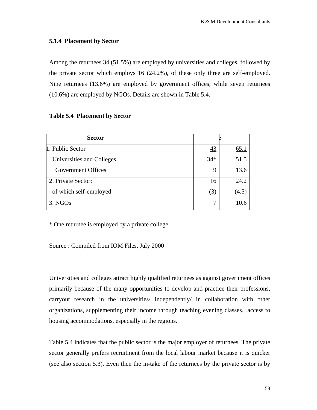## **5.1.4 Placement by Sector**

Among the returnees 34 (51.5%) are employed by universities and colleges, followed by the private sector which employs 16 (24.2%), of these only three are self-employed. Nine returnees (13.6%) are employed by government offices, while seven returnees (10.6%) are employed by NGOs. Details are shown in Table 5.4.

## **Table 5.4 Placement by Sector**

| <b>Sector</b>             |       |             |
|---------------------------|-------|-------------|
| 1. Public Sector          | 43    | <u>65.1</u> |
| Universities and Colleges | $34*$ | 51.5        |
| Government Offices        | 9     | 13.6        |
| 2. Private Sector:        | 16    | 24.2        |
| of which self-employed    | (3)   | (4.5)       |
| 3. NGOs                   | 7     | 10.6        |

\* One returnee is employed by a private college.

Source : Compiled from IOM Files, July 2000

Universities and colleges attract highly qualified returnees as against government offices primarily because of the many opportunities to develop and practice their professions, carryout research in the universities/ independently/ in collaboration with other organizations, supplementing their income through teaching evening classes, access to housing accommodations, especially in the regions.

Table 5.4 indicates that the public sector is the major employer of returnees. The private sector generally prefers recruitment from the local labour market because it is quicker (see also section 5.3). Even then the in-take of the returnees by the private sector is by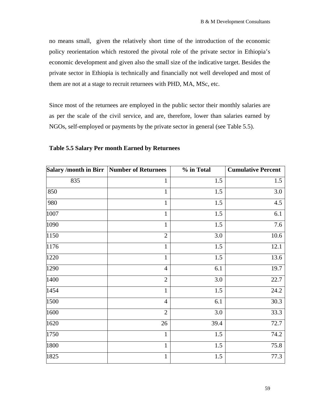no means small, given the relatively short time of the introduction of the economic policy reorientation which restored the pivotal role of the private sector in Ethiopia's economic development and given also the small size of the indicative target. Besides the private sector in Ethiopia is technically and financially not well developed and most of them are not at a stage to recruit returnees with PHD, MA, MSc, etc.

Since most of the returnees are employed in the public sector their monthly salaries are as per the scale of the civil service, and are, therefore, lower than salaries earned by NGOs, self-employed or payments by the private sector in general (see Table 5.5).

| Salary /month in Birr   Number of Returnees |                | % in Total | <b>Cumulative Percent</b> |
|---------------------------------------------|----------------|------------|---------------------------|
| 835                                         | $\mathbf{1}$   | 1.5        | 1.5                       |
| 850                                         | $\mathbf{1}$   | 1.5        | 3.0                       |
| 980                                         | $\mathbf{1}$   | 1.5        | 4.5                       |
| 1007                                        | $\mathbf{1}$   | 1.5        | 6.1                       |
| 1090                                        | $\mathbf{1}$   | 1.5        | 7.6                       |
| 1150                                        | $\overline{2}$ | 3.0        | 10.6                      |
| 1176                                        | $\mathbf{1}$   | 1.5        | 12.1                      |
| 1220                                        | $\mathbf{1}$   | 1.5        | 13.6                      |
| 1290                                        | $\overline{4}$ | 6.1        | 19.7                      |
| 1400                                        | $\overline{2}$ | 3.0        | 22.7                      |
| 1454                                        | $\mathbf{1}$   | 1.5        | 24.2                      |
| 1500                                        | $\overline{4}$ | 6.1        | 30.3                      |
| 1600                                        | $\overline{2}$ | 3.0        | 33.3                      |
| 1620                                        | $26\,$         | 39.4       | 72.7                      |
| $\overline{1}$ 750                          | $\mathbf{1}$   | 1.5        | 74.2                      |
| <b>1800</b>                                 | $\mathbf{1}$   | 1.5        | 75.8                      |
| 1825                                        | $\mathbf{1}$   | 1.5        | 77.3                      |

## **Table 5.5 Salary Per month Earned by Returnees**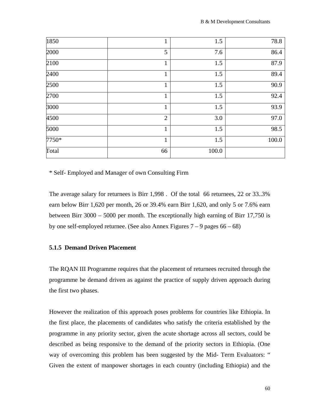| 1850    | т              | 1.5   | 78.8  |
|---------|----------------|-------|-------|
| 2000    | 5              | 7.6   | 86.4  |
| 2100    | 1              | 1.5   | 87.9  |
| 2400    |                | 1.5   | 89.4  |
| 2500    | $\mathbf{1}$   | 1.5   | 90.9  |
| 2700    | 1              | 1.5   | 92.4  |
| 3000    | 1              | 1.5   | 93.9  |
| 4500    | $\overline{2}$ | 3.0   | 97.0  |
| 5000    | 1              | 1.5   | 98.5  |
| $7750*$ | 1              | 1.5   | 100.0 |
| Total   | 66             | 100.0 |       |

\* Self- Employed and Manager of own Consulting Firm

The average salary for returnees is Birr 1,998 . Of the total 66 returnees, 22 or 33..3% earn below Birr 1,620 per month, 26 or 39.4% earn Birr 1,620, and only 5 or 7.6% earn between Birr 3000 – 5000 per month. The exceptionally high earning of Birr 17,750 is by one self-employed returnee. (See also Annex Figures  $7 - 9$  pages  $66 - 68$ )

## **5.1.5 Demand Driven Placement**

The RQAN III Programme requires that the placement of returnees recruited through the programme be demand driven as against the practice of supply driven approach during the first two phases.

However the realization of this approach poses problems for countries like Ethiopia. In the first place, the placements of candidates who satisfy the criteria established by the programme in any priority sector, given the acute shortage across all sectors, could be described as being responsive to the demand of the priority sectors in Ethiopia. (One way of overcoming this problem has been suggested by the Mid- Term Evaluators: " Given the extent of manpower shortages in each country (including Ethiopia) and the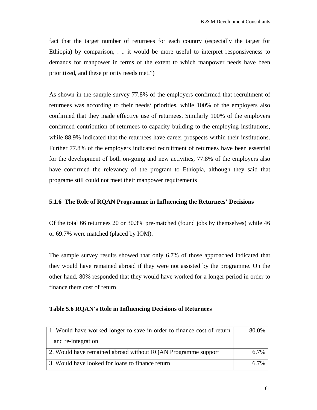fact that the target number of returnees for each country (especially the target for Ethiopia) by comparison, . .. it would be more useful to interpret responsiveness to demands for manpower in terms of the extent to which manpower needs have been prioritized, and these priority needs met.")

As shown in the sample survey 77.8% of the employers confirmed that recruitment of returnees was according to their needs/ priorities, while 100% of the employers also confirmed that they made effective use of returnees. Similarly 100% of the employers confirmed contribution of returnees to capacity building to the employing institutions, while 88.9% indicated that the returnees have career prospects within their institutions. Further 77.8% of the employers indicated recruitment of returnees have been essential for the development of both on-going and new activities, 77.8% of the employers also have confirmed the relevancy of the program to Ethiopia, although they said that programe still could not meet their manpower requirements

## **5.1.6 The Role of RQAN Programme in Influencing the Returnees' Decisions**

Of the total 66 returnees 20 or 30.3% pre-matched (found jobs by themselves) while 46 or 69.7% were matched (placed by IOM).

The sample survey results showed that only 6.7% of those approached indicated that they would have remained abroad if they were not assisted by the programme. On the other hand, 80% responded that they would have worked for a longer period in order to finance there cost of return.

## **Table 5.6 RQAN's Role in Influencing Decisions of Returnees**

| 1. Would have worked longer to save in order to finance cost of return | 80.0% |
|------------------------------------------------------------------------|-------|
| and re-integration                                                     |       |
| 2. Would have remained abroad without RQAN Programme support           | 6.7%  |
| 3. Would have looked for loans to finance return                       | 6.7%  |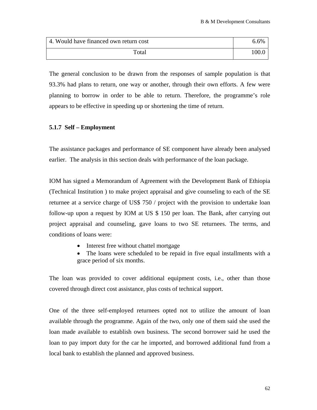| 4. Would have financed own return cost | 5.6% |
|----------------------------------------|------|
| Total                                  |      |

The general conclusion to be drawn from the responses of sample population is that 93.3% had plans to return, one way or another, through their own efforts. A few were planning to borrow in order to be able to return. Therefore, the programme's role appears to be effective in speeding up or shortening the time of return.

## **5.1.7 Self – Employment**

The assistance packages and performance of SE component have already been analysed earlier. The analysis in this section deals with performance of the loan package.

IOM has signed a Memorandum of Agreement with the Development Bank of Ethiopia (Technical Institution ) to make project appraisal and give counseling to each of the SE returnee at a service charge of US\$ 750 / project with the provision to undertake loan follow-up upon a request by IOM at US \$ 150 per loan. The Bank, after carrying out project appraisal and counseling, gave loans to two SE returnees. The terms, and conditions of loans were:

- Interest free without chattel mortgage
- The loans were scheduled to be repaid in five equal installments with a grace period of six months.

The loan was provided to cover additional equipment costs, i.e., other than those covered through direct cost assistance, plus costs of technical support.

One of the three self-employed returnees opted not to utilize the amount of loan available through the programme. Again of the two, only one of them said she used the loan made available to establish own business. The second borrower said he used the loan to pay import duty for the car he imported, and borrowed additional fund from a local bank to establish the planned and approved business.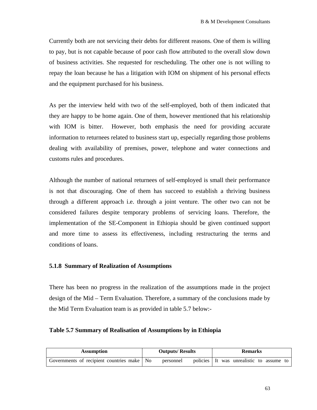Currently both are not servicing their debts for different reasons. One of them is willing to pay, but is not capable because of poor cash flow attributed to the overall slow down of business activities. She requested for rescheduling. The other one is not willing to repay the loan because he has a litigation with IOM on shipment of his personal effects and the equipment purchased for his business.

As per the interview held with two of the self-employed, both of them indicated that they are happy to be home again. One of them, however mentioned that his relationship with IOM is bitter. However, both emphasis the need for providing accurate information to returnees related to business start up, especially regarding those problems dealing with availability of premises, power, telephone and water connections and customs rules and procedures.

Although the number of national returnees of self-employed is small their performance is not that discouraging. One of them has succeed to establish a thriving business through a different approach i.e. through a joint venture. The other two can not be considered failures despite temporary problems of servicing loans. Therefore, the implementation of the SE-Component in Ethiopia should be given continued support and more time to assess its effectiveness, including restructuring the terms and conditions of loans.

## **5.1.8 Summary of Realization of Assumptions**

There has been no progress in the realization of the assumptions made in the project design of the Mid – Term Evaluation. Therefore, a summary of the conclusions made by the Mid Term Evaluation team is as provided in table 5.7 below:-

#### **Table 5.7 Summary of Realisation of Assumptions by in Ethiopia**

| <b>Assumption</b>                            |  | <b>Outputs/Results</b> |  | <b>Remarks</b> |  |                                          |  |  |
|----------------------------------------------|--|------------------------|--|----------------|--|------------------------------------------|--|--|
| Governments of recipient countries make   No |  | personnel              |  |                |  | policies It was unrealistic to assume to |  |  |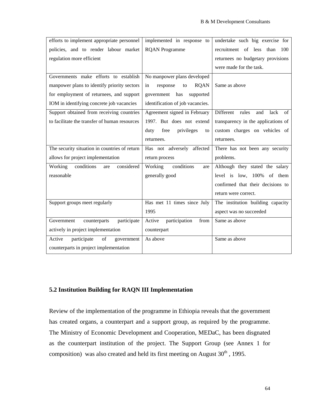| efforts to implement appropriate personnel    | implemented in response to          | undertake such big exercise for         |
|-----------------------------------------------|-------------------------------------|-----------------------------------------|
| policies, and to render labour market         | <b>RQAN</b> Programme               | recruitment of less than<br>100         |
| regulation more efficient                     |                                     | returnees no budgetary provisions       |
|                                               |                                     | were made for the task.                 |
| Governments make efforts to establish         | No manpower plans developed         |                                         |
| manpower plans to identify priority sectors   | in<br>response<br><b>RQAN</b><br>to | Same as above                           |
| for employment of returnees, and support      | government has<br>supported         |                                         |
| IOM in identifying concrete job vacancies     | identification of job vacancies.    |                                         |
| Support obtained from receiving countries     | Agreement signed in February        | Different<br>rules<br>and<br>lack<br>of |
| to facilitate the transfer of human resources | 1997. But does not extend           | transparency in the applications of     |
|                                               | privileges<br>duty<br>free<br>to    | custom charges on vehicles of           |
|                                               | returnees.                          | returnees.                              |
| The security situation in countries of return | Has not adversely affected          | There has not been any security         |
| allows for project implementation             | return process                      | problems.                               |
| conditions<br>Working<br>considered<br>are    | conditions<br>Working<br>are        | Although they stated the salary         |
| reasonable                                    | generally good                      | level is low, 100% of them              |
|                                               |                                     | confirmed that their decisions to       |
|                                               |                                     | return were correct.                    |
| Support groups meet regularly                 | Has met 11 times since July         | The institution building capacity       |
|                                               | 1995                                | aspect was no succeeded                 |
| Government<br>participate<br>counterparts     | participation<br>Active<br>from     | Same as above                           |
| actively in project implementation            | counterpart                         |                                         |
| of<br>Active<br>participate<br>government     | As above                            | Same as above                           |
| counterparts in project implementation        |                                     |                                         |

## **5.2 Institution Building for RAQN III Implementation**

Review of the implementation of the programme in Ethiopia reveals that the government has created organs, a counterpart and a support group, as required by the programme. The Ministry of Economic Development and Cooperation, MEDaC, has been disgnated as the counterpart institution of the project. The Support Group (see Annex 1 for composition) was also created and held its first meeting on August  $30<sup>th</sup>$ , 1995.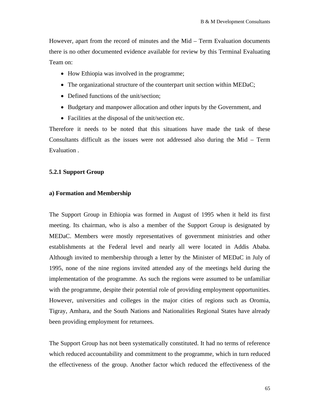However, apart from the record of minutes and the Mid – Term Evaluation documents there is no other documented evidence available for review by this Terminal Evaluating Team on:

- How Ethiopia was involved in the programme;
- The organizational structure of the counterpart unit section within MEDaC;
- Defined functions of the unit/section;
- Budgetary and manpower allocation and other inputs by the Government, and
- Facilities at the disposal of the unit/section etc.

Therefore it needs to be noted that this situations have made the task of these Consultants difficult as the issues were not addressed also during the Mid – Term Evaluation .

## **5.2.1 Support Group**

## **a) Formation and Membership**

The Support Group in Ethiopia was formed in August of 1995 when it held its first meeting. Its chairman, who is also a member of the Support Group is designated by MEDaC. Members were mostly representatives of government ministries and other establishments at the Federal level and nearly all were located in Addis Ababa. Although invited to membership through a letter by the Minister of MEDaC in July of 1995, none of the nine regions invited attended any of the meetings held during the implementation of the programme. As such the regions were assumed to be unfamiliar with the programme, despite their potential role of providing employment opportunities. However, universities and colleges in the major cities of regions such as Oromia, Tigray, Amhara, and the South Nations and Nationalities Regional States have already been providing employment for returnees.

The Support Group has not been systematically constituted. It had no terms of reference which reduced accountability and commitment to the programme, which in turn reduced the effectiveness of the group. Another factor which reduced the effectiveness of the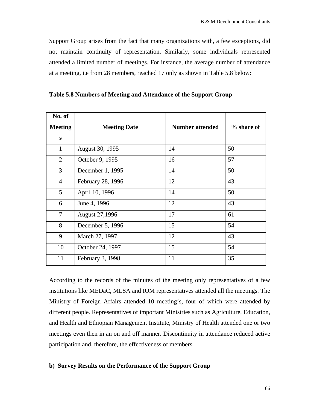Support Group arises from the fact that many organizations with, a few exceptions, did not maintain continuity of representation. Similarly, some individuals represented attended a limited number of meetings. For instance, the average number of attendance at a meeting, i.e from 28 members, reached 17 only as shown in Table 5.8 below:

| No. of<br><b>Meeting</b> | <b>Meeting Date</b>   | <b>Number attended</b> | % share of |
|--------------------------|-----------------------|------------------------|------------|
| S                        |                       |                        |            |
| $\mathbf{1}$             | August 30, 1995       | 14                     | 50         |
| $\overline{2}$           | October 9, 1995       | 16                     | 57         |
| 3                        | December 1, 1995      | 14                     | 50         |
| $\overline{4}$           | February 28, 1996     | 12                     | 43         |
| $5\overline{)}$          | April 10, 1996        | 14                     | 50         |
| 6                        | June 4, 1996          | 12                     | 43         |
| $\overline{7}$           | <b>August 27,1996</b> | 17                     | 61         |
| 8                        | December 5, 1996      | 15                     | 54         |
| 9                        | March 27, 1997        | 12                     | 43         |
| 10                       | October 24, 1997      | 15                     | 54         |
| 11                       | February 3, 1998      | 11                     | 35         |

**Table 5.8 Numbers of Meeting and Attendance of the Support Group** 

According to the records of the minutes of the meeting only representatives of a few institutions like MEDaC, MLSA and IOM representatives attended all the meetings. The Ministry of Foreign Affairs attended 10 meeting's, four of which were attended by different people. Representatives of important Ministries such as Agriculture, Education, and Health and Ethiopian Management Institute, Ministry of Health attended one or two meetings even then in an on and off manner. Discontinuity in attendance reduced active participation and, therefore, the effectiveness of members.

## **b) Survey Results on the Performance of the Support Group**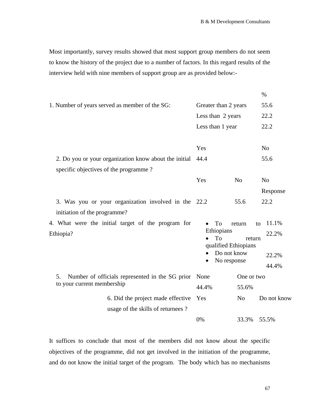Most importantly, survey results showed that most support group members do not seem to know the history of the project due to a number of factors. In this regard results of the interview held with nine members of support group are as provided below:-

|                                                                                                |                                                                                           |                     | $\%$                                   |
|------------------------------------------------------------------------------------------------|-------------------------------------------------------------------------------------------|---------------------|----------------------------------------|
| 1. Number of years served as member of the SG:                                                 | Greater than 2 years                                                                      | 55.6                |                                        |
|                                                                                                | Less than 2 years                                                                         | 22.2                |                                        |
|                                                                                                | Less than 1 year                                                                          |                     | 22.2                                   |
|                                                                                                | Yes                                                                                       |                     | N <sub>o</sub>                         |
| 2. Do you or your organization know about the initial<br>specific objectives of the programme? | 44.4                                                                                      |                     | 55.6                                   |
|                                                                                                | Yes                                                                                       | N <sub>0</sub>      | N <sub>o</sub><br>Response             |
| 3. Was you or your organization involved in the 22.2<br>initiation of the programme?           |                                                                                           | 55.6                | 22.2                                   |
| 4. What were the initial target of the program for<br>Ethiopia?                                | To<br>$\bullet$<br>Ethiopians<br>To<br>qualified Ethiopians<br>Do not know<br>No response | return<br>return    | 11.1%<br>to<br>22.2%<br>22.2%<br>44.4% |
| Number of officials represented in the SG prior<br>5.<br>to your current membership            | None<br>44.4%                                                                             | One or two<br>55.6% |                                        |
| 6. Did the project made effective<br>usage of the skills of returnees?                         | Yes                                                                                       | N <sub>o</sub>      | Do not know                            |
|                                                                                                | 0%                                                                                        | 33.3%               | 55.5%                                  |

It suffices to conclude that most of the members did not know about the specific objectives of the programme, did not get involved in the initiation of the programme, and do not know the initial target of the program. The body which has no mechanisms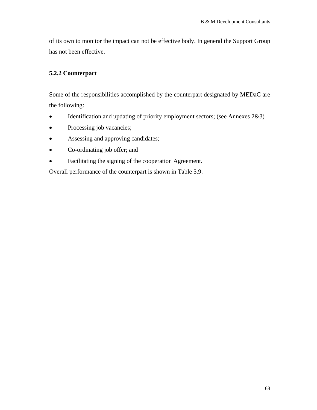of its own to monitor the impact can not be effective body. In general the Support Group has not been effective.

## **5.2.2 Counterpart**

Some of the responsibilities accomplished by the counterpart designated by MEDaC are the following:

- Identification and updating of priority employment sectors; (see Annexes 2&3)
- Processing job vacancies;
- Assessing and approving candidates;
- Co-ordinating job offer; and
- Facilitating the signing of the cooperation Agreement.

Overall performance of the counterpart is shown in Table 5.9.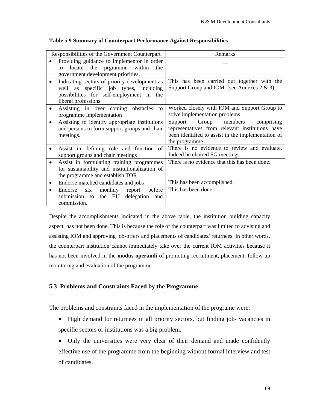|           | Responsibilities of the Government Counterpart                                                                                                               | Remarks                                                                                                                                                           |
|-----------|--------------------------------------------------------------------------------------------------------------------------------------------------------------|-------------------------------------------------------------------------------------------------------------------------------------------------------------------|
|           | Providing guidance to implement in order<br>prgramme within<br>locate<br>the<br>the<br>to<br>government development priorities.                              |                                                                                                                                                                   |
|           | Indicating sectors of priority development as<br>specific job types, including<br>well as<br>possibilities for self-employment in the<br>liberal professions | This has been carried out together with the<br>Support Group and IOM. (see Annexes $2 \& 3$ )                                                                     |
|           | Assisting in over coming obstacles<br>to<br>programme implementation                                                                                         | Worked closely with IOM and Support Group to<br>solve implementation problems.                                                                                    |
|           | Assisting to identify appropriate institutions<br>and persons to form support groups and chair<br>meetings.                                                  | Group members<br>Support<br>comprising<br>representatives from relevant institutions have<br>been identified to assist in the implementation of<br>the programme. |
|           | Assist in defining role and function of<br>support groups and chair meetings                                                                                 | There is no evidence to review and evaluate.<br>Indeed he chaired SG meetings.                                                                                    |
|           | Assist in formulating training programmes<br>for sustainability and institutionalization of<br>the programme and establish TOR                               | There is no evidence that this has been done.                                                                                                                     |
| $\bullet$ | Endorse matched candidates and jobs                                                                                                                          | This has been accomplished.                                                                                                                                       |
| $\bullet$ | six<br>monthly<br>before<br>Endorse<br>report<br>the EU<br>delegation<br>submission to<br>and<br>commission.                                                 | This has been done.                                                                                                                                               |

## **Table 5.9 Summary of Counterpart Performance Against Responsibilities**

Despite the accomplishments indicated in the above table, the institution building capacity aspect has not been done. This is because the role of the counterpart was limited to advising and assisting IOM and approving job-offers and placements of candidates/ returnees. In other words, the counterpart institution cannot immediately take over the current IOM activities because it has not been involved in the **modus operandi** of promoting recruitment, placement, follow-up monitoring and evaluation of the programme.

## **5.3 Problems and Constraints Faced by the Programme**

The problems and constraints faced in the implementation of the programe were:

- High demand for returnees in all priority sectors, but finding job- vacancies in specific sectors or institutions was a big problem.
- Only the universities were very clear of their demand and made confidently effective use of the programme from the beginning without formal interview and test of candidates.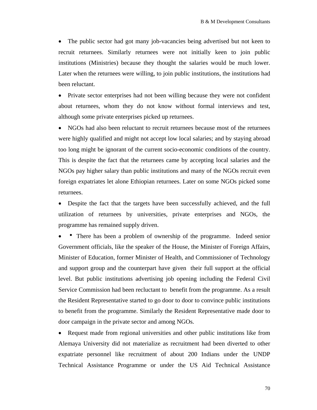• The public sector had got many job-vacancies being advertised but not keen to recruit returnees. Similarly returnees were not initially keen to join public institutions (Ministries) because they thought the salaries would be much lower. Later when the returnees were willing, to join public institutions, the institutions had been reluctant.

• Private sector enterprises had not been willing because they were not confident about returnees, whom they do not know without formal interviews and test, although some private enterprises picked up returnees.

• NGOs had also been reluctant to recruit returnees because most of the returnees were highly qualified and might not accept low local salaries; and by staying abroad too long might be ignorant of the current socio-economic conditions of the country. This is despite the fact that the returnees came by accepting local salaries and the NGOs pay higher salary than public institutions and many of the NGOs recruit even foreign expatriates let alone Ethiopian returnees. Later on some NGOs picked some returnees.

• Despite the fact that the targets have been successfully achieved, and the full utilization of returnees by universities, private enterprises and NGOs, the programme has remained supply driven.

• There has been a problem of ownership of the programme. Indeed senior Government officials, like the speaker of the House, the Minister of Foreign Affairs, Minister of Education, former Minister of Health, and Commissioner of Technology and support group and the counterpart have given their full support at the official level. But public institutions advertising job opening including the Federal Civil Service Commission had been recluctant to benefit from the programme. As a result the Resident Representative started to go door to door to convince public institutions to benefit from the programme. Similarly the Resident Representative made door to door campaign in the private sector and among NGOs.

• Request made from regional universities and other public institutions like from Alemaya University did not materialize as recruitment had been diverted to other expatriate personnel like recruitment of about 200 Indians under the UNDP Technical Assistance Programme or under the US Aid Technical Assistance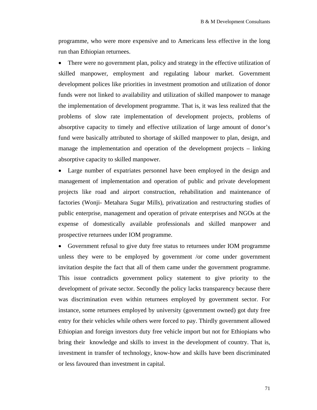programme, who were more expensive and to Americans less effective in the long run than Ethiopian returnees.

• There were no government plan, policy and strategy in the effective utilization of skilled manpower, employment and regulating labour market. Government development polices like priorities in investment promotion and utilization of donor funds were not linked to availability and utilization of skilled manpower to manage the implementation of development programme. That is, it was less realized that the problems of slow rate implementation of development projects, problems of absorptive capacity to timely and effective utilization of large amount of donor's fund were basically attributed to shortage of skilled manpower to plan, design, and manage the implementation and operation of the development projects – linking absorptive capacity to skilled manpower.

• Large number of expatriates personnel have been employed in the design and management of implementation and operation of public and private development projects like road and airport construction, rehabilitation and maintenance of factories (Wonji- Metahara Sugar Mills), privatization and restructuring studies of public enterprise, management and operation of private enterprises and NGOs at the expense of domestically available professionals and skilled manpower and prospective returnees under IOM programme.

• Government refusal to give duty free status to returnees under IOM programme unless they were to be employed by government /or come under government invitation despite the fact that all of them came under the government programme. This issue contradicts government policy statement to give priority to the development of private sector. Secondly the policy lacks transparency because there was discrimination even within returnees employed by government sector. For instance, some returnees employed by university (government owned) got duty free entry for their vehicles while others were forced to pay. Thirdly government allowed Ethiopian and foreign investors duty free vehicle import but not for Ethiopians who bring their knowledge and skills to invest in the development of country. That is, investment in transfer of technology, know-how and skills have been discriminated or less favoured than investment in capital.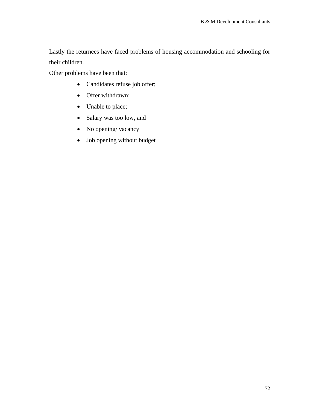Lastly the returnees have faced problems of housing accommodation and schooling for their children.

Other problems have been that:

- Candidates refuse job offer;
- Offer withdrawn;
- Unable to place;
- Salary was too low, and
- No opening/ vacancy
- Job opening without budget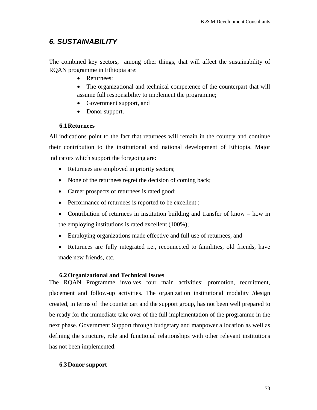# *6. SUSTAINABILITY*

The combined key sectors, among other things, that will affect the sustainability of RQAN programme in Ethiopia are:

- Returnees:
- The organizational and technical competence of the counterpart that will assume full responsibility to implement the programme;
- Government support, and
- Donor support.

# **6.1Returnees**

All indications point to the fact that returnees will remain in the country and continue their contribution to the institutional and national development of Ethiopia. Major indicators which support the foregoing are:

- Returnees are employed in priority sectors;
- None of the returnees regret the decision of coming back;
- Career prospects of returnees is rated good;
- Performance of returnees is reported to be excellent;
- Contribution of returnees in institution building and transfer of know how in the employing institutions is rated excellent (100%);
- Employing organizations made effective and full use of returnees, and
- Returnees are fully integrated i.e., reconnected to familities, old friends, have made new friends, etc.

# **6.2Organizational and Technical Issues**

The RQAN Programme involves four main activities: promotion, recruitment, placement and follow-up activities. The organization institutional modality /design created, in terms of the counterpart and the support group, has not been well prepared to be ready for the immediate take over of the full implementation of the programme in the next phase. Government Support through budgetary and manpower allocation as well as defining the structure, role and functional relationships with other relevant institutions has not been implemented.

# **6.3Donor support**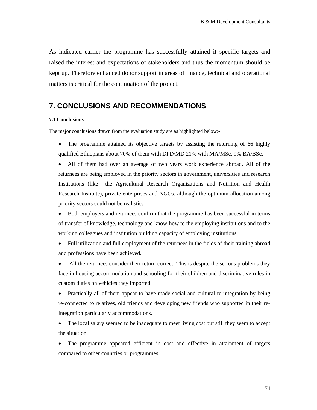As indicated earlier the programme has successfully attained it specific targets and raised the interest and expectations of stakeholders and thus the momentum should be kept up. Therefore enhanced donor support in areas of finance, technical and operational matters is critical for the continuation of the project.

# **7. CONCLUSIONS AND RECOMMENDATIONS**

#### **7.1 Conclusions**

The major conclusions drawn from the evaluation study are as highlighted below:-

- The programme attained its objective targets by assisting the returning of 66 highly qualified Ethiopians about 70% of them with DPD/MD 21% with MA/MSc, 9% BA/BSc.
- All of them had over an average of two years work experience abroad. All of the returnees are being employed in the priority sectors in government, universities and research Institutions (like the Agricultural Research Organizations and Nutrition and Health Research Institute), private enterprises and NGOs, although the optimum allocation among priority sectors could not be realistic.
- Both employers and returnees confirm that the programme has been successful in terms of transfer of knowledge, technology and know-how to the employing institutions and to the working colleagues and institution building capacity of employing institutions.
- Full utilization and full employment of the returnees in the fields of their training abroad and professions have been achieved.

• All the returnees consider their return correct. This is despite the serious problems they face in housing accommodation and schooling for their children and discriminative rules in custom duties on vehicles they imported.

• Practically all of them appear to have made social and cultural re-integration by being re-connected to relatives, old friends and developing new friends who supported in their reintegration particularly accommodations.

• The local salary seemed to be inadequate to meet living cost but still they seem to accept the situation.

The programme appeared efficient in cost and effective in attainment of targets compared to other countries or programmes.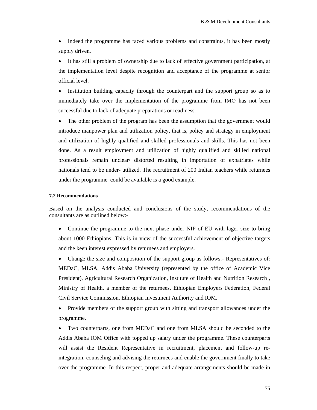• Indeed the programme has faced various problems and constraints, it has been mostly supply driven.

• It has still a problem of ownership due to lack of effective government participation, at the implementation level despite recognition and acceptance of the programme at senior official level.

• Institution building capacity through the counterpart and the support group so as to immediately take over the implementation of the programme from IMO has not been successful due to lack of adequate preparations or readiness.

The other problem of the program has been the assumption that the government would introduce manpower plan and utilization policy, that is, policy and strategy in employment and utilization of highly qualified and skilled professionals and skills. This has not been done. As a result employment and utilization of highly qualified and skilled national professionals remain unclear/ distorted resulting in importation of expatriates while nationals tend to be under- utilized. The recruitment of 200 Indian teachers while returnees under the programme could be available is a good example.

#### **7.2 Recommendations**

Based on the analysis conducted and conclusions of the study, recommendations of the consultants are as outlined below:-

• Continue the programme to the next phase under NIP of EU with lager size to bring about 1000 Ethiopians. This is in view of the successful achievement of objective targets and the keen interest expressed by returnees and employers.

• Change the size and composition of the support group as follows:- Representatives of: MEDaC, MLSA, Addis Ababa University (represented by the office of Academic Vice President), Agricultural Research Organization, Institute of Health and Nutrition Research , Ministry of Health, a member of the returnees, Ethiopian Employers Federation, Federal Civil Service Commission, Ethiopian Investment Authority and IOM.

• Provide members of the support group with sitting and transport allowances under the programme.

• Two counterparts, one from MEDaC and one from MLSA should be seconded to the Addis Ababa IOM Office with topped up salary under the programme. These counterparts will assist the Resident Representative in recruitment, placement and follow-up reintegration, counseling and advising the returnees and enable the government finally to take over the programme. In this respect, proper and adequate arrangements should be made in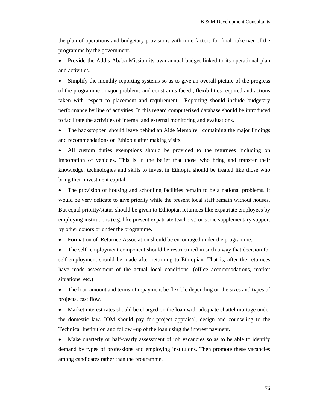the plan of operations and budgetary provisions with time factors for final takeover of the programme by the government.

• Provide the Addis Ababa Mission its own annual budget linked to its operational plan and activities.

• Simplify the monthly reporting systems so as to give an overall picture of the progress of the programme , major problems and constraints faced , flexibilities required and actions taken with respect to placement and requirement. Reporting should include budgetary performance by line of activities. In this regard computerized database should be introduced to facilitate the activities of internal and external monitoring and evaluations.

• The backstopper should leave behind an Aide Memoire containing the major findings and recommendations on Ethiopia after making visits.

• All custom duties exemptions should be provided to the returnees including on importation of vehicles. This is in the belief that those who bring and transfer their knowledge, technologies and skills to invest in Ethiopia should be treated like those who bring their investment capital.

The provision of housing and schooling facilities remain to be a national problems. It would be very delicate to give priority while the present local staff remain without houses. But equal priority/status should be given to Ethiopian returnees like expatriate employees by employing institutions (e.g. like present expatriate teachers,) or some supplementary support by other donors or under the programme.

• Formation of Returnee Association should be encouraged under the programme.

• The self- employment component should be restructured in such a way that decision for self-employment should be made after returning to Ethiopian. That is, after the returnees have made assessment of the actual local conditions, (office accommodations, market situations, etc.)

• The loan amount and terms of repayment be flexible depending on the sizes and types of projects, cast flow.

• Market interest rates should be charged on the loan with adequate chattel mortage under the domestic law. IOM should pay for project appraisal, design and counseling to the Technical Institution and follow –up of the loan using the interest payment.

• Make quarterly or half-yearly assessment of job vacancies so as to be able to identify demand by types of professions and employing instituions. Then promote these vacancies among candidates rather than the programme.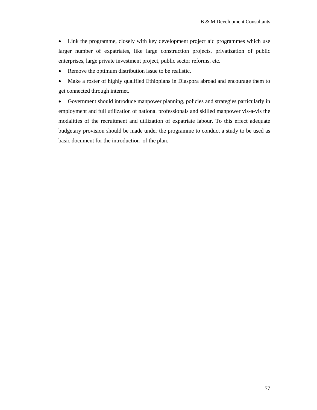• Link the programme, closely with key development project aid programmes which use larger number of expatriates, like large construction projects, privatization of public enterprises, large private investment project, public sector reforms, etc.

- Remove the optimum distribution issue to be realistic.
- Make a roster of highly qualified Ethiopians in Diaspora abroad and encourage them to get connected through internet.

• Government should introduce manpower planning, policies and strategies particularly in employment and full utilization of national professionals and skilled manpower vis-a-vis the modalities of the recruitment and utilization of expatriate labour. To this effect adequate budgetary provision should be made under the programme to conduct a study to be used as basic document for the introduction of the plan.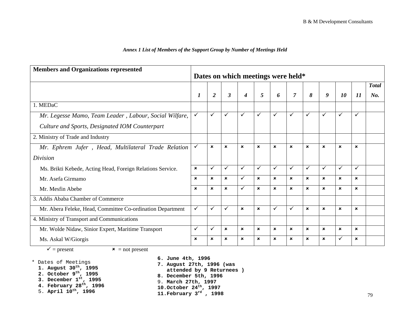### *Annex 1 List of Members of the Support Group by Number of Meetings Held*

| <b>Members and Organizations represented</b>               |                           |                           |                           |                                    |                           |                |                           |                           |                           |                           |                           |              |
|------------------------------------------------------------|---------------------------|---------------------------|---------------------------|------------------------------------|---------------------------|----------------|---------------------------|---------------------------|---------------------------|---------------------------|---------------------------|--------------|
|                                                            |                           |                           |                           | Dates on which meetings were held* |                           |                |                           |                           |                           |                           |                           |              |
|                                                            |                           |                           |                           |                                    |                           |                |                           |                           |                           |                           |                           | <b>Total</b> |
|                                                            | $\boldsymbol{l}$          | $\overline{2}$            | 3                         | 4                                  | 5                         | 6              | $\overline{7}$            | 8                         | 9                         | 10                        | 11                        | No.          |
| 1. MEDaC                                                   |                           |                           |                           |                                    |                           |                |                           |                           |                           |                           |                           |              |
| Mr. Legesse Mamo, Team Leader, Labour, Social Wilfare,     | $\checkmark$              | $\checkmark$              | ✓                         | $\checkmark$                       | $\checkmark$              | $\checkmark$   | $\checkmark$              | $\checkmark$              | ✓                         | ✓                         | ✓                         |              |
| Culture and Sports, Designated IOM Counterpart             |                           |                           |                           |                                    |                           |                |                           |                           |                           |                           |                           |              |
| 2. Ministry of Trade and Industry                          |                           |                           |                           |                                    |                           |                |                           |                           |                           |                           |                           |              |
| Mr. Ephrem Jufer, Head, Multilateral Trade Relation        | $\checkmark$              | $\pmb{\times}$            | $\mathbf x$               | $\boldsymbol{\mathsf{x}}$          | $\pmb{\times}$            | $\mathbf x$    | $\mathbf{x}$              | $\boldsymbol{\mathsf{x}}$ | $\mathbf{x}$              | $\mathbf x$               | $\boldsymbol{\mathsf{x}}$ |              |
| Division                                                   |                           |                           |                           |                                    |                           |                |                           |                           |                           |                           |                           |              |
| Ms. Brikti Kebede, Acting Head, Foreign Relations Service. | $\boldsymbol{\mathsf{x}}$ | $\checkmark$              | ✓                         | ✓                                  | $\checkmark$              | $\checkmark$   | ✓                         | $\checkmark$              | ✓                         | ✓                         | ✓                         |              |
| Mr. Asefa Girmamo                                          | $\mathbf x$               | $\boldsymbol{\mathsf{x}}$ | $\mathbf x$               | ✓                                  | $\mathbf x$               | $\pmb{\times}$ | $\mathbf x$               | $\boldsymbol{\mathsf{x}}$ | $\mathbf x$               | $\boldsymbol{\mathsf{x}}$ | $\mathbf x$               |              |
| Mr. Mesfin Abebe                                           | $\mathbf{x}$              | $\pmb{\times}$            | $\boldsymbol{\mathsf{x}}$ | ✓                                  | $\boldsymbol{\mathsf{x}}$ | $\pmb{\times}$ | $\boldsymbol{\mathsf{x}}$ | $\boldsymbol{\mathsf{x}}$ | $\boldsymbol{\mathsf{x}}$ | $\mathbf x$               | ×                         |              |
| 3. Addis Ababa Chamber of Commerce                         |                           |                           |                           |                                    |                           |                |                           |                           |                           |                           |                           |              |
| Mr. Abera Feleke, Head, Committee Co-ordination Department | $\checkmark$              | $\checkmark$              | $\checkmark$              | $\boldsymbol{\mathsf{x}}$          | $\mathbf x$               | $\checkmark$   | ✓                         | $\boldsymbol{\mathsf{x}}$ | $\mathbf x$               | $\mathbf x$               | $\boldsymbol{\mathsf{x}}$ |              |
| 4. Ministry of Transport and Communications                |                           |                           |                           |                                    |                           |                |                           |                           |                           |                           |                           |              |
| Mr. Wolde Nidaw, Sinior Expert, Maritime Transport         | $\checkmark$              | $\checkmark$              | $\boldsymbol{\mathsf{x}}$ | $\boldsymbol{\mathsf{x}}$          | $\pmb{\times}$            | $\pmb{\times}$ | $\mathbf{x}$              | $\boldsymbol{\mathsf{x}}$ | $\boldsymbol{\mathsf{x}}$ | $\boldsymbol{\mathsf{x}}$ | $\boldsymbol{\mathsf{x}}$ |              |
| Ms. Askal W/Giorgis                                        | $\mathbf x$               | $\pmb{\times}$            | $\mathbf x$               | $\boldsymbol{\mathsf{x}}$          | $\mathbf x$               | $\pmb{\times}$ | $\boldsymbol{\mathsf{x}}$ | $\boldsymbol{\mathsf{x}}$ | $\boldsymbol{\mathsf{x}}$ | ✓                         | $\boldsymbol{\mathsf{x}}$ |              |

 $\checkmark$  = present

 $\mathbf{x}$  = not present

- \* Dates of Meetings
	- **1. August 30th, 1995**
	- **2. October 9th, 1995**
	- **3. December 1st, 1995**
	- **4. February 28th, 1996**
	- 5. **April 10th, 1996**

**6. June 4th, 1996**

**7. August 27th, 1996 (was** 

**attended by 9 Returnees )** 

- **8. December 5th, 1996**
- 9. **March 27th, 1997**
- **10.October 24th, 1997**
- **11.February 3rd , 1998**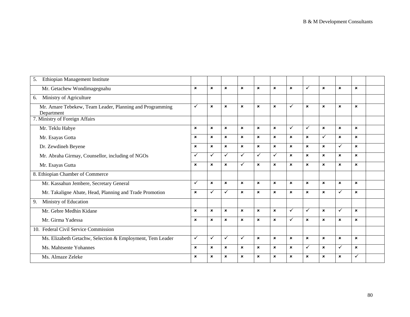| 5.<br>Ethiopian Management Institute                                   |                           |                           |                           |                           |                           |                           |                           |                           |                           |                           |                           |  |
|------------------------------------------------------------------------|---------------------------|---------------------------|---------------------------|---------------------------|---------------------------|---------------------------|---------------------------|---------------------------|---------------------------|---------------------------|---------------------------|--|
| Mr. Getachew Wondimagegnahu                                            | $\mathbf x$               | $\mathbf x$               | $\mathbf{x}$              | $\mathbf{x}$              | $\mathbf x$               | $\mathbf{x}$              | $\mathbf x$               | $\checkmark$              | $\boldsymbol{\mathsf{x}}$ | $\mathbf{x}$              | $\mathbf{x}$              |  |
| Ministry of Agriculture<br>6.                                          |                           |                           |                           |                           |                           |                           |                           |                           |                           |                           |                           |  |
| Mr. Amare Tebekew, Team Leader, Planning and Programming<br>Department | $\checkmark$              | $\boldsymbol{\mathsf{x}}$ | $\mathbf x$               | $\mathbf{x}$              | $\mathbf x$               | $\boldsymbol{\mathsf{x}}$ | ✓                         | $\boldsymbol{\mathsf{x}}$ | $\boldsymbol{\mathsf{x}}$ | $\boldsymbol{\mathsf{x}}$ | $\mathbf x$               |  |
| 7. Ministry of Foreign Affairs                                         |                           |                           |                           |                           |                           |                           |                           |                           |                           |                           |                           |  |
| Mr. Teklu Habye                                                        | $\mathbf x$               | $\boldsymbol{\mathsf{x}}$ | $\mathbf{x}$              | $\mathbf{x}$              | $\mathbf{x}$              | $\mathbf{x}$              | ✓                         | $\checkmark$              | $\boldsymbol{\mathsf{x}}$ | $\mathbf{x}$              | $\mathbf{x}$              |  |
| Mr. Esayas Gotta                                                       | $\pmb{\times}$            | $\pmb{\times}$            | $\boldsymbol{\mathsf{x}}$ | $\boldsymbol{\mathsf{x}}$ | $\pmb{\times}$            | $\boldsymbol{\mathsf{x}}$ | $\mathbf{x}$              | $\pmb{\times}$            | $\checkmark$              | $\boldsymbol{\mathsf{x}}$ | $\boldsymbol{\mathsf{x}}$ |  |
| Dr. Zewdineh Beyene                                                    | $\pmb{\times}$            | $\pmb{\times}$            | $\boldsymbol{\mathsf{x}}$ | $\mathbf{x}$              | $\boldsymbol{\mathsf{x}}$ | $\boldsymbol{\mathsf{x}}$ | $\boldsymbol{\mathsf{x}}$ | $\pmb{\times}$            | $\pmb{\times}$            | ✓                         | $\boldsymbol{\mathsf{x}}$ |  |
| Mr. Abraha Girmay, Counsellor, including of NGOs                       | $\checkmark$              | $\checkmark$              | ✓                         | ✓                         | $\checkmark$              | $\checkmark$              | $\mathbf x$               | $\boldsymbol{\mathsf{x}}$ | $\pmb{\times}$            | $\mathbf x$               | $\mathbf x$               |  |
| Mr. Esayas Gutta                                                       | $\mathbf x$               | $\mathbf x$               | $\mathbf x$               | ✓                         | $\mathbf x$               | $\boldsymbol{\mathsf{x}}$ | $\mathbf x$               | $\mathbf x$               | $\mathbf x$               | $\mathbf x$               | $\mathbf x$               |  |
| 8. Ethiopian Chamber of Commerce                                       |                           |                           |                           |                           |                           |                           |                           |                           |                           |                           |                           |  |
| Mr. Kassahun Jembere, Secretary General                                | ✓                         | $\boldsymbol{\mathsf{x}}$ | $\boldsymbol{\mathsf{x}}$ | $\mathbf{x}$              | $\mathbf x$               | $\boldsymbol{\mathsf{x}}$ | $\mathbf x$               | $\boldsymbol{\mathsf{x}}$ | $\pmb{\times}$            | $\boldsymbol{\mathsf{x}}$ | $\mathbf x$               |  |
| Mr. Takaligne Abate, Head, Planning and Trade Promotion                | $\boldsymbol{\mathsf{x}}$ | ✓                         | ✓                         | $\mathbf{x}$              | $\mathbf x$               | $\boldsymbol{\mathsf{x}}$ | $\mathbf x$               | $\boldsymbol{\mathsf{x}}$ | $\boldsymbol{\mathsf{x}}$ | ✓                         | $\mathbf x$               |  |
| Ministry of Education<br>9.                                            |                           |                           |                           |                           |                           |                           |                           |                           |                           |                           |                           |  |
| Mr. Gebre Medhin Kidane                                                | $\pmb{\times}$            | $\mathbf x$               | $\mathbf x$               | $\mathbf{x}$              | $\pmb{\times}$            | $\mathbf{x}$              | ✓                         | $\checkmark$              | $\pmb{\times}$            | ✓                         | $\mathbf x$               |  |
| Mr. Girma Yadessa                                                      | $\boldsymbol{\mathsf{x}}$ | $\mathbf x$               | $\mathbf{x}$              | $\mathbf{x}$              | $\mathbf x$               | $\boldsymbol{\mathsf{x}}$ | ✓                         | $\boldsymbol{\mathsf{x}}$ | $\boldsymbol{\mathsf{x}}$ | ×                         | $\mathbf x$               |  |
| 10. Federal Civil Service Commission                                   |                           |                           |                           |                           |                           |                           |                           |                           |                           |                           |                           |  |
| Ms. Elizabeth Getachw, Selection & Employment, Tem Leader              | $\checkmark$              | $\checkmark$              | $\checkmark$              | $\checkmark$              | $\mathbf x$               | $\mathbf{x}$              | $\boldsymbol{\mathsf{x}}$ | $\boldsymbol{\mathsf{x}}$ | $\pmb{\times}$            | $\boldsymbol{\mathsf{x}}$ | $\boldsymbol{\mathsf{x}}$ |  |
| Ms. Mahtsente Yohannes                                                 | $\mathbf{x}$              | $\mathbf{x}$              | $\mathbf{x}$              | $\mathbf{x}$              | $\mathbf{x}$              | $\mathbf{x}$              | $\mathbf{x}$              | $\checkmark$              | $\mathbf x$               | ✓                         | $\mathbf{x}$              |  |
| Ms. Almaze Zeleke                                                      | $\pmb{\times}$            | $\mathbf x$               | ×                         | $\mathbf x$               | $\boldsymbol{\mathsf{x}}$ | $\pmb{\times}$            | $\mathbf x$               | $\boldsymbol{\mathsf{x}}$ | $\pmb{\times}$            | ×                         | ✓                         |  |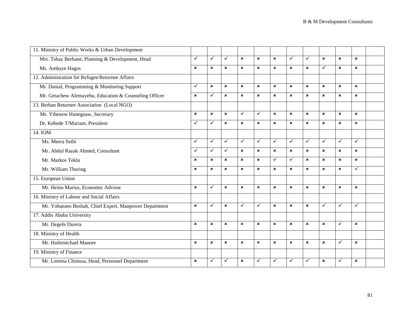| 11. Ministry of Public Works & Urban Development       |                           |                           |                           |                           |                           |                           |                           |                           |                           |                           |                           |  |
|--------------------------------------------------------|---------------------------|---------------------------|---------------------------|---------------------------|---------------------------|---------------------------|---------------------------|---------------------------|---------------------------|---------------------------|---------------------------|--|
| Mrs. Tshay Berhane, Planning & Development, Head       | ✓                         | $\checkmark$              | $\checkmark$              | $\boldsymbol{\mathsf{x}}$ | $\boldsymbol{\mathsf{x}}$ | $\pmb{\times}$            | ✓                         | $\checkmark$              | $\boldsymbol{\mathsf{x}}$ | $\pmb{\times}$            | $\boldsymbol{\mathsf{x}}$ |  |
| Ms. Ambaye Hagos                                       | $\mathbf{x}$              | $\boldsymbol{\mathsf{x}}$ | $\boldsymbol{\mathsf{x}}$ | $\boldsymbol{\mathsf{x}}$ | $\pmb{\times}$            | $\pmb{\times}$            | $\boldsymbol{\mathsf{x}}$ | $\boldsymbol{\mathsf{x}}$ | $\checkmark$              | $\boldsymbol{\mathsf{x}}$ | $\boldsymbol{\mathsf{x}}$ |  |
| 12. Administration for Refugee/Returnee Affairs        |                           |                           |                           |                           |                           |                           |                           |                           |                           |                           |                           |  |
| Mr. Danial, Programming & Monitoring Support           | ✓                         | $\boldsymbol{\mathsf{x}}$ | $\mathbf{x}$              | $\mathbf{x}$              | $\boldsymbol{\mathsf{x}}$ | $\boldsymbol{\mathsf{x}}$ | $\mathbf{x}$              | $\mathbf{x}$              | $\mathbf{x}$              | $\boldsymbol{\mathsf{x}}$ | $\mathbf{x}$              |  |
| Mr. Getachew Alemayehu, Education & Counseling Officer | $\mathbf{x}$              | $\checkmark$              | $\boldsymbol{\mathsf{x}}$ | $\boldsymbol{\mathsf{x}}$ | $\mathbf{x}$              | $\boldsymbol{\mathsf{x}}$ | $\boldsymbol{\mathsf{x}}$ | $\mathbf{x}$              | $\mathbf{x}$              | $\mathbf{x}$              | $\mathbf{x}$              |  |
| 13. Berhan Returnee Association (Local NGO)            |                           |                           |                           |                           |                           |                           |                           |                           |                           |                           |                           |  |
| Mr. Yihenew Hunegnaw, Secretary                        | ×                         | $\pmb{\times}$            | $\boldsymbol{\mathsf{x}}$ | $\checkmark$              | ✓                         | $\boldsymbol{\mathsf{x}}$ | ×                         | ×                         | $\mathbf{x}$              | $\mathbf{x}$              | $\boldsymbol{\mathsf{x}}$ |  |
| Dr. Kebede T/Mariam, President                         | ✓                         | $\checkmark$              | $\mathbf{x}$              | $\boldsymbol{\mathsf{x}}$ | $\boldsymbol{\mathsf{x}}$ | $\boldsymbol{\mathsf{x}}$ | $\mathbf{x}$              | $\mathbf{x}$              | $\mathbf{x}$              | $\mathbf{x}$              | $\boldsymbol{\mathsf{x}}$ |  |
| 14. IOM                                                |                           |                           |                           |                           |                           |                           |                           |                           |                           |                           |                           |  |
| Ms. Meera Sethi                                        | ✓                         | $\checkmark$              | $\checkmark$              | $\checkmark$              | $\checkmark$              | $\checkmark$              | $\checkmark$              | $\checkmark$              | $\checkmark$              | $\checkmark$              | ✓                         |  |
| Mr. Abdul Razak Ahmed, Consultant                      | ✓                         | $\checkmark$              | $\checkmark$              | $\boldsymbol{\mathsf{x}}$ | $\mathbf{x}$              | $\boldsymbol{\mathsf{x}}$ | $\boldsymbol{\mathsf{x}}$ | $\boldsymbol{\mathsf{x}}$ | $\mathbf{x}$              | $\boldsymbol{\mathsf{x}}$ | $\mathbf x$               |  |
| Mr. Markos Teklu                                       | $\boldsymbol{\mathsf{x}}$ | $\mathbf x$               | $\boldsymbol{\mathsf{x}}$ | $\boldsymbol{\mathsf{x}}$ | $\boldsymbol{\mathsf{x}}$ | $\checkmark$              | $\checkmark$              | $\mathbf{x}$              | $\mathbf{x}$              | $\mathbf{x}$              | $\boldsymbol{\mathsf{x}}$ |  |
| Mr. William Thuring                                    | $\mathbf{x}$              | $\mathbf x$               | $\mathbf{x}$              | $\mathbf{x}$              | $\mathbf{x}$              | $\boldsymbol{\mathsf{x}}$ | $\mathbf{x}$              | $\mathbf{x}$              | $\mathbf{x}$              | $\mathbf{x}$              | ✓                         |  |
| 15. European Union                                     |                           |                           |                           |                           |                           |                           |                           |                           |                           |                           |                           |  |
| Mr. Heino Marius, Economic Advisor                     | $\mathbf{x}$              | $\checkmark$              | $\boldsymbol{\mathsf{x}}$ | $\boldsymbol{\mathsf{x}}$ | $\boldsymbol{\mathsf{x}}$ | $\boldsymbol{\mathsf{x}}$ | $\boldsymbol{\mathsf{x}}$ | $\boldsymbol{\mathsf{x}}$ | $\boldsymbol{\mathsf{x}}$ | $\boldsymbol{\mathsf{x}}$ | $\boldsymbol{\mathsf{x}}$ |  |
| 16. Ministry of Labour and Social Affairs              |                           |                           |                           |                           |                           |                           |                           |                           |                           |                           |                           |  |
| Mr. Yohannes Beshah, Chief Expert, Manpower Department | $\mathbf{x}$              | $\checkmark$              | $\mathbf{x}$              | ✓                         | $\checkmark$              | $\mathbf{x}$              | $\mathbf{x}$              | $\mathbf{x}$              | $\checkmark$              | $\checkmark$              | ✓                         |  |
| 17. Addis Ababa University                             |                           |                           |                           |                           |                           |                           |                           |                           |                           |                           |                           |  |
| Mr. Degefe Durera                                      | $\mathbf{x}$              | $\boldsymbol{\mathsf{x}}$ | $\boldsymbol{\mathsf{x}}$ | $\boldsymbol{\mathsf{x}}$ | $\mathbf x$               | $\boldsymbol{\mathsf{x}}$ | $\boldsymbol{\mathsf{x}}$ | ×                         | $\mathbf{x}$              | ✓                         | $\boldsymbol{\mathsf{x}}$ |  |
| 18. Ministry of Health                                 |                           |                           |                           |                           |                           |                           |                           |                           |                           |                           |                           |  |
| Mr. Hailemichael Manore                                | $\mathbf{x}$              | $\boldsymbol{\mathsf{x}}$ | $\mathbf{x}$              | $\boldsymbol{\mathsf{x}}$ | $\mathbf{x}$              | $\boldsymbol{\mathsf{x}}$ | $\mathbf{x}$              | $\mathbf{x}$              | $\mathbf{x}$              | $\checkmark$              | $\mathbf{x}$              |  |
| 19. Ministry of Finance                                |                           |                           |                           |                           |                           |                           |                           |                           |                           |                           |                           |  |
| Mr. Lemma Chimssa, Head, Personnel Department          | $\pmb{\times}$            | $\checkmark$              | ✓                         | $\mathbf x$               | ✓                         | $\checkmark$              | ✓                         | ✓                         | $\boldsymbol{\mathsf{x}}$ | ✓                         | $\mathbf x$               |  |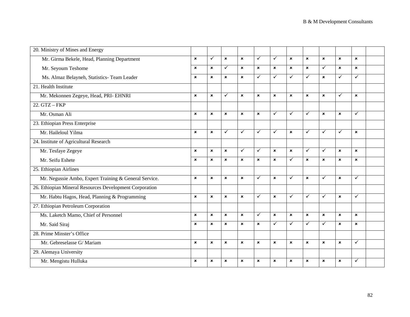| 20. Ministry of Mines and Energy                        |                           |                           |                           |                           |                           |                           |                           |                           |                           |                           |                           |  |
|---------------------------------------------------------|---------------------------|---------------------------|---------------------------|---------------------------|---------------------------|---------------------------|---------------------------|---------------------------|---------------------------|---------------------------|---------------------------|--|
| Mr. Girma Bekele, Head, Planning Department             | $\boldsymbol{\mathsf{x}}$ | $\checkmark$              | $\mathbf{x}$              | $\boldsymbol{\mathsf{x}}$ | $\checkmark$              | $\checkmark$              | $\boldsymbol{\mathsf{x}}$ | $\boldsymbol{\mathsf{x}}$ | $\mathbf{x}$              | $\mathbf{x}$              | $\boldsymbol{\mathsf{x}}$ |  |
| Mr. Seyoum Teshome                                      | $\mathbf x$               | $\pmb{\times}$            | ✓                         | $\boldsymbol{\mathsf{x}}$ | $\pmb{\times}$            | $\pmb{\times}$            | $\pmb{\times}$            | $\pmb{\times}$            | ✓                         | $\mathbf{x}$              | $\boldsymbol{\mathsf{x}}$ |  |
| Ms. Almaz Belayneh, Statistics- Team Leader             | $\mathbf x$               | $\boldsymbol{\mathsf{x}}$ | $\boldsymbol{\mathsf{x}}$ | $\mathbf{x}$              | $\checkmark$              | $\checkmark$              | $\checkmark$              | $\checkmark$              | $\mathbf{x}$              | $\checkmark$              | ✓                         |  |
| 21. Health Institute                                    |                           |                           |                           |                           |                           |                           |                           |                           |                           |                           |                           |  |
| Mr. Mekonnen Zegeye, Head, PRI- EHNRI                   | ×                         | $\pmb{\times}$            | $\checkmark$              | $\boldsymbol{\mathsf{x}}$ | ×                         | $\boldsymbol{\mathsf{x}}$ | $\boldsymbol{\mathsf{x}}$ | $\boldsymbol{\mathsf{x}}$ | $\boldsymbol{\mathsf{x}}$ | $\checkmark$              | $\boldsymbol{\mathsf{x}}$ |  |
| $22. GTZ - FKP$                                         |                           |                           |                           |                           |                           |                           |                           |                           |                           |                           |                           |  |
| Mr. Osman Ali                                           | $\boldsymbol{\mathsf{x}}$ | $\boldsymbol{\mathsf{x}}$ | $\mathbf{x}$              | $\mathbf{x}$              | $\boldsymbol{\mathsf{x}}$ | $\checkmark$              | $\checkmark$              | $\checkmark$              | $\boldsymbol{\mathsf{x}}$ | $\mathbf{x}$              | ✓                         |  |
| 23. Ethiopian Press Enterprise                          |                           |                           |                           |                           |                           |                           |                           |                           |                           |                           |                           |  |
| Mr. Haileloul Yilma                                     | $\boldsymbol{\mathsf{x}}$ | $\boldsymbol{\mathsf{x}}$ | ✓                         | ✓                         | $\checkmark$              | $\checkmark$              | $\boldsymbol{\mathsf{x}}$ | $\checkmark$              | $\checkmark$              | ✓                         | $\mathbf x$               |  |
| 24. Institute of Agricultural Research                  |                           |                           |                           |                           |                           |                           |                           |                           |                           |                           |                           |  |
| Mr. Tesfaye Zegeye                                      | $\mathbf{x}$              | $\mathbf{x}$              | $\mathbf{x}$              | ✓                         | $\checkmark$              | $\mathbf{x}$              | $\boldsymbol{\mathsf{x}}$ | $\checkmark$              | $\checkmark$              | $\mathbf{x}$              | $\mathbf x$               |  |
| Mr. Seifu Eshete                                        | ×                         | $\pmb{\times}$            | $\mathbf{x}$              | $\pmb{\times}$            | ×                         | $\pmb{\times}$            | $\checkmark$              | $\pmb{\times}$            | $\pmb{\times}$            | $\boldsymbol{\mathsf{x}}$ | $\boldsymbol{\mathsf{x}}$ |  |
| 25. Ethiopian Airlines                                  |                           |                           |                           |                           |                           |                           |                           |                           |                           |                           |                           |  |
| Mr. Negussie Ambo, Expert Training & General Service.   | $\mathbf{x}$              | $\boldsymbol{\mathsf{x}}$ | $\pmb{\times}$            | $\boldsymbol{\mathsf{x}}$ | $\checkmark$              | $\boldsymbol{\mathsf{x}}$ | $\checkmark$              | $\mathbf{x}$              | $\checkmark$              | $\pmb{\times}$            | $\checkmark$              |  |
| 26. Ethiopian Mineral Resources Development Corporation |                           |                           |                           |                           |                           |                           |                           |                           |                           |                           |                           |  |
| Mr. Habtu Hagos, Head, Planning & Programming           | $\mathbf x$               | $\boldsymbol{\mathsf{x}}$ | $\boldsymbol{\mathsf{x}}$ | $\boldsymbol{\mathsf{x}}$ | ✓                         | $\boldsymbol{\mathsf{x}}$ | $\checkmark$              | ✓                         | $\checkmark$              | $\boldsymbol{\mathsf{x}}$ | ✓                         |  |
| 27. Ethiopian Petroleum Corporation                     |                           |                           |                           |                           |                           |                           |                           |                           |                           |                           |                           |  |
| Ms. Laketch Mamo, Chief of Personnel                    | $\boldsymbol{\mathsf{x}}$ | $\boldsymbol{\mathsf{x}}$ | $\pmb{\times}$            | $\pmb{\times}$            | $\checkmark$              | $\boldsymbol{\mathsf{x}}$ | $\mathbf{x}$              | $\boldsymbol{\mathsf{x}}$ | $\mathbf{x}$              | $\pmb{\times}$            | $\mathbf{x}$              |  |
| Mr. Said Siraj                                          | $\boldsymbol{\mathsf{x}}$ | $\pmb{\times}$            | $\boldsymbol{\mathsf{x}}$ | $\boldsymbol{\mathsf{x}}$ | $\pmb{\times}$            | $\checkmark$              | $\checkmark$              | $\checkmark$              | $\checkmark$              | $\boldsymbol{\mathsf{x}}$ | $\boldsymbol{\mathsf{x}}$ |  |
| 28. Prime Minster's Office                              |                           |                           |                           |                           |                           |                           |                           |                           |                           |                           |                           |  |
| Mr. Gebreselasse G/Mariam                               | $\boldsymbol{\mathsf{x}}$ | $\mathbf{x}$              | $\mathbf{x}$              | $\mathbf{x}$              | $\boldsymbol{\mathsf{x}}$ | $\boldsymbol{\mathsf{x}}$ | $\mathbf{x}$              | $\boldsymbol{\mathsf{x}}$ | $\boldsymbol{\mathsf{x}}$ | $\mathbf{x}$              | $\checkmark$              |  |
| 29. Alemaya University                                  |                           |                           |                           |                           |                           |                           |                           |                           |                           |                           |                           |  |
| Mr. Mengistu Hulluka                                    | ×                         | $\boldsymbol{\mathsf{x}}$ | $\boldsymbol{\mathsf{x}}$ | $\pmb{\times}$            | ×                         | $\boldsymbol{\mathsf{x}}$ | $\mathbf x$               | $\mathbf x$               | $\mathbf x$               | $\pmb{\times}$            | ✓                         |  |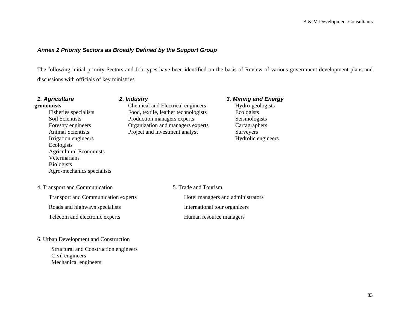## *Annex 2 Priority Sectors as Broadly Defined by the Support Group*

The following initial priority Sectors and Job types have been identified on the basis of Review of various government development plans and discussions with officials of key ministries

| 1. Agriculture<br>gronomists<br>Fisheries specialists<br>Soil Scientists<br>Forestry engineers<br><b>Animal Scientists</b><br>Irrigation engineers<br>Ecologists<br><b>Agricultural Economists</b><br>Veterinarians<br><b>Biologists</b><br>Agro-mechanics specialists | 2. Industry<br>Chemical and Electrical engineers<br>Food, textile, leather technologists<br>Production managers experts<br>Organization and managers experts<br>Project and investment analyst | 3. Mining and Energy<br>Hydro-geologists<br>Ecologists<br>Seismologists<br>Cartagraphers<br>Surveyers<br>Hydrolic engineers |
|------------------------------------------------------------------------------------------------------------------------------------------------------------------------------------------------------------------------------------------------------------------------|------------------------------------------------------------------------------------------------------------------------------------------------------------------------------------------------|-----------------------------------------------------------------------------------------------------------------------------|
| 4. Transport and Communication                                                                                                                                                                                                                                         | 5. Trade and Tourism                                                                                                                                                                           |                                                                                                                             |
| <b>Transport and Communication experts</b>                                                                                                                                                                                                                             |                                                                                                                                                                                                | Hotel managers and administrators                                                                                           |
| Roads and highways specialists                                                                                                                                                                                                                                         |                                                                                                                                                                                                | International tour organizers                                                                                               |
| Telecom and electronic experts                                                                                                                                                                                                                                         |                                                                                                                                                                                                | Human resource managers                                                                                                     |
| 6. Urban Development and Construction                                                                                                                                                                                                                                  |                                                                                                                                                                                                |                                                                                                                             |

Structural and Construction engineers Civil engineers Mechanical engineers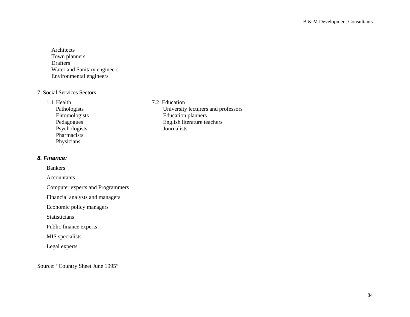Architects Town planners Drafters Water and Sanitary engineers Environmental engineers

## 7. Social Services Sectors

#### 1.1 Health

Psychologists Journalists Pharmacists Physicians

## *8. Finance:*

Bankers

Accountants

Computer experts and Programmers

Financial analysts and managers

Economic policy managers

Statisticians

Public finance experts

MIS specialists

Legal experts

Source: "Country Sheet June 1995"

7.2 Education Pathologists<br>
Entomologists<br>
Education planners<br>
Education planners Entomologists<br>
Education planners<br>
Pedagogues<br>
English literature te English literature teachers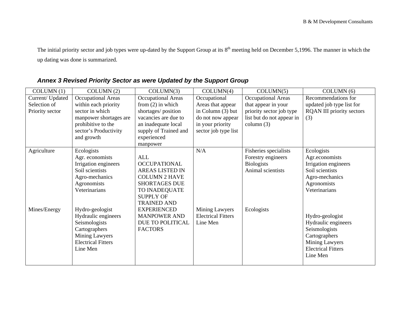The initial priority sector and job types were up-dated by the Support Group at its 8<sup>th</sup> meeting held on December 5,1996. The manner in which the up dating was done is summarized.

| COLUMN(1)        | COLUMN(2)                 | COLUMN(3)                 | COLUMN(4)                 | COLUMN(5)                 | COLUMN(6)                        |
|------------------|---------------------------|---------------------------|---------------------------|---------------------------|----------------------------------|
| Current/ Updated | Occupational Areas        | <b>Occupational Areas</b> | Occupational              | <b>Occupational Areas</b> | Recommendations for              |
| Selection of     | within each priority      | from $(2)$ in which       | Areas that appear         | that appear in your       | updated job type list for        |
| Priority sector  | sector in which           | shortages/position        | in Column (3) but         | priority sector job type  | <b>RQAN III priority sectors</b> |
|                  | manpower shortages are    | vacancies are due to      | do not now appear         | list but do not appear in | (3)                              |
|                  | prohibitive to the        | an inadequate local       | in your priority          | column $(3)$              |                                  |
|                  | sector's Productivity     | supply of Trained and     | sector job type list      |                           |                                  |
|                  | and growth                | experienced               |                           |                           |                                  |
|                  |                           | manpower                  |                           |                           |                                  |
| Agriculture      | Ecologists                |                           | N/A                       | Fisheries specialists     | Ecologists                       |
|                  | Agr. economists           | ALL                       |                           | Forestry engineers        | Agr.economists                   |
|                  | Irrigation engineers      | <b>OCCUPATIONAL</b>       |                           | <b>Biologists</b>         | Irrigation engineers             |
|                  | Soil scientists           | <b>AREAS LISTED IN</b>    |                           | Animal scientists         | Soil scientists                  |
|                  | Agro-mechanics            | <b>COLUMN 2 HAVE</b>      |                           |                           | Agro-mechanics                   |
|                  | Agronomists               | <b>SHORTAGES DUE</b>      |                           |                           | Agronomists                      |
|                  | Veterinarians             | TO INADEQUATE             |                           |                           | Veterinarians                    |
|                  |                           | <b>SUPPLY OF</b>          |                           |                           |                                  |
|                  |                           | <b>TRAINED AND</b>        |                           |                           |                                  |
| Mines/Energy     | Hydro-geologist           | <b>EXPERIENCED</b>        | Mining Lawyers            | Ecologists                |                                  |
|                  | Hydraulic engineers       | <b>MANPOWER AND</b>       | <b>Electrical Fitters</b> |                           | Hydro-geologist                  |
|                  | Seismologists             | DUE TO POLITICAL          | Line Men                  |                           | Hydraulic engineers              |
|                  | Cartographers             | <b>FACTORS</b>            |                           |                           | Seismologists                    |
|                  | <b>Mining Lawyers</b>     |                           |                           |                           | Cartographers                    |
|                  | <b>Electrical Fitters</b> |                           |                           |                           | Mining Lawyers                   |
|                  | Line Men                  |                           |                           |                           | <b>Electrical Fitters</b>        |
|                  |                           |                           |                           |                           | Line Men                         |
|                  |                           |                           |                           |                           |                                  |

# *Annex 3 Revised Priority Sector as were Updated by the Support Group*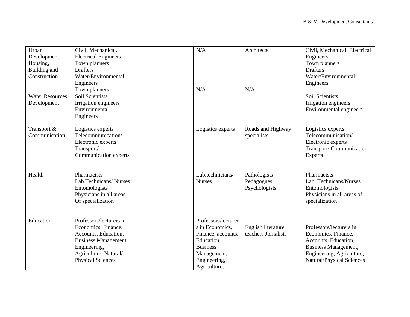| Urban                  | Civil, Mechanical,          | N/A                 | Architects                                | Civil, Mechanical, Electrical |
|------------------------|-----------------------------|---------------------|-------------------------------------------|-------------------------------|
| Development,           | <b>Electrical Engineers</b> |                     |                                           | Engineers                     |
| Housing,               | Town planners               |                     |                                           | Town planners                 |
| Building and           | <b>Drafters</b>             |                     |                                           | <b>Drafters</b>               |
| Construction           | Water/Environmental         |                     |                                           | Water/Environmental           |
|                        | Engineers                   |                     |                                           | Engineers                     |
|                        | Town planners               | N/A                 | N/A                                       |                               |
| <b>Water Resources</b> | Soil Scientists             |                     |                                           | Soil Scientists               |
| Development            | Irrigation engineers        |                     |                                           | Irrigation engineers          |
|                        | Environmental               |                     |                                           | Environmental engineers       |
|                        | Engineers                   |                     |                                           |                               |
|                        |                             |                     |                                           |                               |
| Transport &            | Logistics experts           | Logistics experts   | Roads and Highway                         | Logistics experts             |
| Communication          | Telecommunication/          |                     | specialists                               | Telecommunication/            |
|                        | Electronic experts          |                     |                                           | Electronic experts            |
|                        | Transport/                  |                     |                                           | Transport/Communication       |
|                        | Communication experts       |                     |                                           | <b>Experts</b>                |
|                        |                             |                     |                                           |                               |
|                        |                             |                     |                                           |                               |
| Health                 | Pharmacists                 | Lab.technicians/    | Pathologists                              | Pharmacists                   |
|                        | Lab.Technicans/Nurses       | <b>Nurses</b>       | Pedagogues                                | Lab. Technicans/Nurses        |
|                        | Entomologists               |                     | Psychologists                             | Entomologists                 |
|                        | Physicians in all areas     |                     |                                           | Physicians in all areas of    |
|                        | Of specialization           |                     |                                           | specialization                |
|                        |                             |                     |                                           |                               |
|                        | Professors/lecturers in     | Professors/lecturer |                                           |                               |
| Education              |                             |                     |                                           | Professors/lecturers in       |
|                        | Economics, Finance,         | s in Economics,     | English literature<br>teachers Jornalists |                               |
|                        | Accounts, Education,        | Finance, accounts,  |                                           | Economics, Finance,           |
|                        | <b>Business Management,</b> | Education,          |                                           | Accounts, Education,          |
|                        | Engineering,                | <b>Business</b>     |                                           | Business Management,          |
|                        | Agriculture, Natural/       | Management,         |                                           | Engineering, Agriculture,     |
|                        | <b>Physical Sciences</b>    | Engineering,        |                                           | Natural/Physical Sciences     |
|                        |                             | Agriculture,        |                                           |                               |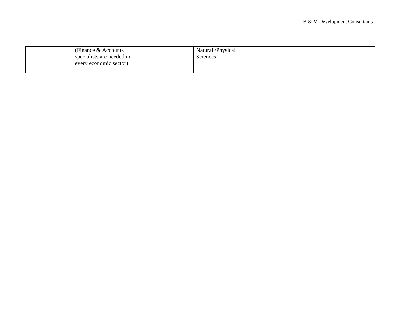| (Finance & Accounts)      | Natural /Physical |  |
|---------------------------|-------------------|--|
| specialists are needed in | Sciences          |  |
| every economic sector)    |                   |  |
|                           |                   |  |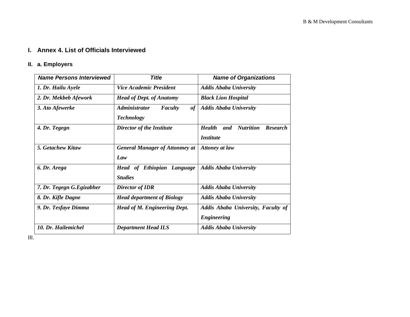## **I. Annex 4. List of Officials Interviewed**

# **II. a. Employers**

| <b>Name Persons Interviewed</b> | <b>Title</b>                                                      |                                                                                 |
|---------------------------------|-------------------------------------------------------------------|---------------------------------------------------------------------------------|
| 1. Dr. Hailu Ayele              | <b>Vice Academic President</b>                                    | <b>Addis Ababa University</b>                                                   |
| 2. Dr. Mekbeb Afework           | <b>Head of Dept. of Anatomy</b>                                   | <b>Black Lion Hospital</b>                                                      |
| 3. Ato Afewerke                 | <b>Administrator</b><br>of<br><b>Faculty</b><br><b>Technology</b> | <b>Addis Ababa University</b>                                                   |
| 4. Dr. Tegegn                   | Director of the Institute                                         | <b>Nutrition</b><br><b>Health</b><br>and<br><b>Research</b><br><i>Institute</i> |
| 5. Getachew Kitaw               | <b>General Manager of Attonmey at</b><br>Law                      | <b>Attoney at law</b>                                                           |
| 6. Dr. Arega                    | <b>Head of Ethiopian Language</b><br><b>Studies</b>               | <b>Addis Ababa University</b>                                                   |
| 7. Dr. Tegegn G. Egizabher      | Director of <b>IDR</b>                                            | <b>Addis Ababa University</b>                                                   |
| 8. Dr. Kifle Dagne              | <b>Head department of Biology</b>                                 | <b>Addis Ababa University</b>                                                   |
| 9. Dr. Tesfaye Dimma            | <b>Head of M. Engineering Dept.</b>                               | Addis Ababa University, Faculty of<br><b>Engineering</b>                        |
| 10. Dr. Hailemichel             | <b>Department Head ILS</b>                                        | <b>Addis Ababa University</b>                                                   |

III.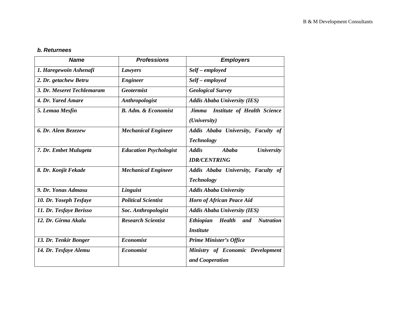#### *b. Returnees*

| <b>Name</b>                | <b>Professions</b>            | <b>Employers</b>                                                                        |
|----------------------------|-------------------------------|-----------------------------------------------------------------------------------------|
| 1. Haregewoin Ashenafi     | Lawyers                       | Self - employed                                                                         |
| 2. Dr. getachew Betru      | <b>Engineer</b>               | Self – employed                                                                         |
| 3. Dr. Meseret Techlemaram | <b>Geotermist</b>             | <b>Geological Survey</b>                                                                |
| 4. Dr. Yared Amare         | Anthropologist                | <b>Addis Ababa University (IES)</b>                                                     |
| 5. Lemaa Mesfin            | <b>B.</b> Adm. & Economist    | <b>Institute of Health Science</b><br>Jimma<br>(University)                             |
| 6. Dr. Alem Bezezew        | <b>Mechanical Engineer</b>    | Addis Ababa University, Faculty of<br><b>Technology</b>                                 |
| 7. Dr. Embet Mulugeta      | <b>Education Psychologist</b> | <b>Addis</b><br>Ababa<br><b>University</b><br><b>IDR/CENTRING</b>                       |
| 8. Dr. Konjit Fekade       | <b>Mechanical Engineer</b>    | Addis Ababa University, Faculty of<br><b>Technology</b>                                 |
| 9. Dr. Yonas Admasu        | Linguist                      | <b>Addis Ababa University</b>                                                           |
| 10. Dr. Yoseph Tesfaye     | <b>Political Scientist</b>    | Horn of African Peace Aid                                                               |
| 11. Dr. Tesfaye Berisso    | <b>Soc. Anthropologist</b>    | <b>Addis Ababa University (IES)</b>                                                     |
| 12. Dr. Girma Akalu        | <b>Research Scientist</b>     | <b>Health</b><br><b>Nutration</b><br><b>Ethiopian</b><br>and<br><i><b>Institute</b></i> |
| 13. Dr. Tenkir Bonger      | <b>Economist</b>              | <b>Prime Minister's Office</b>                                                          |
| 14. Dr. Tesfaye Alemu      | <b>Economist</b>              | Ministry of Economic Development<br>and Cooperation                                     |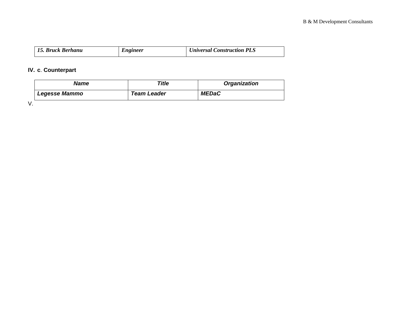| 15. Bruck Berhanu | Engineer | <b>Universal Construction PLS</b> |
|-------------------|----------|-----------------------------------|
|-------------------|----------|-----------------------------------|

# **IV. c**. **Counterpart**

| Name                 | Title       | <b>Organization</b> |
|----------------------|-------------|---------------------|
| <b>Legesse Mammo</b> | Team Leader | <b>MEDaC</b>        |

V.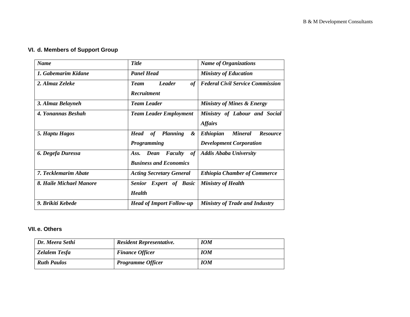# **VI. d. Members of Support Group**

| <b>Name</b>             | <b>Title</b>                               | <b>Name of Organizations</b>                          |  |
|-------------------------|--------------------------------------------|-------------------------------------------------------|--|
| 1. Gabemarim Kidane     | <b>Panel Head</b>                          | <b>Ministry of Education</b>                          |  |
| 2. Almaz Zeleke         | <b>Leader</b><br><b>Team</b><br>of         | <b>Federal Civil Service Commission</b>               |  |
|                         | <b>Recruitment</b>                         |                                                       |  |
| 3. Almaz Belayneh       | <b>Team Leader</b>                         | <b>Ministry of Mines &amp; Energy</b>                 |  |
| 4. Yonannas Beshah      | <b>Team Leader Employment</b>              | Ministry of Labour and Social                         |  |
|                         |                                            | <b>Affairs</b>                                        |  |
| 5. Haptu Hagos          | <b>Head</b><br>of<br><b>Planning</b><br>&  | <b>Mineral</b><br><b>Resource</b><br><b>Ethiopian</b> |  |
|                         | Programming                                | <b>Development Corporation</b>                        |  |
| 6. Degefa Duressa       | Faculty<br>Ass.<br>Dean<br>of <sub>l</sub> | <b>Addis Ababa University</b>                         |  |
|                         | <b>Business and Economics</b>              |                                                       |  |
| 7. Tecklemarim Abate    | <b>Acting Secretary General</b>            | <b>Ethiopia Chamber of Commerce</b>                   |  |
| 8. Haile Michael Manore | <b>Senior Expert of Basic</b>              | <b>Ministry of Health</b>                             |  |
|                         | <b>Health</b>                              |                                                       |  |
| 9. Brikiti Kebede       | <b>Head of Import Follow-up</b>            | <b>Ministry of Trade and Industry</b>                 |  |

### **VII. e. Others**

| Dr. Meera Sethi    | <b>Resident Representative.</b> | <b>IOM</b> |
|--------------------|---------------------------------|------------|
| Zelalem Tesfa      | <b>Finance Officer</b>          | <b>IOM</b> |
| <b>Ruth Paulos</b> | <b>Programme Officer</b>        | <b>IOM</b> |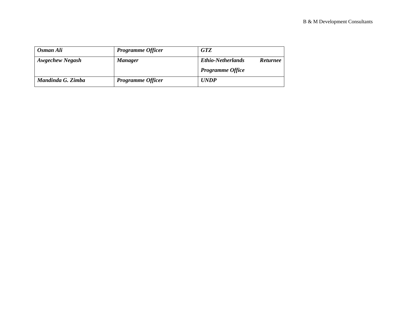| Osman Ali              | <b>Programme Officer</b> | <b>GTZ</b>                                  |
|------------------------|--------------------------|---------------------------------------------|
| <b>Awgechew Negash</b> | <b>Manager</b>           | <b>Ethio-Netherlands</b><br><b>Returnee</b> |
|                        |                          | <b>Programme Office</b>                     |
| Mandinda G. Zimba      | <b>Programme Officer</b> | <b>UNDP</b>                                 |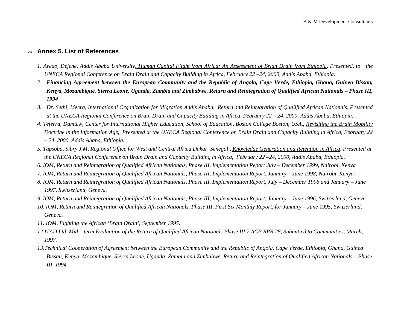## **VIII. Annex 5. List of References**

- *1. Aredo, Dejene, Addis Ababa University, Human Capital Flight from Africa: An Assessment of Brian Drain from Ethiopia, Presented, to the UNECA Regional Conference on Brain Drain and Capacity Building in Africa, February 22 –24, 2000, Addis Ababa, Ethiopia.*
- *2. Financing Agreement between the European Community and the Republic of Angola, Cape Verde, Ethiopia, Ghana, Guinea Bissau, Kenya, Mozambique, Sierra Leone, Uganda, Zambia and Zimbabwe, Return and Reintegration of Qualified African Nationals – Phase III, 1994*
- *3. Dr. Sethi, Meera, International Organization for Migration Addis Ababa, Return and Reintegration of Qualified African Nationals, Presented at the UNECA Regional Conference on Brain Drain and Capacity Building in Africa, February 22 – 24, 2000, Addis Ababa, Ethiopia.*
- *4. Teferra, Damtew, Center for International Higher Education, School of Education, Boston College Boston, USA,, Revisiting the Brain Mobility Doctrine in the Information Age,, Presented at the UNECA Regional Conference on Brain Drain and Capacity Building in Africa, February 22 – 24, 2000, Addis Ababa, Ethiopia.*
- *5. Tapsoba, Sibry J.M, Regional Office for West and Central Africa Dakar, Senegal , Knowledge Generation and Retention in Africa, Presented at the UNECA Regional Conference on Brain Drain and Capacity Building in Africa, February 22 –24, 2000, Addis Ababa, Ethiopia.*
- *6. IOM, Return and Reintegration of Qualified African Nationals, Phase III, Implementation Report July December 1999, Nairobi, Kenya*
- *7. IOM, Return and Reintegration of Qualified African Nationals, Phase III, Implementation Report, January June 1998, Nairobi, Kenya.*
- *8. IOM, Return and Reintegration of Qualified African Nationals, Phase III, Implementation Report, July December 1996 and January June 1997, Switzerland, Geneva.*
- *9. IOM, Return and Reintegration of Qualified African Nationals, Phase III, Implementation Report, January June 1996, Switzerland, Geneva.*
- *10*. *IOM, Return and Reintegration of Qualified African Nationals, Phase III, First Six Monthly Report, for January June 1995, Switzerland, Geneva.*
- *11. IOM, Fighting the African 'Brain Drain', September 1995.*
- *12.ITAD Ltd, Mid term Evaluation of the Return of Qualified African Nationals Phase III 7 ACP RPR 28, Submitted to Communities, March, 1997.*
- *13.Technical Cooperation of Agreement between the European Community and the Republic of Angola, Cape Verde, Ethiopia, Ghana, Guinea Bissau, Kenya, Mozambique, Sierra Leone, Uganda, Zambia and Zimbabwe, Return and Reintegration of Qualified African Nationals – Phase III, 1994*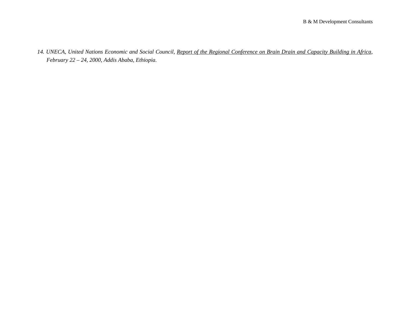*14. UNECA, United Nations Economic and Social Council, Report of the Regional Conference on Brain Drain and Capacity Building in Africa, February 22 – 24, 2000, Addis Ababa, Ethiopia.*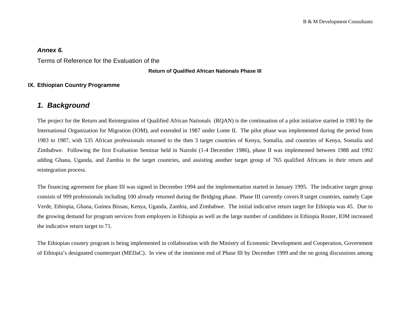## *Annex 6.*

Terms of Reference for the Evaluation of the

#### **Return of Qualified African Nationals Phase III**

## **IX. Ethiopian Country Programme**

# *1. Background*

The project for the Return and Reintegration of Qualified African Nationals (RQAN) is the continuation of a pilot initiative started in 1983 by the International Organization for Migration (IOM), and extended in 1987 under Lome II. The pilot phase was implemented during the period from 1983 to 1987, with 535 African professionals returned to the then 3 target countries of Kenya, Somalia, and countries of Kenya, Somalia and Zimbabwe. Following the first Evaluation Seminar held in Nairobi (1-4 December 1986), phase II was implemented between 1988 and 1992 adding Ghana, Uganda, and Zambia to the target countries, and assisting another target group of 765 qualified Africans in their return and reintegration process.

The financing agreement foe phase III was signed in December 1994 and the implementation started in January 1995. The indicative target group consists of 999 professionals including 100 already returned during the Bridging phase. Phase III currently covers 8 target countries, namely Cape Verde, Ethiopia, Ghana, Guinea Bissau, Kenya, Uganda, Zambia, and Zimbabwe. The initial indicative return target for Ethiopia was 45. Due to the growing demand for program services from employers in Ethiopia as well as the large number of candidates in Ethiopia Roster, IOM increased the indicative return target to 71.

The Ethiopian country program is being implemented in collaboration with the Ministry of Economic Development and Cooperation, Government of Ethiopia's designated counterpart (MEDaC). In view of the imminent end of Phase III by December 1999 and the on going discussions among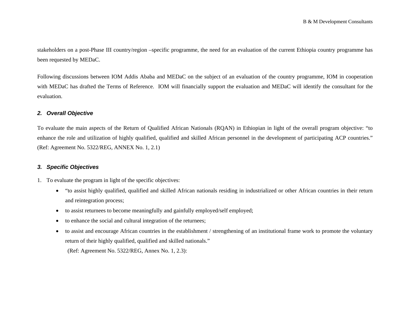stakeholders on a post-Phase III country/region –specific programme, the need for an evaluation of the current Ethiopia country programme has been requested by MEDaC.

Following discussions between IOM Addis Ababa and MEDaC on the subject of an evaluation of the country programme, IOM in cooperation with MEDaC has drafted the Terms of Reference. IOM will financially support the evaluation and MEDaC will identify the consultant for the evaluation.

## *2. Overall Objective*

To evaluate the main aspects of the Return of Qualified African Nationals (RQAN) in Ethiopian in light of the overall program objective: "to enhance the role and utilization of highly qualified, qualified and skilled African personnel in the development of participating ACP countries." (Ref: Agreement No. 5322/REG, ANNEX No. 1, 2.1)

## *3. Specific Objectives*

- 1. To evaluate the program in light of the specific objectives:
	- $\bullet$  "to assist highly qualified, qualified and skilled African nationals residing in industrialized or other African countries in their return and reintegration process;
	- $\bullet$ to assist returnees to become meaningfully and gainfully employed/self employed;
	- $\bullet$ to enhance the social and cultural integration of the returnees;
	- $\bullet$  to assist and encourage African countries in the establishment / strengthening of an institutional frame work to promote the voluntary return of their highly qualified, qualified and skilled nationals."

(Ref: Agreement No. 5322/REG, Annex No. 1, 2.3):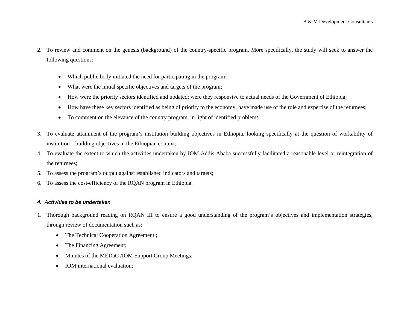- 2. To review and comment on the genesis (background) of the country-specific program. More specifically, the study will seek to answer the following questions:
	- •Which public body initiated the need for participating in the program;
	- •What were the initial specific objectives and targets of the program;
	- •How were the priority sectors identified and updated; were they responsive to actual needs of the Government of Ethiopia;
	- •How have these key sectors identified as being of priority to the economy, have made use of the role and expertise of the returnees;
	- $\bullet$ To comment on the elevance of the country program, in light of identified problems.
- 3. To evaluate attainment of the program's institution building objectives in Ethiopia, looking specifically at the question of workability of institution – building objectives in the Ethiopian context;
- 4. To evaluate the extent to which the activities undertaken by IOM Addis Ababa successfully facilitated a reasonable level or reintegration of the returnees;
- 5. To assess the program's output against established indicators and targets;
- 6. To assess the cost-efficiency of the RQAN program in Ethiopia.

#### *4. Activities to be undertaken*

- 1. Thorough background reading on RQAN III to ensure a good understanding of the program's objectives and implementation strategies, through review of documentation such as:
	- The Technical Cooperation Agreement ;
	- •The Financing Agreement;
	- $\bullet$ Minutes of the MEDaC /IOM Support Group Meetings;
	- IOM international evaluation;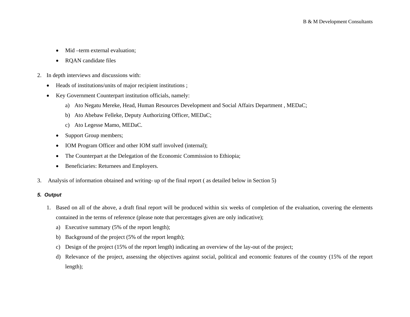- •Mid –term external evaluation;
- $\bullet$ RQAN candidate files
- 2. In depth interviews and discussions with:
	- •Heads of institutions/units of major recipient institutions ;
	- • Key Government Counterpart institution officials, namely:
		- a) Ato Negatu Mereke, Head, Human Resources Development and Social Affairs Department , MEDaC;
		- b) Ato Abebaw Felleke, Deputy Authorizing Officer, MEDaC;
		- c) Ato Legesse Mamo, MEDaC.
		- •Support Group members;
		- $\bullet$ IOM Program Officer and other IOM staff involved (internal);
		- $\bullet$ The Counterpart at the Delegation of the Economic Commission to Ethiopia;
		- Beneficiaries: Returnees and Employers.
- 3. Analysis of information obtained and writing- up of the final report ( as detailed below in Section 5)

#### *5. Output*

- 1. Based on all of the above, a draft final report will be produced within six weeks of completion of the evaluation, covering the elements contained in the terms of reference (please note that percentages given are only indicative);
	- a) Executive summary (5% of the report length);
	- b) Background of the project (5% of the report length);
	- c) Design of the project (15% of the report length) indicating an overview of the lay-out of the project;
	- d) Relevance of the project, assessing the objectives against social, political and economic features of the country (15% of the report length);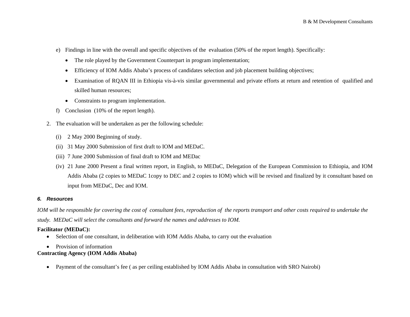- e) Findings in line with the overall and specific objectives of the evaluation (50% of the report length). Specifically:
	- The role played by the Government Counterpart in program implementation;
	- •Efficiency of IOM Addis Ababa's process of candidates selection and job placement building objectives;
	- • Examination of RQAN III in Ethiopia vis-à-vis similar governmental and private efforts at return and retention of qualified and skilled human resources;
	- Constraints to program implementation.
- f) Conclusion (10% of the report length).
- 2. The evaluation will be undertaken as per the following schedule:
	- (i) 2 May 2000 Beginning of study.
	- (ii) 31 May 2000 Submission of first draft to IOM and MEDaC.
	- (iii) 7 June 2000 Submission of final draft to IOM and MEDac
	- (iv) 21 June 2000 Present a final written report, in English, to MEDaC, Delegation of the European Commission to Ethiopia, and IOM Addis Ababa (2 copies to MEDaC 1copy to DEC and 2 copies to IOM) which will be revised and finalized by it consultant based on input from MEDaC, Dec and IOM.

### *6. Resources*

*IOM will be responsible for covering the cost of consultant fees, reproduction of the reports transport and other costs required to undertake the study. MEDaC will select the consultants and forward the names and addresses to IOM.* 

## **Facilitator (MEDaC):**

- •Selection of one consultant, in deliberation with IOM Addis Ababa, to carry out the evaluation
- Provision of information

### **Contracting Agency (IOM Addis Ababa)**

•Payment of the consultant's fee ( as per ceiling established by IOM Addis Ababa in consultation with SRO Nairobi)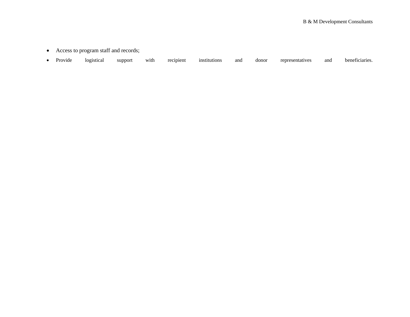- Access to program staff and records;
- Provide logistical support with recipient institutions and donor representatives and beneficiaries.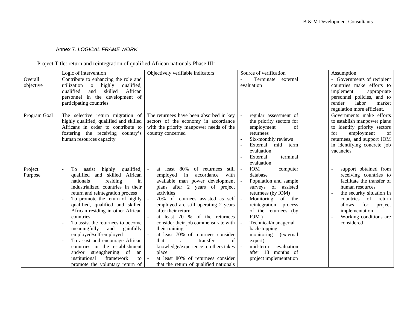#### Annex 7. *LOGICAL FRAME WORK*

## Project Title: return and reintegration of qualified African nationals-Phase  $III<sup>1</sup>$

|              | Logic of intervention                                  | Objectively verifiable indicators        | Source of verification           | Assumption                   |
|--------------|--------------------------------------------------------|------------------------------------------|----------------------------------|------------------------------|
| Overall      | Contribute to enhancing the role and                   |                                          | Terminate<br>external            | - Governments of recipient   |
| objective    | utilization<br>highly<br>qualified,<br>$\mathbf{o}$    |                                          | evaluation                       | countries make efforts to    |
|              | skilled<br>African<br>qualified<br>and                 |                                          |                                  | implement<br>appropriate     |
|              | personnel in the development of                        |                                          |                                  | personnel policies, and to   |
|              | participating countries                                |                                          |                                  | render<br>labor<br>market    |
|              |                                                        |                                          |                                  | regulation more efficient.   |
| Program Goal | The selective return migration of                      | The returnees have been absorbed in key  | regular assessment of<br>$\sim$  | Governments make efforts     |
|              | highly qualified, qualified and skilled                | sectors of the economy in accordance     | the priority sectors for         | to establish manpower plans  |
|              | Africans in order to contribute to                     | with the priority manpower needs of the  | employment<br>of                 | to identify priority sectors |
|              | fostering the receiving country's                      | country concerned                        | returnees                        | for<br>employment<br>of      |
|              | human resources capacity                               |                                          | Six-monthly reviews              | returnees, and support IOM   |
|              |                                                        |                                          | External<br>mid<br>term          | in identifying concrete job  |
|              |                                                        |                                          | evaluation                       | vacancies                    |
|              |                                                        |                                          | terminal<br>External             |                              |
|              |                                                        |                                          | evaluation                       |                              |
| Project      | qualified,<br>highly<br>To<br>assist<br>$\overline{a}$ | 80%<br>of returnees<br>at least<br>still | IOM<br>$\omega$<br>computer      | support obtained from        |
| Purpose      | qualified and skilled African                          | employed<br>in<br>accordance<br>with     | database                         | receiving countries to       |
|              | nationals<br>residing<br>in                            | available man power development          | Population and sample            | facilitate the transfer of   |
|              | industrialized countries in their                      | plans after 2 years of project           | surveys of assisted              | human resources              |
|              | return and reintegration process                       | activities                               | returnees (by IOM)               | the security situation in    |
|              | To promote the return of highly                        | 70% of returnees assisted as self        | Monitoring<br>of the<br>$\omega$ | countries<br>of<br>return    |
|              | qualified, qualified and skilled                       | employed are still operating 2 years     | reintegration process            | for<br>allows<br>project     |
|              | African residing in other African                      | after their return                       | of the returnees (by             | implementation.              |
|              | countries                                              | at least 70 % of the returnees           | $IOM$ )                          | Working conditions are       |
|              | To assist the returnees to become                      | consider their job commensurate with     | Technical/managerial             | considered                   |
|              | meaningfully<br>and<br>gainfully                       | their training                           | backstopping                     |                              |
|              | employed/self-employed                                 | at least 70% of returnees consider       | monitoring<br>(external          |                              |
|              | To assist and encourage African                        | of<br>transfer<br>that<br>$\mathbf{a}$   | expert)                          |                              |
|              | countries in the establishment                         | knowledge/experience to others takes     | mid-term<br>evaluation           |                              |
|              | and/or strengthening of<br>an                          | place                                    | after 18<br>months of            |                              |
|              | framework<br>institutional<br>to                       | at least 80% of returnees consider       | project implementation           |                              |
|              | promote the voluntary return of                        | that the return of qualified nationals   |                                  |                              |